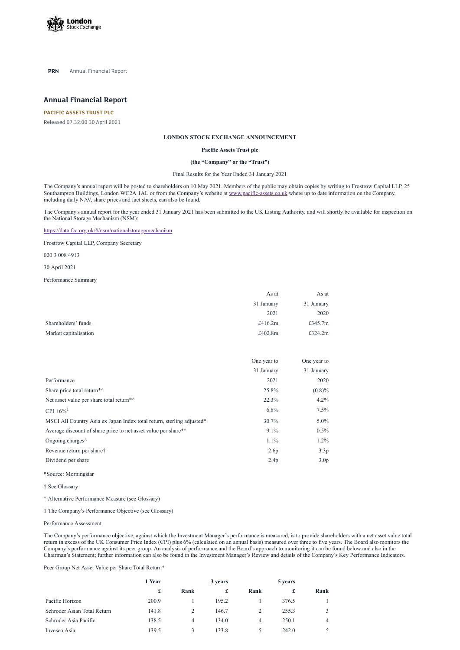

**PRN** Annual Financial Report

# **Annual Financial Report**

#### **[PACIFIC](https://www.londonstockexchange.com/stock/PAC/pacific-assets-trust-plc) ASSETS TRUST PLC**

Released 07:32:00 30 April 2021

#### **LONDON STOCK EXCHANGE ANNOUNCEMENT**

#### **Pacific Assets Trust plc**

#### **(the "Company" or the "Trust")**

Final Results for the Year Ended 31 January 2021

The Company's annual report will be posted to shareholders on 10 May 2021. Members of the public may obtain copies by writing to Frostrow Capital LLP, 25 Southampton Buildings, London WC2A 1AL or from the Company's website at [www.pacific-assets.co.uk](http://www.pacific-assets.co.uk/) where up to date information on the Company, including daily NAV, share prices and fact sheets, can also be found.

The Company's annual report for the year ended 31 January 2021 has been submitted to the UK Listing Authority, and will shortly be available for inspection on the National Storage Mechanism (NSM):

<https://data.fca.org.uk/#/nsm/nationalstoragemechanism>

Frostrow Capital LLP, Company Secretary

020 3 008 4913

30 April 2021

Performance Summary

|                       | As at      | As at      |
|-----------------------|------------|------------|
|                       | 31 January | 31 January |
|                       | 2021       | 2020       |
| Shareholders' funds   | £416.2 $m$ | £345.7m    |
| Market capitalisation | £402.8m    | £324.2m    |

| One year to | One year to      |
|-------------|------------------|
| 31 January  | 31 January       |
| 2021        | 2020             |
| 25.8%       | (0.8)%           |
| 22.3%       | 4.2%             |
| $6.8\%$     | $7.5\%$          |
| 30.7%       | $5.0\%$          |
| $9.1\%$     | $0.5\%$          |
| 1.1%        | 1.2%             |
| 2.6p        | 3.3p             |
| 2.4p        | 3.0 <sub>p</sub> |
|             |                  |

\*Source: Morningstar

† See Glossary

^ Alternative Performance Measure (see Glossary)

1 The Company's Performance Objective (see Glossary)

Performance Assessment

The Company's performance objective, against which the Investment Manager's performance is measured, is to provide shareholders with a net asset value total return in excess of the UK Consumer Price Index (CPI) plus 6% (calculated on an annual basis) measured over three to five years. The Board also monitors the Company's performance against its peer group. An analysis of performance and the Board's approach to monitoring it can be found below and also in the Chairman's Statement; further information can also be found in the Investment Manager's Review and details of the Company's Key Performance Indicators.

Peer Group Net Asset Value per Share Total Return\*

|                             | 1 Year |      | 3 years |      | 5 years |      |
|-----------------------------|--------|------|---------|------|---------|------|
|                             | £      | Rank | £       | Rank | £       | Rank |
| Pacific Horizon             | 200.9  |      | 195.2   |      | 376.5   |      |
| Schroder Asian Total Return | 141.8  |      | 146.7   |      | 255.3   |      |
| Schroder Asia Pacific       | 138.5  | 4    | 134.0   | 4    | 250.1   | 4    |
| Invesco Asia                | 139.5  | 3    | 133.8   | 5.   | 242.0   |      |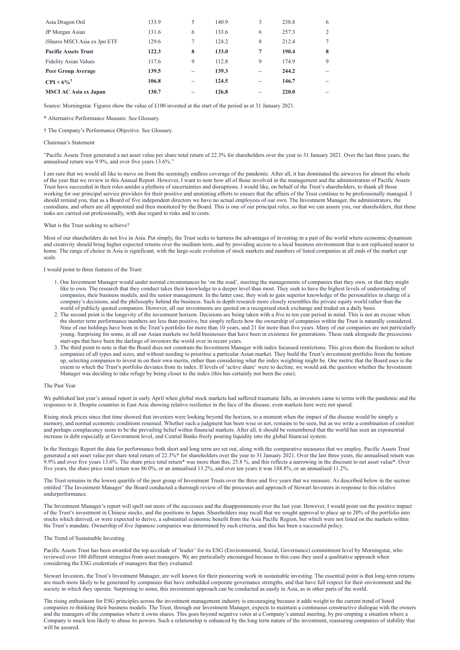| Asia Dragon Ord              | 133.9 | 5                        | 140.9 | 3                        | 238.8 | 6 |
|------------------------------|-------|--------------------------|-------|--------------------------|-------|---|
| JP Morgan Asian              | 131.6 | 6                        | 133.6 | 6                        | 257.3 | 2 |
| iShares MSCI Asia ex Jpn ETF | 129.6 | 7                        | 124.2 | 8                        | 212.4 | 7 |
| <b>Pacific Assets Trust</b>  | 122.3 | 8                        | 133.0 | $\tau$                   | 190.4 | 8 |
| <b>Fidelity Asian Values</b> | 117.6 | 9                        | 112.8 | 9                        | 174.9 | 9 |
| <b>Peer Group Average</b>    | 139.5 | $\overline{\phantom{0}}$ | 139.3 | $\overline{\phantom{m}}$ | 244.2 |   |
| $CPI + 6\%$ <sup>†</sup>     | 106.8 | $\overline{\phantom{0}}$ | 124.5 |                          | 146.7 |   |
| <b>MSCI AC Asia ex Japan</b> | 130.7 | $\qquad \qquad$          | 126.8 |                          | 220.0 |   |

Source: Morningstar. Figures show the value of £100 invested at the start of the period as at 31 January 2021.

\* Alternative Performance Measure. See Glossary.

† The Company's Performance Objective. See Glossary.

#### Chairman's Statement

"Pacific Assets Trust generated a net asset value per share total return of 22.3% for shareholders over the year to 31 January 2021. Over the last three years, the annualised return was 9.9%, and over five years 13.6%."

I am sure that we would all like to move on from the seemingly endless coverage of the pandemic. After all, it has dominated the airwaves for almost the whole of the year that we review in this Annual Report. However, I want to note how all of those involved in the management and the administration of Pacific Assets Trust have succeeded in their roles amidst a plethora of uncertainties and disruptions. I would like, on behalf of the Trust's shareholders, to thank all those working for our principal service providers for their positive and unstinting efforts to ensure that the affairs of the Trust continue to be professionally managed. I should remind you, that as a Board of five independent directors we have no actual employees of our own. The Investment Manager, the administrators, the custodians, and others are all appointed and then monitored by the Board. This is one of our principal roles, so that we can assure you, our shareholders, that these tasks are carried out professionally, with due regard to risks and to costs.

### What is the Trust seeking to achieve?

Most of our shareholders do not live in Asia. Put simply, the Trust seeks to harness the advantages of investing in a part of the world where economic dynamism and creativity should bring higher expected returns over the medium term, and by providing access to a local business environment that is not replicated nearer to home. The range of choice in Asia is significant, with the large-scale evolution of stock markets and numbers of listed companies at all ends of the market cap scale.

#### I would point to three features of the Trust:

- 1. Our Investment Manager would under normal circumstances be 'on the road', meeting the managements of companies that they own, or that they might like to own. The research that they conduct takes their knowledge to a deeper level than most. They seek to have the highest levels of understanding of companies, their business models, and the senior management. In the latter case, they wish to gain superior knowledge of the personalities in charge of a company's decisions, and the philosophy behind the business. Such in depth research more closely resembles the private equity world rather than the world of publicly quoted companies. However, all our investments are quoted on a recognised stock exchange and traded on a daily basis.
- 2. The second point is the longevity of the investment horizon. Decisions are being taken with a five to ten year period in mind. This is not an excuse when the shorter term performance numbers are less than positive, but simply reflects how the ownership of companies within the Trust is naturally considered. Nine of our holdings have been in the Trust's portfolio for more than 10 years, and 21 for more than five years. Many of our companies are not particularly young. Surprising for some, in all our Asian markets we hold businesses that have been in existence for generations. These rank alongside the precocious start-ups that have been the darlings of investors the world over in recent years.
- 3. The third point to note is that the Board does not constrain the Investment Manager with index focussed restrictions. This gives them the freedom to select companies of all types and sizes, and without needing to prioritise a particular Asian market. They build the Trust's investment portfolio from the bottom up, selecting companies to invest in on their own merits, rather than considering what the index weighting might be. One metric that the Board uses is the extent to which the Trust's portfolio deviates from its index. If levels of 'active share' were to decline, we would ask the question whether the Investment Manager was deciding to take refuge by being closer to the index (this has certainly not been the case).

#### The Past Year

We published last year's annual report in early April when global stock markets had suffered traumatic falls, as investors came to terms with the pandemic and the responses to it. Despite countries in East Asia showing relative resilience in the face of the disease, even markets here were not spared.

Rising stock prices since that time showed that investors were looking beyond the horizon, to a moment when the impact of the disease would be simply a memory, and normal economic conditions resumed. Whether such a judgment has been wise or not, remains to be seen, but as we write a combination of comfort and perhaps complacency seem to be the prevailing belief within financial markets. After all, it should be remembered that the world has seen an exponential increase in debt especially at Government level, and Central Banks freely pouring liquidity into the global financial system.

In the Stretegic Report the data for performance both short and long term are set out, along with the comparative measures that we employ. Pacific Assets Trust generated a net asset value per share total return of 22.3%\* for shareholders over the year to 31 January 2021. Over the last three years, the annualised return was 9.9% and over five years 13.6%. The share price total return\* was more than this, 25.8 %, and this reflects a narrowing in the discount to net asset value\*. Over five years, the share price total return was 86.0%, or an annualised 13.2%, and over ten years it was 188.8%, or an annualised 11.2%.

The Trust remains in the lowest quartile of the peer group of Investment Trusts over the three and five years that we measure. As described below in the section entitled 'The Investment Manager' the Board conducted a thorough review of the processes and approach of Stewart Investors in response to this relative

# underperformance.

The Investment Manager's report will spell out more of the successes and the disappointments over the last year. However, I would point out the positive impact of the Trust's investment in Chinese stocks, and the positions in Japan. Shareholders may recall that we sought approval to place up to 20% of the portfolio into stocks which derived, or were expected to derive, a substantial economic benefit from the Asia Pacific Region, but which were not listed on the markets within the Trust's mandate. Ownership of five Japanese companies was determined by such criteria, and this has been a successful policy.

#### The Trend of Sustainable Investing.

Pacific Assets Trust has been awarded the top accolade of 'leader' for its ESG (Environmental, Social, Governance) commitment level by Morningstar, who reviewed over 100 different strategies from asset managers. We are particularly encouraged because in this case they used a qualitative approach when considering the ESG credentials of managers that they evaluated.

Stewart Investors, the Trust's Investment Manager, are well known for their pioneering work in sustainable investing. The essential point is that long-term returns are much more likely to be generated by companies that have embedded corporate governance strengths, and that have full respect for their environment and the society in which they operate. Surprising to some, this investment approach can be conducted as easily in Asia, as in other parts of the world.

The rising enthusiasm for ESG principles across the investment management industry is encouraging because it adds weight to the current trend of listed companies re-thinking their business models. The Trust, through our Investment Manager, expects to maintain a continuous constructive dialogue with the owners and the managers of the companies where it owns shares. This goes beyond negative votes at a Company's annual meeting, by pre-empting a situation where a Company is much less likely to abuse its powers. Such a relationship is enhanced by the long term nature of the investment, reassuring companies of stability that will be assured.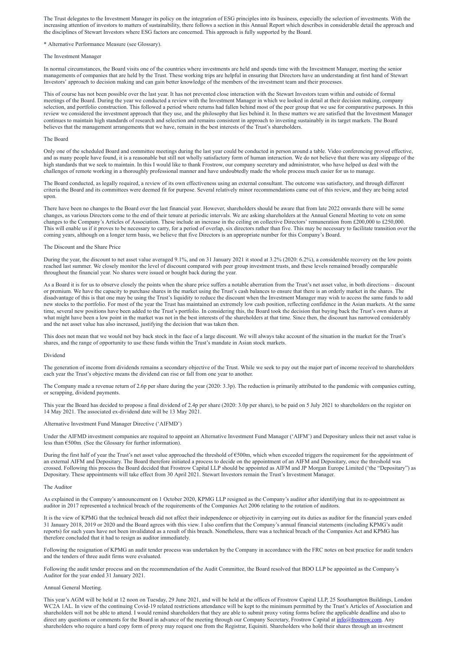The Trust delegates to the Investment Manager its policy on the integration of ESG principles into its business, especially the selection of investments. With the increasing attention of investors to matters of sustainability, there follows a section in this Annual Report which describes in considerable detail the approach and the disciplines of Stewart Investors where ESG factors are concerned. This approach is fully supported by the Board.

\* Alternative Performance Measure (see Glossary).

#### The Investment Manager

In normal circumstances, the Board visits one of the countries where investments are held and spends time with the Investment Manager, meeting the senior managements of companies that are held by the Trust. These working trips are helpful in ensuring that Directors have an understanding at first hand of Stewart Investors' approach to decision making and can gain better knowledge of the members of the investment team and their processes.

This of course has not been possible over the last year. It has not prevented close interaction with the Stewart Investors team within and outside of formal meetings of the Board. During the year we conducted a review with the Investment Manager in which we looked in detail at their decision making, company selection, and portfolio construction. This followed a period where returns had fallen behind most of the peer group that we use for comparative purposes. In this review we considered the investment approach that they use, and the philosophy that lies behind it. In these matters we are satisfied that the Investment Manager continues to maintain high standards of research and selection and remains consistent in approach to investing sustainably in its target markets. The Board believes that the management arrangements that we have, remain in the best interests of the Trust's shareholders.

### The Board

Only one of the scheduled Board and committee meetings during the last year could be conducted in person around a table. Video conferencing proved effective, and as many people have found, it is a reasonable but still not wholly satisfactory form of human interaction. We do not believe that there was any slippage of the high standards that we seek to maintain. In this I would like to thank Frostrow, our company secretary and administrator, who have helped us deal with the challenges of remote working in a thoroughly professional manner and have undoubtedly made the whole process much easier for us to manage.

The Board conducted, as legally required, a review of its own effectiveness using an external consultant. The outcome was satisfactory, and through different criteria the Board and its committees were deemed fit for purpose. Several relatively minor recommendations came out of this review, and they are being acted upon.

There have been no changes to the Board over the last financial year. However, shareholders should be aware that from late 2022 onwards there will be some changes, as various Directors come to the end of their tenure at periodic intervals. We are asking shareholders at the Annual General Meeting to vote on some changes to the Company's Articles of Association. These include an increase in the ceiling on collective Directors' remuneration from £200,000 to £250,000. This will enable us if it proves to be necessary to carry, for a period of overlap, six directors rather than five. This may be necessary to facilitate transition over the coming years, although on a longer term basis, we believe that five Directors is an appropriate number for this Company's Board.

During the first half of year the Trust's net asset value approached the threshold of  $\epsilon$ 500m, which when exceeded triggers the requirement for the appointment of an external AIFM and Depositary. The Board therefore initiated a process to decide on the appointment of an AIFM and Depositary, once the threshold was crossed. Following this process the Board decided that Frostrow Capital LLP should be appointed as AIFM and JP Morgan Europe Limited ('the "Depositary") as Depositary. These appointments will take effect from 30 April 2021. Stewart Investors remain the Trust's Investment Manager.

#### The Discount and the Share Price

During the year, the discount to net asset value averaged 9.1%, and on 31 January 2021 it stood at 3.2% (2020: 6.2%), a considerable recovery on the low points reached last summer. We closely monitor the level of discount compared with peer group investment trusts, and these levels remained broadly comparable throughout the financial year. No shares were issued or bought back during the year.

As a Board it is for us to observe closely the points when the share price suffers a notable aberration from the Trust's net asset value, in both directions – discount or premium. We have the capacity to purchase shares in the market using the Trust's cash balances to ensure that there is an orderly market in the shares. The disadvantage of this is that one may be using the Trust's liquidity to reduce the discount when the Investment Manager may wish to access the same funds to add new stocks to the portfolio. For most of the year the Trust has maintained an extremely low cash position, reflecting confidence in the Asian markets. At the same time, several new positions have been added to the Trust's portfolio. In considering this, the Board took the decision that buying back the Trust's own shares at what might have been a low point in the market was not in the best interests of the shareholders at that time. Since then, the discount has narrowed considerably and the net asset value has also increased, justifying the decision that was taken then.

This does not mean that we would not buy back stock in the face of a large discount. We will always take account of the situation in the market for the Trust's shares, and the range of opportunity to use these funds within the Trust's mandate in Asian stock markets.

#### Dividend

The generation of income from dividends remains a secondary objective of the Trust. While we seek to pay out the major part of income received to shareholders each year the Trust's objective means the dividend can rise or fall from one year to another.

The Company made a revenue return of 2.6p per share during the year (2020: 3.3p). The reduction is primarily attributed to the pandemic with companies cutting, or scrapping, dividend payments.

This year the Board has decided to propose a final dividend of 2.4p per share (2020: 3.0p per share), to be paid on 5 July 2021 to shareholders on the register on 14 May 2021. The associated ex-dividend date will be 13 May 2021.

#### Alternative Investment Fund Manager Directive ('AIFMD')

Under the AIFMD investment companies are required to appoint an Alternative Investment Fund Manager ('AIFM') and Depositary unless their net asset value is less than €500m. (See the Glossary for further information).

#### The Auditor

As explained in the Company's announcement on 1 October 2020, KPMG LLP resigned as the Company's auditor after identifying that its re-appointment as auditor in 2017 represented a technical breach of the requirements of the Companies Act 2006 relating to the rotation of auditors.

It is the view of KPMG that the technical breach did not affect their independence or objectivity in carrying out its duties as auditor for the financial years ended 31 January 2018, 2019 or 2020 and the Board agrees with this view. I also confirm that the Company's annual financial statements (including KPMG's audit reports) for such years have not been invalidated as a result of this breach. Nonetheless, there was a technical breach of the Companies Act and KPMG has therefore concluded that it had to resign as auditor immediately.

Following the resignation of KPMG an audit tender process was undertaken by the Company in accordance with the FRC notes on best practice for audit tenders and the tenders of three audit firms were evaluated.

Following the audit tender process and on the recommendation of the Audit Committee, the Board resolved that BDO LLP be appointed as the Company's Auditor for the year ended 31 January 2021.

#### Annual General Meeting.

This year's AGM will be held at 12 noon on Tuesday, 29 June 2021, and will be held at the offices of Frostrow Capital LLP, 25 Southampton Buildings, London WC2A 1AL. In view of the continuing Covid-19 related restrictions attendance will be kept to the minimum permitted by the Trust's Articles of Association and shareholders will not be able to attend. I would remind shareholders that they are able to submit proxy voting forms before the applicable deadline and also to direct any questions or comments for the Board in advance of the meeting through our Company Secretary, Frostrow Capital at  $\frac{info(@frostrow.com)}{info(@frostrow.com)}$ . Any shareholders who require a hard copy form of proxy may request one from the Registrar, Equiniti. Shareholders who hold their shares through an investment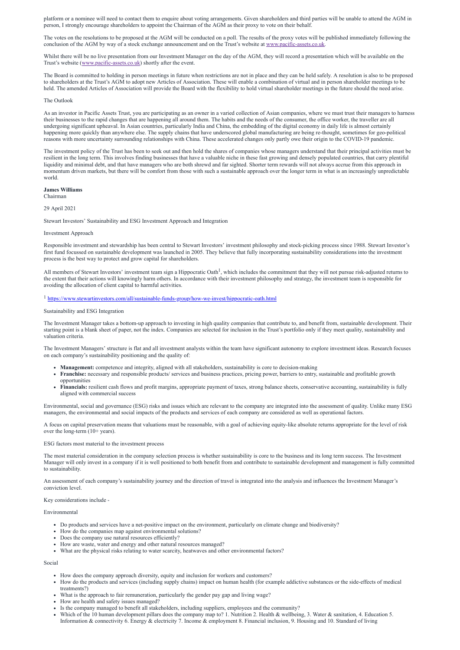platform or a nominee will need to contact them to enquire about voting arrangements. Given shareholders and third parties will be unable to attend the AGM in person, I strongly encourage shareholders to appoint the Chairman of the AGM as their proxy to vote on their behalf.

Whilst there will be no live presentation from our Investment Manager on the day of the AGM, they will record a presentation which will be available on the Trust's website ([www.pacific-assets.co.uk\)](http://www.pacific-assets.co.uk/) shortly after the event.

The votes on the resolutions to be proposed at the AGM will be conducted on a poll. The results of the proxy votes will be published immediately following the conclusion of the AGM by way of a stock exchange announcement and on the Trust's website at [www.pacific-assets.co.uk](http://www.pacific-assets.co.uk/).

The Board is committed to holding in person meetings in future when restrictions are not in place and they can be held safely. A resolution is also to be proposed to shareholders at the Trust's AGM to adopt new Articles of Association. These will enable a combination of virtual and in person shareholder meetings to be held. The amended Articles of Association will provide the Board with the flexibility to hold virtual shareholder meetings in the future should the need arise.

#### The Outlook

As an investor in Pacific Assets Trust, you are participating as an owner in a varied collection of Asian companies, where we must trust their managers to harness their businesses to the rapid changes that are happening all around them. The habits and the needs of the consumer, the office worker, the traveller are all undergoing significant upheaval. In Asian countries, particularly India and China, the embedding of the digital economy in daily life is almost certainly happening more quickly than anywhere else. The supply chains that have underscored global manufacturing are being re-thought, sometimes for geo-political reasons with more uncertainty surrounding relationships with China. These accelerated changes only partly owe their origin to the COVID-19 pandemic.

All members of Stewart Investors' investment team sign a Hippocratic Oath<sup>1</sup>, which includes the commitment that they will not pursue risk-adjusted returns to the extent that their actions will knowingly harm others. In accordance with their investment philosophy and strategy, the investment team is responsible for avoiding the allocation of client capital to harmful activities.

<sup>1</sup> <https://www.stewartinvestors.com/all/sustainable-funds-group/how-we-invest/hippocratic-oath.html>

The investment policy of the Trust has been to seek out and then hold the shares of companies whose managers understand that their principal activities must be resilient in the long term. This involves finding businesses that have a valuable niche in these fast growing and densely populated countries, that carry plentiful liquidity and minimal debt, and that have managers who are both shrewd and far sighted. Shorter term rewards will not always accrue from this approach in momentum driven markets, but there will be comfort from those with such a sustainable approach over the longer term in what is an increasingly unpredictable world.

A focus on capital preservation means that valuations must be reasonable, with a goal of achieving equity-like absolute returns appropriate for the level of risk over the long-term (10+ years).

#### **James Williams**

Chairman

#### 29 April 2021

Stewart Investors' Sustainability and ESG Investment Approach and Integration

#### Investment Approach

Responsible investment and stewardship has been central to Stewart Investors' investment philosophy and stock-picking process since 1988. Stewart Investor's first fund focussed on sustainable development was launched in 2005. They believe that fully incorporating sustainability considerations into the investment process is the best way to protect and grow capital for shareholders.

#### Sustainability and ESG Integration

The Investment Manager takes a bottom-up approach to investing in high quality companies that contribute to, and benefit from, sustainable development. Their starting point is a blank sheet of paper, not the index. Companies are selected for inclusion in the Trust's portfolio only if they meet quality, sustainability and valuation criteria.

The Investment Managers' structure is flat and all investment analysts within the team have significant autonomy to explore investment ideas. Research focuses on each company's sustainability positioning and the quality of:

- **Management:** competence and integrity, aligned with all stakeholders, sustainability is core to decision-making
- **Franchise:** necessary and responsible products/ services and business practices, pricing power, barriers to entry, sustainable and profitable growth opportunities
- **Financials:** resilient cash flows and profit margins, appropriate payment of taxes, strong balance sheets, conservative accounting, sustainability is fully aligned with commercial success

Environmental, social and governance (ESG) risks and issues which are relevant to the company are integrated into the assessment of quality. Unlike many ESG managers, the environmental and social impacts of the products and services of each company are considered as well as operational factors.

#### ESG factors most material to the investment process

The most material consideration in the company selection process is whether sustainability is core to the business and its long term success. The Investment Manager will only invest in a company if it is well positioned to both benefit from and contribute to sustainable development and management is fully committed to sustainability.

An assessment of each company's sustainability journey and the direction of travel is integrated into the analysis and influences the Investment Manager's conviction level.

#### Key considerations include -

#### Environmental

- Do products and services have a net-positive impact on the environment, particularly on climate change and biodiversity?
- How do the companies map against environmental solutions?
- Does the company use natural resources efficiently?
- How are waste, water and energy and other natural resources managed?
- What are the physical risks relating to water scarcity, heatwaves and other environmental factors?

# Social

- How does the company approach diversity, equity and inclusion for workers and customers?
- How do the products and services (including supply chains) impact on human health (for example addictive substances or the side-effects of medical treatments?)
- What is the approach to fair remuneration, particularly the gender pay gap and living wage?
- How are health and safety issues managed?
- Is the company managed to benefit all stakeholders, including suppliers, employees and the community?  $\bullet$
- Which of the 10 human development pillars does the company map to? 1. Nutrition 2. Health & wellbeing, 3. Water & sanitation, 4. Education 5. Information & connectivity 6. Energy & electricity 7. Income & employment 8. Financial inclusion, 9. Housing and 10. Standard of living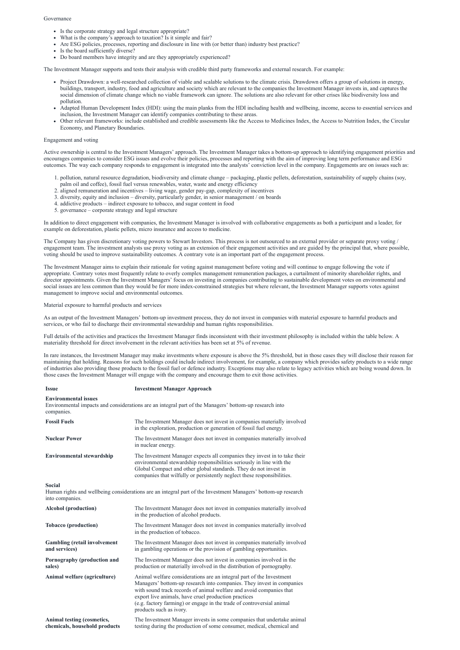#### Governance

- Is the corporate strategy and legal structure appropriate?
- What is the company's approach to taxation? Is it simple and fair?
- Are ESG policies, processes, reporting and disclosure in line with (or better than) industry best practice?
- Is the board sufficiently diverse?
- Do board members have integrity and are they appropriately experienced?

The Investment Manager supports and tests their analysis with credible third party frameworks and external research. For example:

- Project Drawdown: a well-researched collection of viable and scalable solutions to the climate crisis. Drawdown offers a group of solutions in energy, buildings, transport, industry, food and agriculture and society which are relevant to the companies the Investment Manager invests in, and captures the social dimension of climate change which no viable framework can ignore. The solutions are also relevant for other crises like biodiversity loss and pollution.
- Adapted Human Development Index (HDI): using the main planks from the HDI including health and wellbeing, income, access to essential services and inclusion, the Investment Manager can identify companies contributing to these areas.
- Other relevant frameworks: include established and credible assessments like the Access to Medicines Index, the Access to Nutrition Index, the Circular Economy, and Planetary Boundaries.

### Engagement and voting

Active ownership is central to the Investment Managers' approach. The Investment Manager takes a bottom-up approach to identifying engagement priorities and encourages companies to consider ESG issues and evolve their policies, processes and reporting with the aim of improving long term performance and ESG outcomes. The way each company responds to engagement is integrated into the analysts' conviction level in the company. Engagements are on issues such as:

- 1. pollution, natural resource degradation, biodiversity and climate change packaging, plastic pellets, deforestation, sustainability of supply chains (soy, palm oil and coffee), fossil fuel versus renewables, water, waste and energy efficiency
- 2. aligned remuneration and incentives living wage, gender pay-gap, complexity of incentives
- 3. diversity, equity and inclusion diversity, particularly gender, in senior management / on boards
- 4. addictive products indirect exposure to tobacco, and sugar content in food
- 5. governance corporate strategy and legal structure

In addition to direct engagement with companies, the Investment Manager is involved with collaborative engagements as both a participant and a leader, for example on deforestation, plastic pellets, micro insurance and access to medicine.

The Company has given discretionary voting powers to Stewart Investors. This process is not outsourced to an external provider or separate proxy voting / engagement team. The investment analysts use proxy voting as an extension of their engagement activities and are guided by the principal that, where possible, voting should be used to improve sustainability outcomes. A contrary vote is an important part of the engagement process.

The Investment Manager aims to explain their rationale for voting against management before voting and will continue to engage following the vote if appropriate. Contrary votes most frequently relate to overly complex management remuneration packages, a curtailment of minority shareholder rights, and director appointments. Given the Investment Managers' focus on investing in companies contributing to sustainable development votes on environmental and social issues are less common than they would be for more index-constrained strategies but where relevant, the Investment Manager supports votes against management to improve social and environmental outcomes.

# Material exposure to harmful products and services

As an output of the Investment Managers' bottom-up investment process, they do not invest in companies with material exposure to harmful products and services, or who fail to discharge their environmental stewardship and human rights responsibilities.

Full details of the activities and practices the Investment Manager finds inconsistent with their investment philosophy is included within the table below. A materiality threshold for direct involvement in the relevant activities has been set at 5% of revenue.

In rare instances, the Investment Manager may make investments where exposure is above the 5% threshold, but in those cases they will disclose their reason for maintaining that holding. Reasons for such holdings could include indirect involvement, for example, a company which provides safety products to a wide range of industries also providing those products to the fossil fuel or defence industry. Exceptions may also relate to legacy activities which are being wound down. In those cases the Investment Manager will engage with the company and encourage them to exit those activities.

# **Issue Investment Manager Approach**

#### **Environmental issues**

Environmental impacts and considerations are an integral part of the Managers' bottom-up research into companies. **Fossil Fuels** The Investment Manager does not invest in companies materially involved in the exploration, production or generation of fossil fuel energy.

| <b>Nuclear Power</b>             | The Investment Manager does not invest in companies materially involved<br>in nuclear energy.                                                                                                                                                                                                     |
|----------------------------------|---------------------------------------------------------------------------------------------------------------------------------------------------------------------------------------------------------------------------------------------------------------------------------------------------|
| <b>Environmental stewardship</b> | The Investment Manager expects all companies they invest in to take their<br>environmental stewardship responsibilities seriously in line with the<br>Global Compact and other global standards. They do not invest in<br>companies that wilfully or persistently neglect these responsibilities. |

#### **Social**

Human rights and wellbeing considerations are an integral part of the Investment Managers' bottom-up research into companies.

**Alcohol (production)** The Investment Manager does not invest in companies materially involved in the production of alcohol products. **Tobacco (production)** The Investment Manager does not invest in companies materially involved in the production of tobacco. **Gambling (retail involvement and services)** The Investment Manager does not invest in companies materially involved in gambling operations or the provision of gambling opportunities. **Pornography (production and sales)** The Investment Manager does not invest in companies involved in the production or materially involved in the distribution of pornography. **Animal welfare (agriculture)** Animal welfare considerations are an integral part of the Investment Managers' bottom-up research into companies. They invest in companies with sound track records of animal welfare and avoid companies that export live animals, have cruel production practices (e.g. factory farming) or engage in the trade of controversial animal products such as ivory. **Animal testing (cosmetics,** The Investment Manager invests in some companies that undertake animal

**chemicals, household products** testing during the production of some consumer, medical, chemical and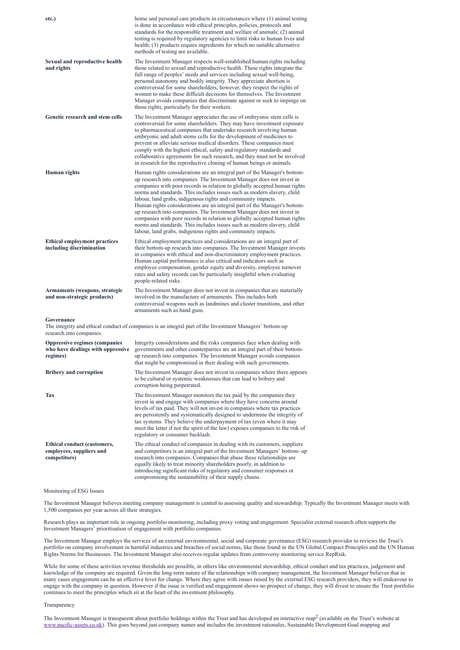| etc.)                                                                                 | home and personal care products in circumstances where (1) animal testing<br>is done in accordance with ethical principles, policies, protocols and<br>standards for the responsible treatment and welfare of animals; (2) animal<br>testing is required by regulatory agencies to limit risks to human lives and<br>health; (3) products require ingredients for which no suitable alternative<br>methods of testing are available.                                                                                                                                                                                                                                                                                                                     |
|---------------------------------------------------------------------------------------|----------------------------------------------------------------------------------------------------------------------------------------------------------------------------------------------------------------------------------------------------------------------------------------------------------------------------------------------------------------------------------------------------------------------------------------------------------------------------------------------------------------------------------------------------------------------------------------------------------------------------------------------------------------------------------------------------------------------------------------------------------|
| <b>Sexual and reproductive health</b><br>and rights                                   | The Investment Manager respects well-established human rights including<br>those related to sexual and reproductive health. These rights integrate the<br>full range of peoples' needs and services including sexual well-being,<br>personal autonomy and bodily integrity. They appreciate abortion is<br>controversial for some shareholders, however, they respect the rights of<br>women to make these difficult decisions for themselves. The Investment<br>Manager avoids companies that discriminate against or seek to impinge on<br>those rights, particularly for their workers.                                                                                                                                                               |
| Genetic research and stem cells                                                       | The Investment Manager appreciates the use of embryonic stem cells is<br>controversial for some shareholders. They may have investment exposure<br>to pharmaceutical companies that undertake research involving human<br>embryonic and adult stems cells for the development of medicines to<br>prevent or alleviate serious medical disorders. These companies must<br>comply with the highest ethical, safety and regulatory standards and<br>collaborative agreements for such research, and they must not be involved<br>in research for the reproductive cloning of human beings or animals.                                                                                                                                                       |
| <b>Human</b> rights                                                                   | Human rights considerations are an integral part of the Manager's bottom-<br>up research into companies. The Investment Manager does not invest in<br>companies with poor records in relation to globally accepted human rights<br>norms and standards. This includes issues such as modern slavery, child<br>labour, land grabs, indigenous rights and community impacts.<br>Human rights considerations are an integral part of the Manager's bottom-<br>up research into companies. The Investment Manager does not invest in<br>companies with poor records in relation to globally accepted human rights<br>norms and standards. This includes issues such as modern slavery, child<br>labour, land grabs, indigenous rights and community impacts. |
| <b>Ethical employment practices</b><br>including discrimination                       | Ethical employment practices and considerations are an integral part of<br>their bottom-up research into companies. The Investment Manager invests<br>in companies with ethical and non-discriminatory employment practices.<br>Human capital performance is also critical and indicators such as<br>employee compensation, gender equity and diversity, employee turnover<br>rates and safety records can be particularly insightful when evaluating<br>people-related risks.                                                                                                                                                                                                                                                                           |
| Armaments (weapons, strategic<br>and non-strategic products)                          | The Investment Manager does not invest in companies that are materially<br>involved in the manufacture of armaments. This includes both<br>controversial weapons such as landmines and cluster munitions, and other<br>armaments such as hand guns.                                                                                                                                                                                                                                                                                                                                                                                                                                                                                                      |
| Governance<br>research into companies.                                                | The integrity and ethical conduct of companies is an integral part of the Investment Managers' bottom-up                                                                                                                                                                                                                                                                                                                                                                                                                                                                                                                                                                                                                                                 |
| <b>Oppressive regimes (companies</b><br>who have dealings with oppressive<br>regimes) | Integrity considerations and the risks companies face when dealing with<br>governments and other counterparties are an integral part of their bottom-<br>up research into companies. The Investment Manager avoids companies<br>that might be compromised in their dealing with such governments.                                                                                                                                                                                                                                                                                                                                                                                                                                                        |
| <b>Bribery and corruption</b>                                                         | The Investment Manager does not invest in companies where there appears<br>to be cultural or systemic weaknesses that can lead to bribery and<br>corruption being perpetrated.                                                                                                                                                                                                                                                                                                                                                                                                                                                                                                                                                                           |
| <b>Tax</b>                                                                            | The Investment Manager monitors the tax paid by the companies they<br>invest in and engage with companies where they have concerns around<br>levels of tax paid. They will not invest in companies where tax practices<br>are persistently and systematically designed to undermine the integrity of<br>tax systems. They believe the underpayment of tax (even where it may<br>meet the letter if not the spirit of the law) exposes companies to the risk of<br>regulatory or consumer backlash.                                                                                                                                                                                                                                                       |
| <b>Ethical conduct (customers,</b><br>employees, suppliers and<br>competitors)        | The ethical conduct of companies in dealing with its customers, suppliers<br>and competitors is an integral part of the Investment Managers' bottom- up<br>research into companies. Companies that abuse these relationships are<br>equally likely to treat minority shareholders poorly, in addition to<br>introducing significant risks of regulatory and consumer responses or<br>compromising the sustainability of their supply chains.                                                                                                                                                                                                                                                                                                             |

#### Monitoring of ESG Issues

The Investment Manager believes meeting company management is central to assessing quality and stewardship. Typically the Investment Manager meets with 1,500 companies per year across all their strategies.

Research plays an important role in ongoing portfolio monitoring, including proxy voting and engagement. Specialist external research often supports the Investment Managers' prioritisation of engagement with portfolio companies.

The Investment Manager employs the services of an external environmental, social and corporate governance (ESG) research provider to reviews the Trust's portfolio on company involvement in harmful industries and breaches of social norms, like those found in the UN Global Compact Principles and the UN Human Rights Norms for Businesses. The Investment Manager also receives regular updates from controversy monitoring service RepRisk.

While for some of these activities revenue thresholds are possible, in others like environmental stewardship, ethical conduct and tax practices, judgement and knowledge of the company are required. Given the long-term nature of the relationships with company management, the Investment Manager believes that in many cases engagement can be an effective lever for change. Where they agree with issues raised by the external ESG research providers, they will endeavour to engage with the company in question. However if the issue is verified and engagement shows no prospect of change, they will divest to ensure the Trust portfolio continues to meet the principles which sit at the heart of the investment philosophy.

#### Transparency

The Investment Manager is transparent about portfolio holdings within the Trust and has developed an interactive map<sup>2</sup> (available on the Trust's website at [www.pacific-assets.co.uk](http://www.pacific-assets.co.uk/)). This goes beyond just company names and includes the investment rationales, Sustainable Development Goal mapping and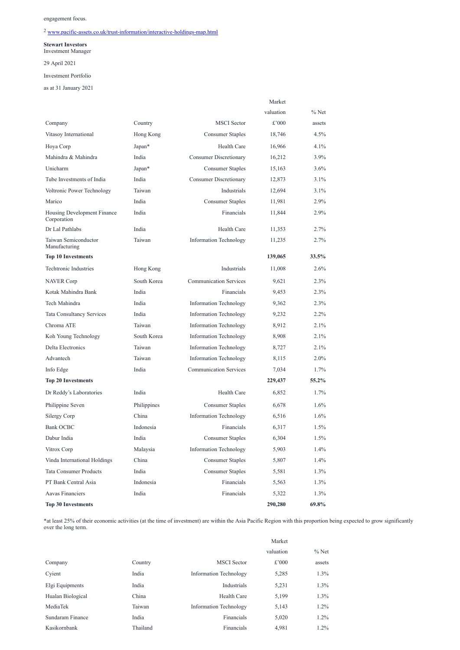engagement focus.

# <sup>2</sup> [www.pacific-assets.co.uk/trust-information/interactive-holdings-map.html](http://www.pacific-assets.co.uk/trust-information/interactive-holdings-map.html)

# **Stewart Investors**

Investment Manager

29 April 2021

# Investment Portfolio

as at 31 January 2021

|                                            |             |                               | Market    |         |
|--------------------------------------------|-------------|-------------------------------|-----------|---------|
|                                            |             |                               | valuation | $%$ Net |
| Company                                    | Country     | <b>MSCI</b> Sector            | £'000     | assets  |
| Vitasoy International                      | Hong Kong   | <b>Consumer Staples</b>       | 18,746    | 4.5%    |
| Hoya Corp                                  | Japan*      | Health Care                   | 16,966    | 4.1%    |
| Mahindra & Mahindra                        | India       | <b>Consumer Discretionary</b> | 16,212    | 3.9%    |
| Unicharm                                   | Japan*      | <b>Consumer Staples</b>       | 15,163    | 3.6%    |
| Tube Investments of India                  | India       | <b>Consumer Discretionary</b> | 12,873    | 3.1%    |
| Voltronic Power Technology                 | Taiwan      | Industrials                   | 12,694    | 3.1%    |
| Marico                                     | India       | <b>Consumer Staples</b>       | 11,981    | 2.9%    |
| Housing Development Finance<br>Corporation | India       | Financials                    | 11,844    | 2.9%    |
| Dr Lal Pathlabs                            | India       | Health Care                   | 11,353    | 2.7%    |
| Taiwan Semiconductor<br>Manufacturing      | Taiwan      | <b>Information Technology</b> | 11,235    | 2.7%    |
| <b>Top 10 Investments</b>                  |             |                               | 139,065   | 33.5%   |
| <b>Techtronic Industries</b>               | Hong Kong   | Industrials                   | 11,008    | 2.6%    |
| <b>NAVER Corp</b>                          | South Korea | <b>Communication Services</b> | 9,621     | 2.3%    |
| Kotak Mahindra Bank                        | India       | Financials                    | 9,453     | 2.3%    |
| Tech Mahindra                              | India       | <b>Information Technology</b> | 9,362     | 2.3%    |
| <b>Tata Consultancy Services</b>           | India       | <b>Information Technology</b> | 9,232     | 2.2%    |
| Chroma ATE                                 | Taiwan      | <b>Information Technology</b> | 8,912     | 2.1%    |
| Koh Young Technology                       | South Korea | <b>Information Technology</b> | 8,908     | 2.1%    |
| Delta Electronics                          | Taiwan      | <b>Information Technology</b> | 8,727     | 2.1%    |
| Advantech                                  | Taiwan      | <b>Information Technology</b> | 8,115     | 2.0%    |
| Info Edge                                  | India       | <b>Communication Services</b> | 7,034     | 1.7%    |
| <b>Top 20 Investments</b>                  |             |                               | 229,437   | 55.2%   |
| Dr Reddy's Laboratories                    | India       | Health Care                   | 6,852     | 1.7%    |
| Philippine Seven                           | Philippines | <b>Consumer Staples</b>       | 6,678     | 1.6%    |
| Silergy Corp                               | China       | <b>Information Technology</b> | 6,516     | 1.6%    |
| <b>Bank OCBC</b>                           | Indonesia   | Financials                    | 6,317     | 1.5%    |
| Dabur India                                | India       | <b>Consumer Staples</b>       | 6,304     | 1.5%    |
| Vitrox Corp                                | Malaysia    | <b>Information Technology</b> | 5,903     | 1.4%    |
| Vinda International Holdings               | China       | <b>Consumer Staples</b>       | 5,807     | 1.4%    |
| <b>Tata Consumer Products</b>              | India       | <b>Consumer Staples</b>       | 5,581     | 1.3%    |
| PT Bank Central Asia                       | Indonesia   | Financials                    | 5,563     | 1.3%    |

| Aavas Financiers          | 'ndia | Financials | 5,322   | $0.3\%$ |
|---------------------------|-------|------------|---------|---------|
| <b>Top 30 Investments</b> |       |            | 290,280 | 69.8%   |

\*at least 25% of their economic activities (at the time of investment) are within the Asia Pacific Region with this proportion being expected to grow significantly over the long term.

Market

|                   |          |                               | valuation | $\%$ Net |
|-------------------|----------|-------------------------------|-----------|----------|
| Company           | Country  | <b>MSCI</b> Sector            | £'000     | assets   |
| Cyient            | India    | <b>Information Technology</b> | 5,285     | $1.3\%$  |
| Elgi Equipments   | India    | Industrials                   | 5,231     | $1.3\%$  |
| Hualan Biological | China    | Health Care                   | 5,199     | $1.3\%$  |
| MediaTek          | Taiwan   | <b>Information Technology</b> | 5,143     | 1.2%     |
| Sundaram Finance  | India    | Financials                    | 5,020     | 1.2%     |
| Kasikornbank      | Thailand | Financials                    | 4,981     | $1.2\%$  |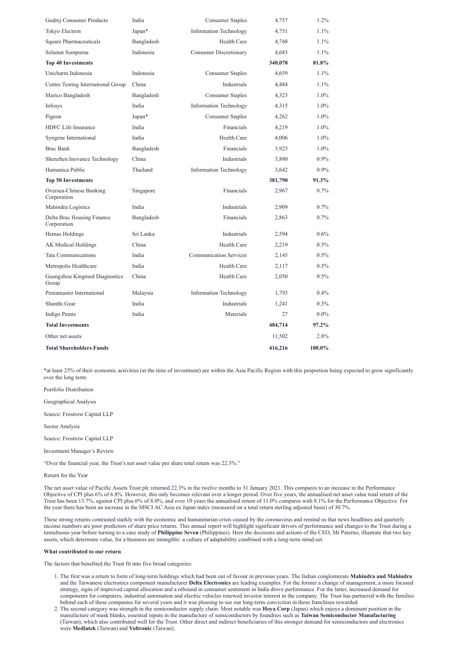| Godrej Consumer Products                  | India      | <b>Consumer Staples</b>       | 4,757   | $1.2\%$ |
|-------------------------------------------|------------|-------------------------------|---------|---------|
| Tokyo Electron                            | Japan*     | <b>Information Technology</b> | 4,751   | 1.1%    |
| <b>Square Pharmaceuticals</b>             | Bangladesh | Health Care                   | 4,748   | 1.1%    |
| Selamat Sempurna                          | Indonesia  | <b>Consumer Discretionary</b> | 4,683   | 1.1%    |
| <b>Top 40 Investments</b>                 |            |                               | 340,078 | 81.8%   |
| Unicharm Indonesia                        | Indonesia  | <b>Consumer Staples</b>       | 4,659   | 1.1%    |
| Centre Testing International Group        | China      | Industrials                   | 4,484   | 1.1%    |
| Marico Bangladesh                         | Bangladesh | <b>Consumer Staples</b>       | 4,323   | 1.0%    |
| Infosys                                   | India      | <b>Information Technology</b> | 4,315   | 1.0%    |
| Pigeon                                    | Japan*     | <b>Consumer Staples</b>       | 4,262   | 1.0%    |
| HDFC Life Insurance                       | India      | Financials                    | 4,219   | 1.0%    |
| Syngene International                     | India      | Health Care                   | 4,006   | 1.0%    |
| <b>Brac Bank</b>                          | Bangladesh | Financials                    | 3,923   | 1.0%    |
| Shenzhen Inovance Technology              | China      | Industrials                   | 3,880   | 0.9%    |
| Humanica Public                           | Thailand   | <b>Information Technology</b> | 3,642   | 0.9%    |
| <b>Top 50 Investments</b>                 |            |                               | 381,790 | 91.3%   |
| Oversea-Chinese Banking<br>Corporation    | Singapore  | Financials                    | 2,967   | 0.7%    |
| Mahindra Logistics                        | India      | Industrials                   | 2,909   | 0.7%    |
| Delta Brac Housing Finance<br>Corporation | Bangladesh | Financials                    | 2,863   | 0.7%    |
| Hemas Holdings                            | Sri Lanka  | Industrials                   | 2,594   | 0.6%    |
| AK Medical Holdings                       | China      | Health Care                   | 2,219   | 0.5%    |
| <b>Tata Communications</b>                | India      | <b>Communication Services</b> | 2,145   | 0.5%    |
| Metropolis Healthcare                     | India      | Health Care                   | 2,117   | $0.5\%$ |
| Guangzhou Kingmed Diagnostics<br>Group    | China      | Health Care                   | 2,050   | $0.5\%$ |
| Pentamaster International                 | Malaysia   | <b>Information Technology</b> | 1,793   | $0.4\%$ |
| Shanthi Gear                              | India      | Industrials                   | 1,241   | $0.3\%$ |
| Indigo Paints                             | India      | Materials                     | 27      | $0.0\%$ |
| <b>Total Investments</b>                  |            |                               | 404,714 | 97.2%   |
| Other net assets                          |            |                               | 11,502  | 2.8%    |
| <b>Total Shareholders Funds</b>           |            |                               | 416,216 | 100.0%  |

\*at least 25% of their economic activities (at the time of investment) are within the Asia Pacific Region with this proportion being expected to grow significantly over the long term.

Portfolio Distribution

Geographical Analysis

Source: Frostrow Capital LLP

Sector Analysis

Source: Frostrow Capital LLP

Investment Manager's Review

"Over the financial year, the Trust's net asset value per share total return was 22.3%."

Return for the Year

The net asset value of Pacific Assets Trust plc returned 22.3% in the twelve months to 31 January 2021. This compares to an increase in the Performance

Objective of CPI plus 6% of 6.8%. However, this only becomes relevant over a longer period. Over five years, the annualised net asset value total return of the Trust has been 13.7%, against CPI plus 6% of 8.0%, and over 10 years the annualised return of 11.0% compares with 8.1% for the Performance Objective. For the year there has been an increase in the MSCI AC Asia ex Japan index (measured on a total return sterling adjusted basis) of 30.7%.

These strong returns contrasted starkly with the economic and humanitarian crisis caused by the coronavirus and remind us that news headlines and quarterly income numbers are poor predictors of share price returns. This annual report will highlight significant drivers of performance and changes to the Trust during a tumultuous year before turning to a case study of **Philippine Seven** (Philippines). Here the decisions and actions of the CEO, Mr Paterno, illustrate that two key assets, which determine value, for a business are intangible: a culture of adaptability combined with a long-term mind-set.

#### **What contributed to our return**

The factors that benefited the Trust fit into five broad categories:

- 1. The first was a return to form of long-term holdings which had been out of favour in previous years. The Indian conglomerate **Mahindra and Mahindra** and the Taiwanese electronics component manufacturer **Delta Electronics** are leading examples. For the former a change of management, a more focused strategy, signs of improved capital allocation and a rebound in consumer sentiment in India drove performance. For the latter, increased demand for components for computers, industrial automation and electric vehicles renewed investor interest in the company. The Trust has partnered with the families behind each of these companies for several years and it was pleasing to see our long-term conviction in these franchises rewarded.
- 2. The second category was strength in the semiconductor supply chain. Most notable was **Hoya Corp** (Japan) which enjoys a dominant position in the manufacture of mask blanks, essential inputs in the manufacture of semiconductors by foundries such as **Taiwan Semiconductor Manufacturing** (Taiwan), which also contributed well for the Trust. Other direct and indirect beneficiaries of this stronger demand for semiconductors and electronics were **Mediatek** (Taiwan) and **Voltronic** (Taiwan).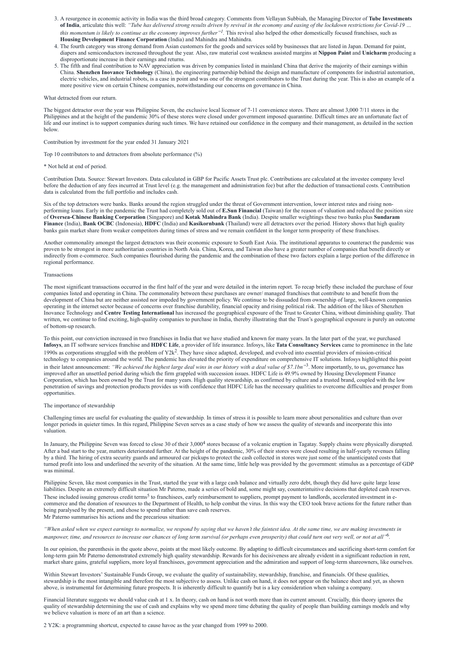- 3. A resurgence in economic activity in India was the third broad category. Comments from Vellayan Subbiah, the Managing Director of **Tube Investments of India**, articulate this well: *"Tube has delivered strong results driven by revival in the economy and easing of the lockdown restrictions for Covid-19 … this momentum is likely to continue as the economy improves further"<sup>1</sup> .* This revival also helped the other domestically focused franchises, such as **Housing Development Finance Corporation** (India) and Mahindra and Mahindra.
- 4. The fourth category was strong demand from Asian customers for the goods and services sold by businesses that are listed in Japan. Demand for paint, diapers and semiconductors increased throughout the year. Also, raw material cost weakness assisted margins at **Nippon Paint** and **Unicharm** producing a disproportionate increase in their earnings and returns.
- 5. The fifth and final contribution to NAV appreciation was driven by companies listed in mainland China that derive the majority of their earnings within China. **Shenzhen Inovance Technology** (China), the engineering partnership behind the design and manufacture of components for industrial automation, electric vehicles, and industrial robots, is a case in point and was one of the strongest contributors to the Trust during the year. This is also an example of a more positive view on certain Chinese companies, notwithstanding our concerns on governance in China.

What detracted from our return.

The biggest detractor over the year was Philippine Seven, the exclusive local licensor of 7-11 convenience stores. There are almost 3,000 7/11 stores in the Philippines and at the height of the pandemic 30% of these stores were closed under government imposed quarantine. Difficult times are an unfortunate fact of life and our instinct is to support companies during such times. We have retained our confidence in the company and their management, as detailed in the section below.

Contribution by investment for the year ended 31 January 2021

Top 10 contributors to and detractors from absolute performance (%)

\* Not held at end of period.

Contribution Data. Source: Stewart Investors. Data calculated in GBP for Pacific Assets Trust plc. Contributions are calculated at the investee company level before the deduction of any fees incurred at Trust level (e.g. the management and administration fee) but after the deduction of transactional costs. Contribution data is calculated from the full portfolio and includes cash.

Six of the top detractors were banks. Banks around the region struggled under the threat of Government intervention, lower interest rates and rising nonperforming loans. Early in the pandemic the Trust had completely sold out of **E.Sun Financial** (Taiwan) for the reason of valuation and reduced the position size of **Oversea-Chinese Banking Corporation** (Singapore) and **Kotak Mahindra Bank** (India). Despite smaller weightings these two banks plus **Sundaram Finance** (India), **Bank OCBC** (Indonesia), **HDFC** (India) and **Kasikornbank** (Thailand) were all detractors over the period. History shows that high quality banks gain market share from weaker competitors during times of stress and we remain confident in the longer term prosperity of these franchises.

Another commonality amongst the largest detractors was their economic exposure to South East Asia. The institutional apparatus to counteract the pandemic was proven to be strongest in more authoritarian countries in North Asia. China, Korea, and Taiwan also have a greater number of companies that benefit directly or indirectly from e-commerce. Such companies flourished during the pandemic and the combination of these two factors explain a large portion of the difference in regional performance.

In January, the Philippine Seven was forced to close 30 of their 3,000<sup>4</sup> stores because of a volcanic eruption in Tagatay. Supply chains were physically disrupted. After a bad start to the year, matters deteriorated further. At the height of the pandemic, 30% of their stores were closed resulting in half-yearly revenues falling by a third. The hiring of extra security guards and armoured car pickups to protect the cash collected in stores were just some of the unanticipated costs that turned profit into loss and underlined the severity of the situation. At the same time, little help was provided by the government: stimulus as a percentage of GDP was minimal.

#### Transactions

The most significant transactions occurred in the first half of the year and were detailed in the interim report. To recap briefly these included the purchase of four companies listed and operating in China. The commonality between these purchases are owner/ managed franchises that contribute to and benefit from the development of China but are neither assisted nor impeded by government policy. We continue to be dissuaded from ownership of large, well-known companies operating in the internet sector because of concerns over franchise durability, financial opacity and rising political risk. The addition of the likes of Shenzhen Inovance Technology and **Centre Testing International** has increased the geographical exposure of the Trust to Greater China, without diminishing quality. That written, we continue to find exciting, high-quality companies to purchase in India, thereby illustrating that the Trust's geographical exposure is purely an outcome of bottom-up research.

To this point, our conviction increased in two franchises in India that we have studied and known for many years. In the later part of the year, we purchased **Infosys**, an IT software services franchise and **HDFC Life**, a provider of life insurance. Infosys, like **Tata Consultancy Services** came to prominence in the late 1990s as corporations struggled with the problem of  $Y2k^2$ . They have since adapted, developed, and evolved into essential providers of mission-critical technology to companies around the world. The pandemic has elevated the priority of expenditure on comprehensive IT solutions. Infosys highlighted this point in their latest announcement: *"We achieved the highest large deal wins in our history with a deal value of \$7.1bn"*<sup>3</sup> . More importantly, to us, governance has improved after an unsettled period during which the firm grappled with succession issues. HDFC Life is 49.9% owned by Housing Development Finance Corporation, which has been owned by the Trust for many years. High quality stewardship, as confirmed by culture and a trusted brand, coupled with the low penetration of savings and protection products provides us with confidence that HDFC Life has the necessary qualities to overcome difficulties and prosper from opportunities.

#### The importance of stewardship

Challenging times are useful for evaluating the quality of stewardship. In times of stress it is possible to learn more about personalities and culture than over longer periods in quieter times. In this regard, Philippine Seven serves as a case study of how we assess the quality of stewards and incorporate this into valuation.

Philippine Seven, like most companies in the Trust, started the year with a large cash balance and virtually zero debt, though they did have quite large lease liabilities. Despite an extremely difficult situation Mr Paterno, made a series of bold and, some might say, counterintuitive decisions that depleted cash reserv These included issuing generous credit terms<sup>5</sup> to franchisees, early reimbursement to suppliers, prompt payment to landlords, accelerated investment in ecommerce and the donation of resources to the Department of Health, to help combat the virus. In this way the CEO took brave actions for the future rather than being paralysed by the present, and chose to spend rather than save cash reserves. Mr Paterno summarises his actions and the precarious situation:

*"When asked when we expect earnings to normalize, we respond by saying that we haven't the faintest idea. At the same time, we are making investments in manpower, time, and resources to increase our chances of long term survival (or perhaps even prosperity) that could turn out very well, or not at all"*<sup>6</sup> *.*

In our opinion, the parenthesis in the quote above, points at the most likely outcome. By adapting to difficult circumstances and sacrificing short-term comfort for long-term gain Mr Paterno demonstrated extremely high quality stewardship. Rewards for his decisiveness are already evident in a significant reduction in rent, market share gains, grateful suppliers, more loyal franchisees, government appreciation and the admiration and support of long-term shareowners, like ourselves.

Within Stewart Investors' Sustainable Funds Group, we evaluate the quality of sustainability, stewardship, franchise, and financials. Of these qualities, stewardship is the most intangible and therefore the most subjective to assess. Unlike cash on hand, it does not appear on the balance sheet and yet, as shown above, is instrumental for determining future prospects. It is inherently difficult to quantify but is a key consideration when valuing a company.

Financial literature suggests we should value cash at 1 x. In theory, cash on hand is not worth more than its current amount. Crucially, this theory ignores the quality of stewardship determining the use of cash and explains why we spend more time debating the quality of people than building earnings models and why we believe valuation is more of an art than a science.

2 Y2K: a programming shortcut, expected to cause havoc as the year changed from 1999 to 2000.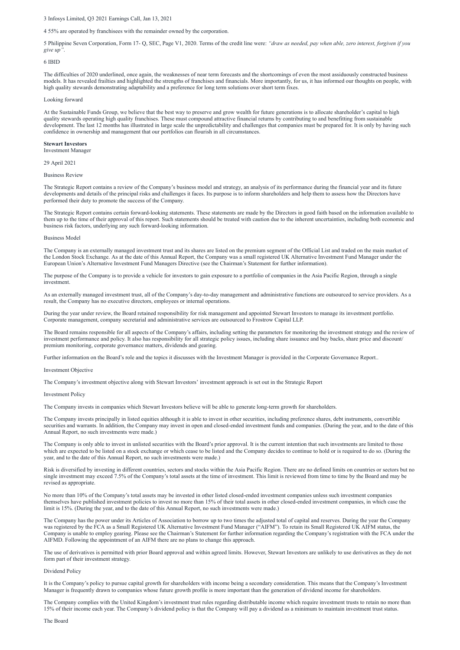### 3 Infosys Limited, Q3 2021 Earnings Call, Jan 13, 2021

#### 4 55% are operated by franchisees with the remainder owned by the corporation.

The difficulties of 2020 underlined, once again, the weaknesses of near term forecasts and the shortcomings of even the most assiduously constructed business models. It has revealed frailties and highlighted the strengths of franchises and financials. More importantly, for us, it has informed our thoughts on people, with high quality stewards demonstrating adaptability and a preference for long term solutions over short term fixes.

5 Philippine Seven Corporation, Form 17- Q, SEC, Page V1, 2020. Terms of the credit line were: *"draw as needed, pay when able, zero interest, forgiven if you give up"*.

#### 6 IBID

#### Looking forward

At the Sustainable Funds Group, we believe that the best way to preserve and grow wealth for future generations is to allocate shareholder's capital to high quality stewards operating high quality franchises. These must compound attractive financial returns by contributing to and benefitting from sustainable development. The last 12 months has illustrated in large scale the unpredictability and challenges that companies must be prepared for. It is only by having such confidence in ownership and management that our portfolios can flourish in all circumstances.

### **Stewart Investors**

Investment Manager

29 April 2021

#### Business Review

The Strategic Report contains a review of the Company's business model and strategy, an analysis of its performance during the financial year and its future developments and details of the principal risks and challenges it faces. Its purpose is to inform shareholders and help them to assess how the Directors have performed their duty to promote the success of the Company.

The Strategic Report contains certain forward-looking statements. These statements are made by the Directors in good faith based on the information available to them up to the time of their approval of this report. Such statements should be treated with caution due to the inherent uncertainties, including both economic and business risk factors, underlying any such forward-looking information.

#### Business Model

The Company is an externally managed investment trust and its shares are listed on the premium segment of the Official List and traded on the main market of the London Stock Exchange. As at the date of this Annual Report, the Company was a small registered UK Alternative Investment Fund Manager under the European Union's Alternative Investment Fund Managers Directive (see the Chairman's Statement for further information).

The purpose of the Company is to provide a vehicle for investors to gain exposure to a portfolio of companies in the Asia Pacific Region, through a single investment.

As an externally managed investment trust, all of the Company's day-to-day management and administrative functions are outsourced to service providers. As a result, the Company has no executive directors, employees or internal operations.

During the year under review, the Board retained responsibility for risk management and appointed Stewart Investors to manage its investment portfolio. Corporate management, company secretarial and administrative services are outsourced to Frostrow Capital LLP.

The Board remains responsible for all aspects of the Company's affairs, including setting the parameters for monitoring the investment strategy and the review of investment performance and policy. It also has responsibility for all strategic policy issues, including share issuance and buy backs, share price and discount/ premium monitoring, corporate governance matters, dividends and gearing.

Further information on the Board's role and the topics it discusses with the Investment Manager is provided in the Corporate Governance Report..

#### Investment Objective

The Company's investment objective along with Stewart Investors' investment approach is set out in the Strategic Report

#### Investment Policy

The Company invests in companies which Stewart Investors believe will be able to generate long-term growth for shareholders.

The Company invests principally in listed equities although it is able to invest in other securities, including preference shares, debt instruments, convertible securities and warrants. In addition, the Company may invest in open and closed-ended investment funds and companies. (During the year, and to the date of this Annual Report, no such investments were made.)

The Company is only able to invest in unlisted securities with the Board's prior approval. It is the current intention that such investments are limited to those which are expected to be listed on a stock exchange or which cease to be listed and the Company decides to continue to hold or is required to do so. (During the year, and to the date of this Annual Report, no such investments were made.)

Risk is diversified by investing in different countries, sectors and stocks within the Asia Pacific Region. There are no defined limits on countries or sectors but no single investment may exceed 7.5% of the Company's total assets at the time of investment. This limit is reviewed from time to time by the Board and may be revised as appropriate.

No more than 10% of the Company's total assets may be invested in other listed closed-ended investment companies unless such investment companies themselves have published investment policies to invest no more than 15% of their total assets in other closed-ended investment companies, in which case the limit is 15%. (During the year, and to the date of this Annual Report, no such investments were made.)

The Company has the power under its Articles of Association to borrow up to two times the adjusted total of capital and reserves. During the year the Company was registered by the FCA as a Small Registered UK Alternative Investment Fund Manager ("AIFM"). To retain its Small Registered UK AIFM status, the Company is unable to employ gearing. Please see the Chairman's Statement for further information regarding the Company's registration with the FCA under the AIFMD. Following the appointment of an AIFM there are no plans to change this approach.

The use of derivatives is permitted with prior Board approval and within agreed limits. However, Stewart Investors are unlikely to use derivatives as they do not form part of their investment strategy.

#### Dividend Policy

It is the Company's policy to pursue capital growth for shareholders with income being a secondary consideration. This means that the Company's Investment Manager is frequently drawn to companies whose future growth profile is more important than the generation of dividend income for shareholders.

The Company complies with the United Kingdom's investment trust rules regarding distributable income which require investment trusts to retain no more than 15% of their income each year. The Company's dividend policy is that the Company will pay a dividend as a minimum to maintain investment trust status.

The Board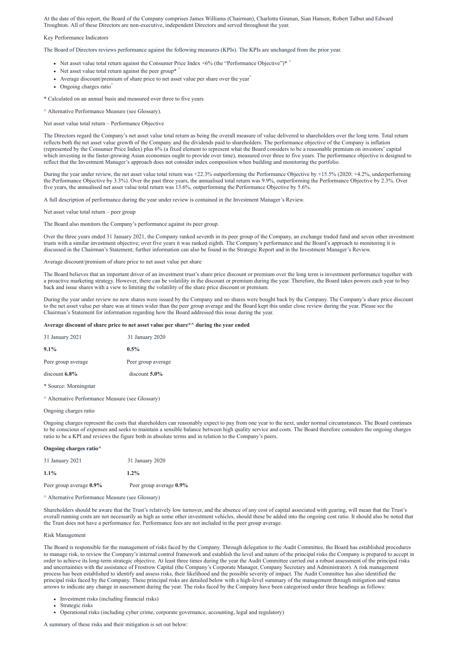At the date of this report, the Board of the Company comprises James Williams (Chairman), Charlotta Ginman, Sian Hansen, Robert Talbut and Edward Troughton. All of these Directors are non-executive, independent Directors and served throughout the year.

#### Key Performance Indicators

The Board of Directors reviews performance against the following measures (KPIs). The KPIs are unchanged from the prior year.

- Net asset value total return against the Consumer Price Index  $+6\%$  (the "Performance Objective")\*
- Net asset value total return against the peer group<sup>\*</sup>
- Average discount/premium of share price to net asset value per share over the year  $\hat{ }$
- Ongoing charges ratio $\hat{ }$

\* Calculated on an annual basis and measured over three to five years

^ Alternative Performance Measure (see Glossary).

#### Net asset value total return – Performance Objective

The Directors regard the Company's net asset value total return as being the overall measure of value delivered to shareholders over the long term. Total return reflects both the net asset value growth of the Company and the dividends paid to shareholders. The performance objective of the Company is inflation (represented by the Consumer Price Index) plus 6% (a fixed element to represent what the Board considers to be a reasonable premium on investors' capital which investing in the faster-growing Asian economies ought to provide over time), measured over three to five years. The performance objective is designed to reflect that the Investment Manager's approach does not consider index composition when building and monitoring the portfolio.

During the year under review, the net asset value total return was +22.3% outperforming the Performance Objective by +15.5% (2020: +4.2%, underperforming the Performance Objective by 3.3%). Over the past three years, the annualised total return was 9.9%, outperforming the Performance Objective by 2.3%. Over five years, the annualised net asset value total return was 13.6%, outperforming the Performance Objective by 5.6%.

A full description of performance during the year under review is contained in the Investment Manager's Review.

Net asset value total return – peer group

The Board also monitors the Company's performance against its peer group.

Over the three years ended 31 January 2021, the Company ranked seventh in its peer group of the Company, an exchange traded fund and seven other investment trusts with a similar investment objective; over five years it was ranked eighth. The Company's performance and the Board's approach to monitoring it is discussed in the Chairman's Statement; further information can also be found in the Strategic Report and in the Investment Manager's Review.

Average discount/premium of share price to net asset value per share

The Board believes that an important driver of an investment trust's share price discount or premium over the long term is investment performance together with a proactive marketing strategy. However, there can be volatility in the discount or premium during the year. Therefore, the Board takes powers each year to buy back and issue shares with a view to limiting the volatility of the share price discount or premium.

- Investment risks (including financial risks)
- Strategic risks
- Operational risks (including cyber crime, corporate governance, accounting, legal and regulatory)

During the year under review no new shares were issued by the Company and no shares were bought back by the Company. The Company's share price discount to the net asset value per share was at times wider than the peer group average and the Board kept this under close review during the year. Please see the Chairman's Statement for information regarding how the Board addressed this issue during the year.

#### **Average discount of share price to net asset value per share\*^ during the year ended**

| 31 January 2021    | 31 January 2020    |
|--------------------|--------------------|
| $9.1\%$            | $0.5\%$            |
| Peer group average | Peer group average |
| $discount 6.8\%$   | $discount$ 5.0%    |
|                    |                    |

\* Source: Morningstar

^ Alternative Performance Measure (see Glossary)

#### Ongoing charges ratio

Ongoing charges represent the costs that shareholders can reasonably expect to pay from one year to the next, under normal circumstances. The Board continues to be conscious of expenses and seeks to maintain a sensible balance between high quality service and costs. The Board therefore considers the ongoing charges ratio to be a KPI and reviews the figure both in absolute terms and in relation to the Company's peers.

#### **Ongoing charges ratio^**

| 31 January 2021         | 31 January 2020         |
|-------------------------|-------------------------|
| $1.1\%$                 | $1.2\%$                 |
| Peer group average 0.9% | Peer group average 0.9% |

^ Alternative Performance Measure (see Glossary)

Shareholders should be aware that the Trust's relatively low turnover, and the absence of any cost of capital associated with gearing, will mean that the Trust's overall running costs are not necessarily as high as some other investment vehicles, should these be added into the ongoing cost ratio. It should also be noted that the Trust does not have a performance fee. Performance fees are not included in the peer group average.

#### Risk Management

The Board is responsible for the management of risks faced by the Company. Through delegation to the Audit Committee, the Board has established procedures to manage risk, to review the Company's internal control framework and establish the level and nature of the principal risks the Company is prepared to accept in order to achieve its long-term strategic objective. At least three times during the year the Audit Committee carried out a robust assessment of the principal risks and uncertainties with the assistance of Frostrow Capital (the Company's Corporate Manager, Company Secretary and Administrator). A risk management process has been established to identify and assess risks, their likelihood and the possible severity of impact. The Audit Committee has also identified the principal risks faced by the Company. These principal risks are detailed below with a high-level summary of the management through mitigation and status arrows to indicate any change in assessment during the year. The risks faced by the Company have been categorised under three headings as follows:

A summary of these risks and their mitigation is set out below: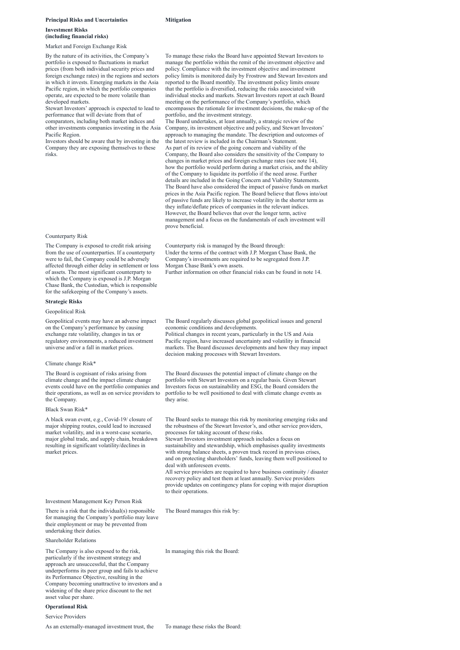#### **Principal Risks and Uncertainties Mitigation**

# **Investment Risks (including financial risks)**

Market and Foreign Exchange Risk

By the nature of its activities, the Company's portfolio is exposed to fluctuations in market prices (from both individual security prices and foreign exchange rates) in the regions and sectors in which it invests. Emerging markets in the Asia Pacific region, in which the portfolio companies operate, are expected to be more volatile than developed markets.

Stewart Investors' approach is expected to lead to performance that will deviate from that of comparators, including both market indices and other investments companies investing in the Asia Pacific Region.

Investors should be aware that by investing in the Company they are exposing themselves to these risks.

To manage these risks the Board have appointed Stewart Investors to manage the portfolio within the remit of the investment objective and policy. Compliance with the investment objective and investment policy limits is monitored daily by Frostrow and Stewart Investors and reported to the Board monthly. The investment policy limits ensure that the portfolio is diversified, reducing the risks associated with individual stocks and markets. Stewart Investors report at each Board meeting on the performance of the Company's portfolio, which encompasses the rationale for investment decisions, the make-up of the portfolio, and the investment strategy.

The Board undertakes, at least annually, a strategic review of the Company, its investment objective and policy, and Stewart Investors' approach to managing the mandate. The description and outcomes of the latest review is included in the Chairman's Statement. As part of its review of the going concern and viability of the Company, the Board also considers the sensitivity of the Company to changes in market prices and foreign exchange rates (see note 14), how the portfolio would perform during a market crisis, and the ability of the Company to liquidate its portfolio if the need arose. Further details are included in the Going Concern and Viability Statements. The Board have also considered the impact of passive funds on market prices in the Asia Pacific region. The Board believe that flows into/out of passive funds are likely to increase volatility in the shorter term as they inflate/deflate prices of companies in the relevant indices. However, the Board believes that over the longer term, active management and a focus on the fundamentals of each investment will prove beneficial.

# Counterparty Risk

The Company is exposed to credit risk arising from the use of counterparties. If a counterparty were to fail, the Company could be adversely affected through either delay in settlement or loss of assets. The most significant counterparty to which the Company is exposed is J.P. Morgan Chase Bank, the Custodian, which is responsible for the safekeeping of the Company's assets.

Counterparty risk is managed by the Board through: Under the terms of the contract with J.P. Morgan Chase Bank, the Company's investments are required to be segregated from J.P. Morgan Chase Bank's own assets. Further information on other financial risks can be found in note 14.

#### **Strategic Risks**

#### Geopolitical Risk

Geopolitical events may have an adverse impact on the Company's performance by causing exchange rate volatility, changes in tax or regulatory environments, a reduced investment universe and/or a fall in market prices.

The Board regularly discusses global geopolitical issues and general economic conditions and developments.

Political changes in recent years, particularly in the US and Asia Pacific region, have increased uncertainty and volatility in financial markets. The Board discusses developments and how they may impact decision making processes with Stewart Investors.

#### Climate change Risk\*

The Board is cognisant of risks arising from climate change and the impact climate change events could have on the portfolio companies and their operations, as well as on service providers to the Company.

The Board discusses the potential impact of climate change on the portfolio with Stewart Investors on a regular basis. Given Stewart Investors focus on sustainability and ESG, the Board considers the portfolio to be well positioned to deal with climate change events as they arise.

#### Black Swan Risk\*

A black swan event, e.g., Covid-19/ closure of major shipping routes, could lead to increased market volatility, and in a worst-case scenario, major global trade, and supply chain, breakdown resulting in significant volatility/declines in market prices.

The Board seeks to manage this risk by monitoring emerging risks and the robustness of the Stewart Investor's, and other service providers, processes for taking account of these risks.

Stewart Investors investment approach includes a focus on sustainability and stewardship, which emphasises quality investments with strong balance sheets, a proven track record in previous crises, and on protecting shareholders' funds, leaving them well positioned to deal with unforeseen events.

All service providers are required to have business continuity / disaster recovery policy and test them at least annually. Service providers provide updates on contingency plans for coping with major disruption

#### to their operations.

Investment Management Key Person Risk

There is a risk that the individual(s) responsible for managing the Company's portfolio may leave their employment or may be prevented from undertaking their duties.

The Board manages this risk by:

Shareholder Relations

The Company is also exposed to the risk, particularly if the investment strategy and approach are unsuccessful, that the Company underperforms its peer group and fails to achieve its Performance Objective, resulting in the Company becoming unattractive to investors and a widening of the share price discount to the net asset value per share.

In managing this risk the Board:

# **Operational Risk**

#### Service Providers

As an externally-managed investment trust, the To manage these risks the Board: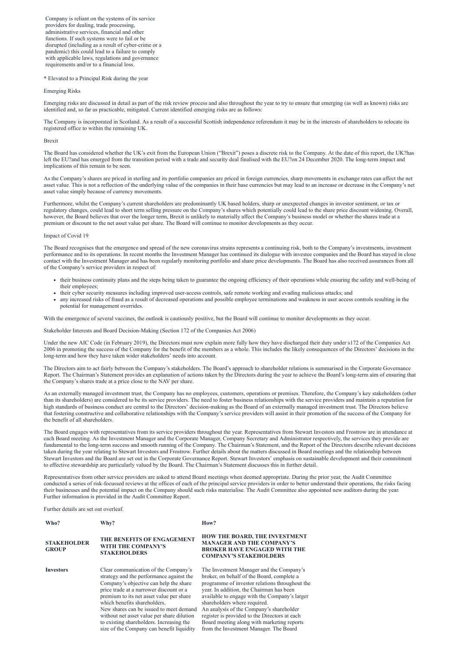Company is reliant on the systems of its service providers for dealing, trade processing, administrative services, financial and other functions. If such systems were to fail or be disrupted (including as a result of cyber-crime or a pandemic) this could lead to a failure to comply with applicable laws, regulations and governance requirements and/or to a financial loss.

\* Elevated to a Principal Risk during the year

Emerging Risks

Emerging risks are discussed in detail as part of the risk review process and also throughout the year to try to ensure that emerging (as well as known) risks are identified and, so far as practicable, mitigated. Current identified emerging risks are as follows:

The Company is incorporated in Scotland. As a result of a successful Scottish independence referendum it may be in the interests of shareholders to relocate its registered office to within the remaining UK.

#### Brexit

The Board has considered whether the UK's exit from the European Union ("Brexit") poses a discrete risk to the Company. At the date of this report, the UK?has left the EU?and has emerged from the transition period with a trade and security deal finalised with the EU?on 24 December 2020. The long-term impact and implications of this remain to be seen.

As the Company's shares are priced in sterling and its portfolio companies are priced in foreign currencies, sharp movements in exchange rates can affect the net asset value. This is not a reflection of the underlying value of the companies in their base currencies but may lead to an increase or decrease in the Company's net asset value simply because of currency movements.

Furthermore, whilst the Company's current shareholders are predominantly UK based holders, sharp or unexpected changes in investor sentiment, or tax or regulatory changes, could lead to short term selling pressure on the Company's shares which potentially could lead to the share price discount widening. Overall, however, the Board believes that over the longer term, Brexit is unlikely to materially affect the Company's business model or whether the shares trade at a premium or discount to the net asset value per share. The Board will continue to monitor developments as they occur.

#### Impact of Covid 19

The Board recognises that the emergence and spread of the new coronavirus strains represents a continuing risk, both to the Company's investments, investment performance and to its operations. In recent months the Investment Manager has continued its dialogue with investee companies and the Board has stayed in close contact with the Investment Manager and has been regularly monitoring portfolio and share price developments. The Board has also received assurances from all of the Company's service providers in respect of:

- their business continuity plans and the steps being taken to guarantee the ongoing efficiency of their operations while ensuring the safety and well-being of their employees;
- their cyber security measures including improved user-access controls, safe remote working and evading malicious attacks; and
- any increased risks of fraud as a result of decreased operations and possible employee terminations and weakness in user access controls resulting in the potential for management overrides.

With the emergence of several vaccines, the outlook is cautiously positive, but the Board will continue to monitor developments as they occur.

Stakeholder Interests and Board Decision-Making (Section 172 of the Companies Act 2006)

Under the new AIC Code (in February 2019), the Directors must now explain more fully how they have discharged their duty under s172 of the Companies Act 2006 in promoting the success of the Company for the benefit of the members as a whole. This includes the likely consequences of the Directors' decisions in the long-term and how they have taken wider stakeholders' needs into account.

The Directors aim to act fairly between the Company's stakeholders. The Board's approach to shareholder relations is summarised in the Corporate Governance Report. The Chairman's Statement provides an explanation of actions taken by the Directors during the year to achieve the Board's long-term aim of ensuring that the Company's shares trade at a price close to the NAV per share.

As an externally managed investment trust, the Company has no employees, customers, operations or premises. Therefore, the Company's key stakeholders (other than its shareholders) are considered to be its service providers. The need to foster business relationships with the service providers and maintain a reputation for high standards of business conduct are central to the Directors' decision-making as the Board of an externally managed investment trust. The Directors believe that fostering constructive and collaborative relationships with the Company's service providers will assist in their promotion of the success of the Company for the benefit of all shareholders.

The Board engages with representatives from its service providers throughout the year. Representatives from Stewart Investors and Frostrow are in attendance at each Board meeting. As the Investment Manager and the Corporate Manager, Company Secretary and Administrator respectively, the services they provide are fundamental to the long-term success and smooth running of the Company. The Chairman's Statement, and the Report of the Directors describe relevant decisions taken during the year relating to Stewart Investors and Frostrow. Further details about the matters discussed in Board meetings and the relationship between Stewart Investors and the Board are set out in the Corporate Governance Report. Stewart Investors' emphasis on sustainable development and their commitment to effective stewardship are particularly valued by the Board. The Chairman's Statement discusses this in further detail.

Representatives from other service providers are asked to attend Board meetings when deemed appropriate. During the prior year, the Audit Committee conducted a series of risk-focussed reviews at the offices of each of the principal service providers in order to better understand their operations, the risks facing their businesses and the potential impact on the Company should such risks materialise. The Audit Committee also appointed new auditors during the year. Further information is provided in the Audit Committee Report.

Further details are set out overleaf.

**Who? Why? How?**

#### **STAKEHOLDER GROUP THE BENEFITS OF ENGAGEMENT WITH THE COMPANY'S STAKEHOLDERS HOW THE BOARD, THE INVESTMENT MANAGER AND THE COMPANY'S BROKER HAVE ENGAGED WITH THE COMPANY'S STAKEHOLDERS**

**Investors** Clear communication of the Company's strategy and the performance against the Company's objective can help the share price trade at a narrower discount or a premium to its net asset value per share which benefits shareholders. New shares can be issued to meet demand

without net asset value per share dilution to existing shareholders. Increasing the size of the Company can benefit liquidity The Investment Manager and the Company's broker, on behalf of the Board, complete a programme of investor relations throughout the year. In addition, the Chairman has been available to engage with the Company's larger shareholders where required. An analysis of the Company's shareholder register is provided to the Directors at each Board meeting along with marketing reports from the Investment Manager. The Board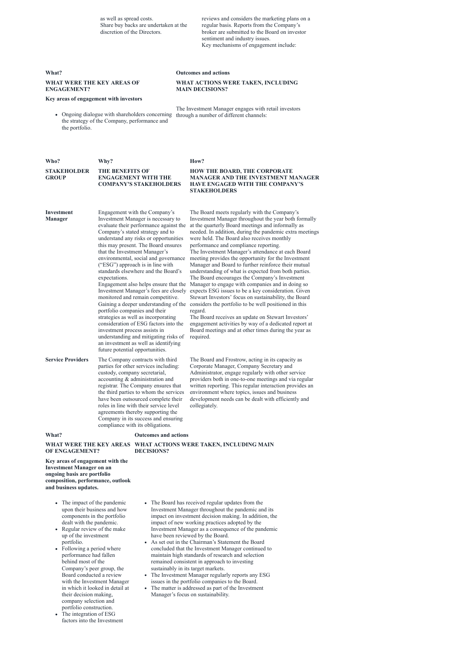as well as spread costs. Share buy backs are undertaken at the discretion of the Directors.

reviews and considers the marketing plans on a regular basis. Reports from the Company's broker are submitted to the Board on investor sentiment and industry issues. Key mechanisms of engagement include:

#### **What? Outcomes and actions**

#### **WHAT WERE THE KEY AREAS OF ENGAGEMENT?**

**WHAT ACTIONS WERE TAKEN, INCLUDING**

**MAIN DECISIONS?**

### **Key areas of engagement with investors**

Ongoing dialogue with shareholders concerning through a number of different channels: the strategy of the Company, performance and the portfolio.

The Investment Manager engages with retail investors

| Who?  | Why?                                                                                       | How?                                                                                                                                              |
|-------|--------------------------------------------------------------------------------------------|---------------------------------------------------------------------------------------------------------------------------------------------------|
| GROUP | STAKEHOLDER THE BENEFITS OF<br><b>ENGAGEMENT WITH THE</b><br><b>COMPANY'S STAKEHOLDERS</b> | <b>HOW THE BOARD, THE CORPORATE</b><br><b>MANAGER AND THE INVESTMENT MANAGER</b><br><b>HAVE ENGAGED WITH THE COMPANY'S</b><br><b>STAKEHOLDERS</b> |

- The impact of the pandemic upon their business and how components in the portfolio dealt with the pandemic.
- Regular review of the make up of the investment portfolio.
- Following a period where performance had fallen behind most of the
- Company's peer group, the Board conducted a review with the Investment Manager in which it looked in detail at their decision making, company selection and portfolio construction.
- The integration of ESG  $\bullet$ factors into the Investment

| <b>Investment</b><br><b>Manager</b> | Engagement with the Company's<br>Investment Manager is necessary to<br>evaluate their performance against the<br>Company's stated strategy and to<br>understand any risks or opportunities<br>this may present. The Board ensures<br>that the Investment Manager's<br>environmental, social and governance<br>("ESG") approach is in line with<br>standards elsewhere and the Board's<br>expectations.<br>Engagement also helps ensure that the<br>Investment Manager's fees are closely<br>monitored and remain competitive.<br>Gaining a deeper understanding of the<br>portfolio companies and their<br>strategies as well as incorporating<br>consideration of ESG factors into the<br>investment process assists in<br>understanding and mitigating risks of<br>an investment as well as identifying<br>future potential opportunities. | The Board meets regularly with the Company's<br>Investment Manager throughout the year both formally<br>at the quarterly Board meetings and informally as<br>needed. In addition, during the pandemic extra meetings<br>were held. The Board also receives monthly<br>performance and compliance reporting.<br>The Investment Manager's attendance at each Board<br>meeting provides the opportunity for the Investment<br>Manager and Board to further reinforce their mutual<br>understanding of what is expected from both parties.<br>The Board encourages the Company's Investment<br>Manager to engage with companies and in doing so<br>expects ESG issues to be a key consideration. Given<br>Stewart Investors' focus on sustainability, the Board<br>considers the portfolio to be well positioned in this<br>regard.<br>The Board receives an update on Stewart Investors'<br>engagement activities by way of a dedicated report at<br>Board meetings and at other times during the year as<br>required. |
|-------------------------------------|----------------------------------------------------------------------------------------------------------------------------------------------------------------------------------------------------------------------------------------------------------------------------------------------------------------------------------------------------------------------------------------------------------------------------------------------------------------------------------------------------------------------------------------------------------------------------------------------------------------------------------------------------------------------------------------------------------------------------------------------------------------------------------------------------------------------------------------------|---------------------------------------------------------------------------------------------------------------------------------------------------------------------------------------------------------------------------------------------------------------------------------------------------------------------------------------------------------------------------------------------------------------------------------------------------------------------------------------------------------------------------------------------------------------------------------------------------------------------------------------------------------------------------------------------------------------------------------------------------------------------------------------------------------------------------------------------------------------------------------------------------------------------------------------------------------------------------------------------------------------------|
| <b>Service Providers</b>            | The Company contracts with third<br>parties for other services including:<br>custody, company secretarial,<br>accounting & administration and<br>registrar. The Company ensures that<br>the third parties to whom the services<br>have been outsourced complete their<br>roles in line with their service level<br>agreements thereby supporting the<br>Company in its success and ensuring<br>compliance with its obligations.                                                                                                                                                                                                                                                                                                                                                                                                              | The Board and Frostrow, acting in its capacity as<br>Corporate Manager, Company Secretary and<br>Administrator, engage regularly with other service<br>providers both in one-to-one meetings and via regular<br>written reporting. This regular interaction provides an<br>environment where topics, issues and business<br>development needs can be dealt with efficiently and<br>collegiately.                                                                                                                                                                                                                                                                                                                                                                                                                                                                                                                                                                                                                    |
| What?                               | <b>Outcomes and actions</b>                                                                                                                                                                                                                                                                                                                                                                                                                                                                                                                                                                                                                                                                                                                                                                                                                  |                                                                                                                                                                                                                                                                                                                                                                                                                                                                                                                                                                                                                                                                                                                                                                                                                                                                                                                                                                                                                     |

#### **WHAT WERE THE KEY AREAS WHAT ACTIONS WERE TAKEN, INCLUDING MAIN OF ENGAGEMENT? DECISIONS?**

**Key areas of engagement with the Investment Manager on an ongoing basis are portfolio composition, performance, outlook and business updates.**

- The Board has received regular updates from the Investment Manager throughout the pandemic and its impact on investment decision making. In addition, the impact of new working practices adopted by the Investment Manager as a consequence of the pandemic have been reviewed by the Board.
- As set out in the Chairman's Statement the Board  $\bullet$ concluded that the Investment Manager continued to maintain high standards of research and selection remained consistent in approach to investing sustainably in its target markets.
- The Investment Manager regularly reports any ESG  $\bullet$ issues in the portfolio companies to the Board.
- The matter is addressed as part of the Investment  $\bullet$ Manager's focus on sustainability.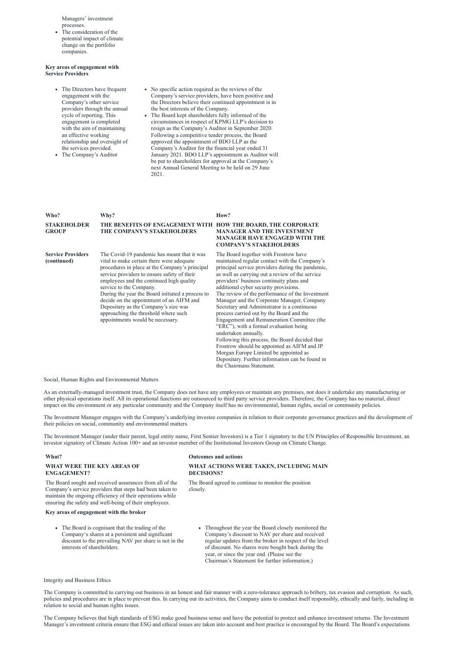Managers' investment processes.

The consideration of the potential impact of climate change on the portfolio companies.

#### **Key areas of engagement with Service Providers**

- The Directors have frequent engagement with the Company's other service providers through the annual cycle of reporting. This engagement is completed with the aim of maintaining an effective working relationship and oversight of the services provided.
- The Company's Auditor
- No specific action required as the reviews of the Company's service providers, have been positive and the Directors believe their continued appointment is in the best interests of the Company.
- The Board kept shareholders fully informed of the circumstances in respect of KPMG LLP's decision to resign as the Company's Auditor in September 2020. Following a competitive tender process, the Board approved the appointment of BDO LLP as the Company's Auditor for the financial year ended 31 January 2021. BDO LLP's appointment as Auditor will be put to shareholders for approval at the Company's next Annual General Meeting to be held on 29 June 2021.

| Who?                                    | Why?                                                                                                                                                                                                                                                                                                                                                                                                                                                                                 | How?                                                                                                                                                                                                                                                                                                                                                                                                                                                                                                                                                                                                                                                                                                                                                                                                                    |
|-----------------------------------------|--------------------------------------------------------------------------------------------------------------------------------------------------------------------------------------------------------------------------------------------------------------------------------------------------------------------------------------------------------------------------------------------------------------------------------------------------------------------------------------|-------------------------------------------------------------------------------------------------------------------------------------------------------------------------------------------------------------------------------------------------------------------------------------------------------------------------------------------------------------------------------------------------------------------------------------------------------------------------------------------------------------------------------------------------------------------------------------------------------------------------------------------------------------------------------------------------------------------------------------------------------------------------------------------------------------------------|
| <b>STAKEHOLDER</b><br><b>GROUP</b>      | THE BENEFITS OF ENGAGEMENT WITH HOW THE BOARD, THE CORPORATE<br>THE COMPANY'S STAKEHOLDERS                                                                                                                                                                                                                                                                                                                                                                                           | <b>MANAGER AND THE INVESTMENT</b><br><b>MANAGER HAVE ENGAGED WITH THE</b><br><b>COMPANY'S STAKEHOLDERS</b>                                                                                                                                                                                                                                                                                                                                                                                                                                                                                                                                                                                                                                                                                                              |
| <b>Service Providers</b><br>(continued) | The Covid-19 pandemic has meant that it was<br>vital to make certain there were adequate<br>procedures in place at the Company's principal<br>service providers to ensure safety of their<br>employees and the continued high quality<br>service to the Company.<br>During the year the Board initiated a process to<br>decide on the appointment of an AIFM and<br>Depositary as the Company's size was<br>approaching the threshold where such<br>appointments would be necessary. | The Board together with Frostrow have<br>maintained regular contact with the Company's<br>principal service providers during the pandemic,<br>as well as carrying out a review of the service<br>providers' business continuity plans and<br>additional cyber security provisions.<br>The review of the performance of the Investment<br>Manager and the Corporate Manager, Company<br>Secretary and Administrator is a continuous<br>process carried out by the Board and the<br>Engagement and Remuneration Committee (the<br>"ERC"), with a formal evaluation being<br>undertaken annually.<br>Following this process, the Board decided that<br>Frostrow should be appointed as AIFM and JP<br>Morgan Europe Limited be appointed as<br>Depositary. Further information can be found in<br>the Chairmans Statement. |

- The Board is cognisant that the trading of the Company's shares at a persistent and significant discount to the prevailing NAV per share is not in the interests of shareholders.
- Throughout the year the Board closely monitored the Company's discount to NAV per share and received regular updates from the broker in respect of the level of discount. No shares were bought back during the year, or since the year end. (Please see the Chairman's Statement for further information.)

#### Social, Human Rights and Environmental Matters

As an externally-managed investment trust, the Company does not have any employees or maintain any premises, nor does it undertake any manufacturing or other physical operations itself. All its operational functions are outsourced to third party service providers. Therefore, the Company has no material, direct impact on the environment or any particular community and the Company itself has no environmental, human rights, social or community policies.

The Investment Manager engages with the Company's underlying investee companies in relation to their corporate governance practices and the development of their policies on social, community and environmental matters.

The Investment Manager (under their parent, legal entity name, First Sentier Investors) is a Tier 1 signatory to the UN Principles of Responsible Investment, an investor signatory of Climate Action 100+ and an investor member of the Institutional Investors Group on Climate Change.

#### **What? Outcomes and actions**

### **WHAT WERE THE KEY AREAS OF ENGAGEMENT?**

#### **WHAT ACTIONS WERE TAKEN, INCLUDING MAIN DECISIONS?**

The Board sought and received assurances from all of the Company's service providers that steps had been taken to maintain the ongoing efficiency of their operations while ensuring the safety and well-being of their employees.

The Board agreed to continue to monitor the position closely.

#### **Key areas of engagement with the broker**

#### Integrity and Business Ethics

The Company is committed to carrying out business in an honest and fair manner with a zero-tolerance approach to bribery, tax evasion and corruption. As such, policies and procedures are in place to prevent this. In carrying out its activities, the Company aims to conduct itself responsibly, ethically and fairly, including in relation to social and human rights issues.

The Company believes that high standards of ESG make good business sense and have the potential to protect and enhance investment returns. The Investment Manager's investment criteria ensure that ESG and ethical issues are taken into account and best practice is encouraged by the Board. The Board's expectations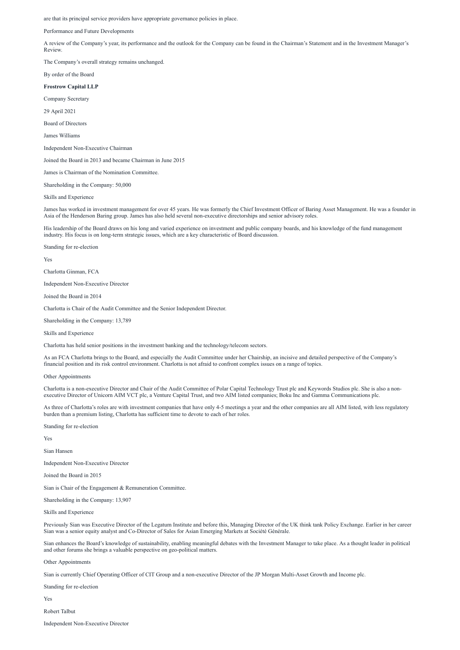are that its principal service providers have appropriate governance policies in place.

Performance and Future Developments

A review of the Company's year, its performance and the outlook for the Company can be found in the Chairman's Statement and in the Investment Manager's Review.

The Company's overall strategy remains unchanged.

By order of the Board

#### **Frostrow Capital LLP**

Company Secretary

29 April 2021

Board of Directors

James Williams

Independent Non-Executive Chairman

Joined the Board in 2013 and became Chairman in June 2015

James is Chairman of the Nomination Committee.

Shareholding in the Company: 50,000

Skills and Experience

James has worked in investment management for over 45 years. He was formerly the Chief Investment Officer of Baring Asset Management. He was a founder in Asia of the Henderson Baring group. James has also held several non-executive directorships and senior advisory roles.

His leadership of the Board draws on his long and varied experience on investment and public company boards, and his knowledge of the fund management industry. His focus is on long-term strategic issues, which are a key characteristic of Board discussion.

Standing for re-election

Yes

Charlotta Ginman, FCA

Independent Non-Executive Director

Joined the Board in 2014

Charlotta is Chair of the Audit Committee and the Senior Independent Director.

Shareholding in the Company: 13,789

Skills and Experience

Charlotta has held senior positions in the investment banking and the technology/telecom sectors.

As an FCA Charlotta brings to the Board, and especially the Audit Committee under her Chairship, an incisive and detailed perspective of the Company's financial position and its risk control environment. Charlotta is not afraid to confront complex issues on a range of topics.

Other Appointments

Charlotta is a non-executive Director and Chair of the Audit Committee of Polar Capital Technology Trust plc and Keywords Studios plc. She is also a nonexecutive Director of Unicorn AIM VCT plc, a Venture Capital Trust, and two AIM listed companies; Boku Inc and Gamma Communications plc.

As three of Charlotta's roles are with investment companies that have only 4-5 meetings a year and the other companies are all AIM listed, with less regulatory burden than a premium listing, Charlotta has sufficient time to devote to each of her roles.

Standing for re-election

Yes

Sian Hansen

Independent Non-Executive Director

Joined the Board in 2015

Sian is Chair of the Engagement & Remuneration Committee.

Shareholding in the Company: 13,907

Skills and Experience

Previously Sian was Executive Director of the Legatum Institute and before this, Managing Director of the UK think tank Policy Exchange. Earlier in her career Sian was a senior equity analyst and Co-Director of Sales for Asian Emerging Markets at Société Générale.

Sian enhances the Board's knowledge of sustainability, enabling meaningful debates with the Investment Manager to take place. As a thought leader in political and other forums she brings a valuable perspective on geo-political matters.

Other Appointments

Sian is currently Chief Operating Officer of CIT Group and a non-executive Director of the JP Morgan Multi-Asset Growth and Income plc.

Standing for re-election

Yes

Robert Talbut

Independent Non-Executive Director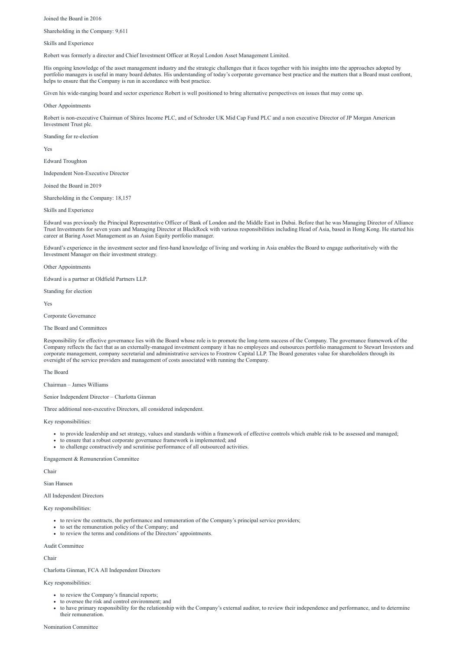Joined the Board in 2016

Shareholding in the Company: 9,611

Skills and Experience

Robert was formerly a director and Chief Investment Officer at Royal London Asset Management Limited.

His ongoing knowledge of the asset management industry and the strategic challenges that it faces together with his insights into the approaches adopted by portfolio managers is useful in many board debates. His understanding of today's corporate governance best practice and the matters that a Board must confront, helps to ensure that the Company is run in accordance with best practice.

Given his wide-ranging board and sector experience Robert is well positioned to bring alternative perspectives on issues that may come up.

Other Appointments

Robert is non-executive Chairman of Shires Income PLC, and of Schroder UK Mid Cap Fund PLC and a non executive Director of JP Morgan American Investment Trust plc.

Standing for re-election

Yes

Edward Troughton

Independent Non-Executive Director

Joined the Board in 2019

Shareholding in the Company: 18,157

Skills and Experience

Edward was previously the Principal Representative Officer of Bank of London and the Middle East in Dubai. Before that he was Managing Director of Alliance Trust Investments for seven years and Managing Director at BlackRock with various responsibilities including Head of Asia, based in Hong Kong. He started his career at Baring Asset Management as an Asian Equity portfolio manager.

Edward's experience in the investment sector and first-hand knowledge of living and working in Asia enables the Board to engage authoritatively with the Investment Manager on their investment strategy.

Other Appointments

Edward is a partner at Oldfield Partners LLP.

Standing for election

Yes

Corporate Governance

- to review the Company's financial reports;
- to oversee the risk and control environment; and
- to have primary responsibility for the relationship with the Company's external auditor, to review their independence and performance, and to determine their remuneration.

The Board and Committees

Responsibility for effective governance lies with the Board whose role is to promote the long-term success of the Company. The governance framework of the Company reflects the fact that as an externally-managed investment company it has no employees and outsources portfolio management to Stewart Investors and corporate management, company secretarial and administrative services to Frostrow Capital LLP. The Board generates value for shareholders through its oversight of the service providers and management of costs associated with running the Company.

The Board

Chairman – James Williams

Senior Independent Director – Charlotta Ginman

Three additional non-executive Directors, all considered independent.

Key responsibilities:

- to provide leadership and set strategy, values and standards within a framework of effective controls which enable risk to be assessed and managed;
- to ensure that a robust corporate governance framework is implemented; and
- to challenge constructively and scrutinise performance of all outsourced activities.

Engagement & Remuneration Committee

Chair

#### All Independent Directors

Key responsibilities:

- to review the contracts, the performance and remuneration of the Company's principal service providers;
- to set the remuneration policy of the Company; and
- to review the terms and conditions of the Directors' appointments.

Audit Committee

Chair

Charlotta Ginman, FCA All Independent Directors

Key responsibilities:

Nomination Committee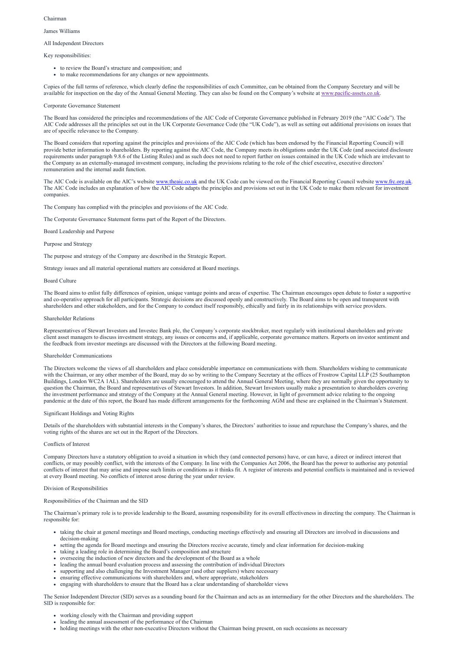#### Chairman

James Williams

#### All Independent Directors

Key responsibilities:

- to review the Board's structure and composition; and
- to make recommendations for any changes or new appointments.

Copies of the full terms of reference, which clearly define the responsibilities of each Committee, can be obtained from the Company Secretary and will be available for inspection on the day of the Annual General Meeting. They can also be found on the Company's website at [www.pacific-assets.co.uk](http://www.pacific-assets.co.uk/).

#### Corporate Governance Statement

The Board has considered the principles and recommendations of the AIC Code of Corporate Governance published in February 2019 (the "AIC Code"). The AIC Code addresses all the principles set out in the UK Corporate Governance Code (the "UK Code"), as well as setting out additional provisions on issues that are of specific relevance to the Company.

The AIC Code is available on the AIC's website [www.theaic.co.uk](http://www.theaic.co.uk/) and the UK Code can be viewed on the Financial Reporting Council website [www.frc.org.uk](http://www.frc.org.uk/). The AIC Code includes an explanation of how the AIC Code adapts the principles and provisions set out in the UK Code to make them relevant for investment companies.

The Board considers that reporting against the principles and provisions of the AIC Code (which has been endorsed by the Financial Reporting Council) will provide better information to shareholders. By reporting against the AIC Code, the Company meets its obligations under the UK Code (and associated disclosure requirements under paragraph 9.8.6 of the Listing Rules) and as such does not need to report further on issues contained in the UK Code which are irrelevant to the Company as an externally-managed investment company, including the provisions relating to the role of the chief executive, executive directors' remuneration and the internal audit function.

The Company has complied with the principles and provisions of the AIC Code.

The Corporate Governance Statement forms part of the Report of the Directors.

Board Leadership and Purpose

Purpose and Strategy

The purpose and strategy of the Company are described in the Strategic Report.

Strategy issues and all material operational matters are considered at Board meetings.

#### Board Culture

The Board aims to enlist fully differences of opinion, unique vantage points and areas of expertise. The Chairman encourages open debate to foster a supportive and co-operative approach for all participants. Strategic decisions are discussed openly and constructively. The Board aims to be open and transparent with shareholders and other stakeholders, and for the Company to conduct itself responsibly, ethically and fairly in its relationships with service providers.

#### Shareholder Relations

Representatives of Stewart Investors and Investec Bank plc, the Company's corporate stockbroker, meet regularly with institutional shareholders and private client asset managers to discuss investment strategy, any issues or concerns and, if applicable, corporate governance matters. Reports on investor sentiment and the feedback from investor meetings are discussed with the Directors at the following Board meeting.

#### Shareholder Communications

The Directors welcome the views of all shareholders and place considerable importance on communications with them. Shareholders wishing to communicate with the Chairman, or any other member of the Board, may do so by writing to the Company Secretary at the offices of Frostrow Capital LLP (25 Southampton Buildings, London WC2A 1AL). Shareholders are usually encouraged to attend the Annual General Meeting, where they are normally given the opportunity to question the Chairman, the Board and representatives of Stewart Investors. In addition, Stewart Investors usually make a presentation to shareholders covering the investment performance and strategy of the Company at the Annual General meeting. However, in light of government advice relating to the ongoing pandemic at the date of this report, the Board has made different arrangements for the forthcoming AGM and these are explained in the Chairman's Statement.

#### Significant Holdings and Voting Rights

Details of the shareholders with substantial interests in the Company's shares, the Directors' authorities to issue and repurchase the Company's shares, and the voting rights of the shares are set out in the Report of the Directors.

#### Conflicts of Interest

Company Directors have a statutory obligation to avoid a situation in which they (and connected persons) have, or can have, a direct or indirect interest that conflicts, or may possibly conflict, with the interests of the Company. In line with the Companies Act 2006, the Board has the power to authorise any potential conflicts of interest that may arise and impose such limits or conditions as it thinks fit. A register of interests and potential conflicts is maintained and is reviewed at every Board meeting. No conflicts of interest arose during the year under review.

#### Division of Responsibilities

Responsibilities of the Chairman and the SID

The Chairman's primary role is to provide leadership to the Board, assuming responsibility for its overall effectiveness in directing the company. The Chairman is responsible for:

- taking the chair at general meetings and Board meetings, conducting meetings effectively and ensuring all Directors are involved in discussions and decision-making
- setting the agenda for Board meetings and ensuring the Directors receive accurate, timely and clear information for decision-making
- taking a leading role in determining the Board's composition and structure
- overseeing the induction of new directors and the development of the Board as a whole
- leading the annual board evaluation process and assessing the contribution of individual Directors
- supporting and also challenging the Investment Manager (and other suppliers) where necessary
- ensuring effective communications with shareholders and, where appropriate, stakeholders
- engaging with shareholders to ensure that the Board has a clear understanding of shareholder views

The Senior Independent Director (SID) serves as a sounding board for the Chairman and acts as an intermediary for the other Directors and the shareholders. The SID is responsible for:

- working closely with the Chairman and providing support
- leading the annual assessment of the performance of the Chairman
- holding meetings with the other non-executive Directors without the Chairman being present, on such occasions as necessary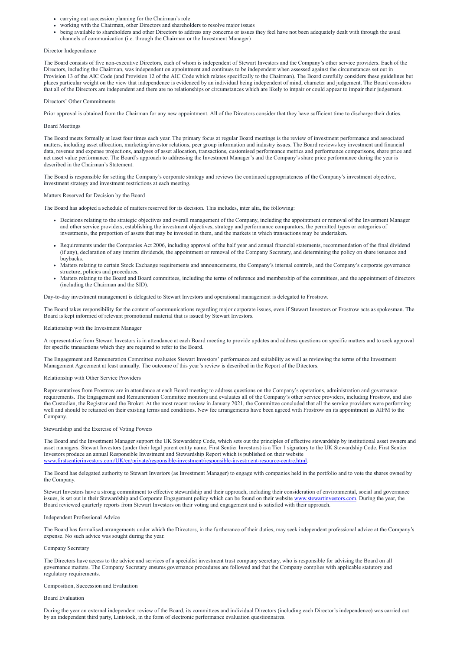- carrying out succession planning for the Chairman's role
- working with the Chairman, other Directors and shareholders to resolve major issues
- being available to shareholders and other Directors to address any concerns or issues they feel have not been adequately dealt with through the usual channels of communication (i.e. through the Chairman or the Investment Manager)

#### Director Independence

The Board consists of five non-executive Directors, each of whom is independent of Stewart Investors and the Company's other service providers. Each of the Directors, including the Chairman, was independent on appointment and continues to be independent when assessed against the circumstances set out in Provision 13 of the AIC Code (and Provision 12 of the AIC Code which relates specifically to the Chairman). The Board carefully considers these guidelines but places particular weight on the view that independence is evidenced by an individual being independent of mind, character and judgement. The Board considers that all of the Directors are independent and there are no relationships or circumstances which are likely to impair or could appear to impair their judgement.

#### Directors' Other Commitments

Prior approval is obtained from the Chairman for any new appointment. All of the Directors consider that they have sufficient time to discharge their duties.

### Board Meetings

The Board meets formally at least four times each year. The primary focus at regular Board meetings is the review of investment performance and associated matters, including asset allocation, marketing/investor relations, peer group information and industry issues. The Board reviews key investment and financial data, revenue and expense projections, analyses of asset allocation, transactions, customised performance metrics and performance comparisons, share price and net asset value performance. The Board's approach to addressing the Investment Manager's and the Company's share price performance during the year is described in the Chairman's Statement.

The Board is responsible for setting the Company's corporate strategy and reviews the continued appropriateness of the Company's investment objective, investment strategy and investment restrictions at each meeting.

### Matters Reserved for Decision by the Board

The Board has adopted a schedule of matters reserved for its decision. This includes, inter alia, the following:

- Decisions relating to the strategic objectives and overall management of the Company, including the appointment or removal of the Investment Manager and other service providers, establishing the investment objectives, strategy and performance comparators, the permitted types or categories of investments, the proportion of assets that may be invested in them, and the markets in which transactions may be undertaken.
- Requirements under the Companies Act 2006, including approval of the half year and annual financial statements, recommendation of the final dividend (if any), declaration of any interim dividends, the appointment or removal of the Company Secretary, and determining the policy on share issuance and buybacks.
- Matters relating to certain Stock Exchange requirements and announcements, the Company's internal controls, and the Company's corporate governance structure, policies and procedures.
- Matters relating to the Board and Board committees, including the terms of reference and membership of the committees, and the appointment of directors (including the Chairman and the SID).

Day-to-day investment management is delegated to Stewart Investors and operational management is delegated to Frostrow.

The Board takes responsibility for the content of communications regarding major corporate issues, even if Stewart Investors or Frostrow acts as spokesman. The Board is kept informed of relevant promotional material that is issued by Stewart Investors.

#### Relationship with the Investment Manager

A representative from Stewart Investors is in attendance at each Board meeting to provide updates and address questions on specific matters and to seek approval for specific transactions which they are required to refer to the Board.

The Engagement and Remuneration Committee evaluates Stewart Investors' performance and suitability as well as reviewing the terms of the Investment Management Agreement at least annually. The outcome of this year's review is described in the Report of the Ditectors.

#### Relationship with Other Service Providers

Representatives from Frostrow are in attendance at each Board meeting to address questions on the Company's operations, administration and governance requirements. The Engagement and Remuneration Committee monitors and evaluates all of the Company's other service providers, including Frostrow, and also the Custodian, the Registrar and the Broker. At the most recent review in January 2021, the Committee concluded that all the service providers were performing well and should be retained on their existing terms and conditions. New fee arrangements have been agreed with Frostrow on its appointment as AIFM to the Company.

#### Stewardship and the Exercise of Voting Powers

The Board and the Investment Manager support the UK Stewardship Code, which sets out the principles of effective stewardship by institutional asset owners and asset managers. Stewart Investors (under their legal parent entity name, First Sentier Investors) is a Tier 1 signatory to the UK Stewardship Code. First Sentier Investors produce an annual Responsible Investment and Stewardship Report which is published on their website [www.firstsentierinvestors.com/UK/en/private/responsible-investment/responsible-investment-resource-centre.html.](http://www.firstsentierinvestors.com/UK/en/private/responsible-investment/responsible-investment-resource-centre.html)

The Board has delegated authority to Stewart Investors (as Investment Manager) to engage with companies held in the portfolio and to vote the shares owned by the Company.

Stewart Investors have a strong commitment to effective stewardship and their approach, including their consideration of environmental, social and governance issues, is set out in their Stewardship and Corporate Engagement policy which can be found on their website [www.stewartinvestors.com.](http://www.stewartinvestors.com/) During the year, the Board reviewed quarterly reports from Stewart Investors on their voting and engagement and is satisfied with their approach.

Independent Professional Advice

The Board has formalised arrangements under which the Directors, in the furtherance of their duties, may seek independent professional advice at the Company's expense. No such advice was sought during the year.

Company Secretary

The Directors have access to the advice and services of a specialist investment trust company secretary, who is responsible for advising the Board on all governance matters. The Company Secretary ensures governance procedures are followed and that the Company complies with applicable statutory and regulatory requirements.

Composition, Succession and Evaluation

Board Evaluation

During the year an external independent review of the Board, its committees and individual Directors (including each Director's independence) was carried out by an independent third party, Lintstock, in the form of electronic performance evaluation questionnaires.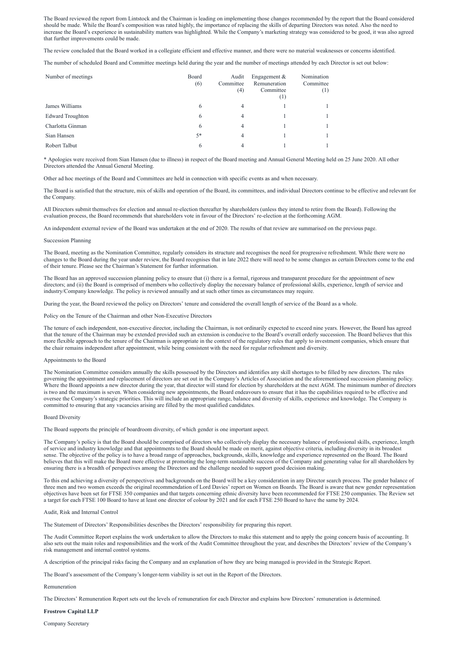The Board reviewed the report from Lintstock and the Chairman is leading on implementing those changes recommended by the report that the Board considered should be made. While the Board's composition was rated highly, the importance of replacing the skills of departing Directors was noted. Also the need to increase the Board's experience in sustainability matters was highlighted. While the Company's marketing strategy was considered to be good, it was also agreed that further improvements could be made.

The review concluded that the Board worked in a collegiate efficient and effective manner, and there were no material weaknesses or concerns identified.

The number of scheduled Board and Committee meetings held during the year and the number of meetings attended by each Director is set out below:

| Number of meetings      | Board<br>(6) | Audit<br>Committee<br>(4) | Engagement $&$<br>Remuneration<br>Committee<br>$\left(1\right)$ | Nomination<br>Committee<br>$^{(1)}$ |
|-------------------------|--------------|---------------------------|-----------------------------------------------------------------|-------------------------------------|
| James Williams          | 6            | 4                         |                                                                 |                                     |
| <b>Edward Troughton</b> | 6            | 4                         |                                                                 |                                     |
| Charlotta Ginman        | 6            | 4                         |                                                                 |                                     |
| Sian Hansen             | $5*$         | 4                         |                                                                 |                                     |
| Robert Talbut           | 6            | 4                         |                                                                 |                                     |

\* Apologies were received from Sian Hansen (due to illness) in respect of the Board meeting and Annual General Meeting held on 25 June 2020. All other Directors attended the Annual General Meeting.

Other ad hoc meetings of the Board and Committees are held in connection with specific events as and when necessary.

The Board is satisfied that the structure, mix of skills and operation of the Board, its committees, and individual Directors continue to be effective and relevant for the Company.

All Directors submit themselves for election and annual re-election thereafter by shareholders (unless they intend to retire from the Board). Following the evaluation process, the Board recommends that shareholders vote in favour of the Directors' re-election at the forthcoming AGM.

An independent external review of the Board was undertaken at the end of 2020. The results of that review are summarised on the previous page.

#### Succession Planning

The Board, meeting as the Nomination Committee, regularly considers its structure and recognises the need for progressive refreshment. While there were no changes to the Board during the year under review, the Board recognises that in late 2022 there will need to be some changes as certain Directors come to the end of their tenure. Please see the Chairman's Statement for further information.

The Board has an approved succession planning policy to ensure that (i) there is a formal, rigorous and transparent procedure for the appointment of new directors; and (ii) the Board is comprised of members who collectively display the necessary balance of professional skills, experience, length of service and industry/Company knowledge. The policy is reviewed annually and at such other times as circumstances may require.

During the year, the Board reviewed the policy on Directors' tenure and considered the overall length of service of the Board as a whole.

Policy on the Tenure of the Chairman and other Non-Executive Directors

The tenure of each independent, non-executive director, including the Chairman, is not ordinarily expected to exceed nine years. However, the Board has agreed that the tenure of the Chairman may be extended provided such an extension is conducive to the Board's overall orderly succession. The Board believes that this more flexible approach to the tenure of the Chairman is appropriate in the context of the regulatory rules that apply to investment companies, which ensure that the chair remains independent after appointment, while being consistent with the need for regular refreshment and diversity.

#### Appointments to the Board

The Nomination Committee considers annually the skills possessed by the Directors and identifies any skill shortages to be filled by new directors. The rules governing the appointment and replacement of directors are set out in the Company's Articles of Association and the aforementioned succession planning policy. Where the Board appoints a new director during the year, that director will stand for election by shareholders at the next AGM. The minimum number of directors is two and the maximum is seven. When considering new appointments, the Board endeavours to ensure that it has the capabilities required to be effective and oversee the Company's strategic priorities. This will include an appropriate range, balance and diversity of skills, experience and knowledge. The Company is committed to ensuring that any vacancies arising are filled by the most qualified candidates.

#### Board Diversity

The Board supports the principle of boardroom diversity, of which gender is one important aspect.

The Company's policy is that the Board should be comprised of directors who collectively display the necessary balance of professional skills, experience, length of service and industry knowledge and that appointments to the Board should be made on merit, against objective criteria, including diversity in its broadest sense. The objective of the policy is to have a broad range of approaches, backgrounds, skills, knowledge and experience represented on the Board. The Board believes that this will make the Board more effective at promoting the long-term sustainable success of the Company and generating value for all shareholders by ensuring there is a breadth of perspectives among the Directors and the challenge needed to support good decision making.

To this end achieving a diversity of perspectives and backgrounds on the Board will be a key consideration in any Director search process. The gender balance of three men and two women exceeds the original recommendation of Lord Davies' report on Women on Boards. The Board is aware that new gender representation

objectives have been set for FTSE 350 companies and that targets concerning ethnic diversity have been recommended for FTSE 250 companies. The Review set a target for each FTSE 100 Board to have at least one director of colour by 2021 and for each FTSE 250 Board to have the same by 2024.

#### Audit, Risk and Internal Control

The Statement of Directors' Responsibilities describes the Directors' responsibility for preparing this report.

The Audit Committee Report explains the work undertaken to allow the Directors to make this statement and to apply the going concern basis of accounting. It also sets out the main roles and responsibilities and the work of the Audit Committee throughout the year, and describes the Directors' review of the Company's risk management and internal control systems.

A description of the principal risks facing the Company and an explanation of how they are being managed is provided in the Strategic Report.

The Board's assessment of the Company's longer-term viability is set out in the Report of the Directors.

Remuneration

The Directors' Remuneration Report sets out the levels of remuneration for each Director and explains how Directors' remuneration is determined.

**Frostrow Capital LLP**

Company Secretary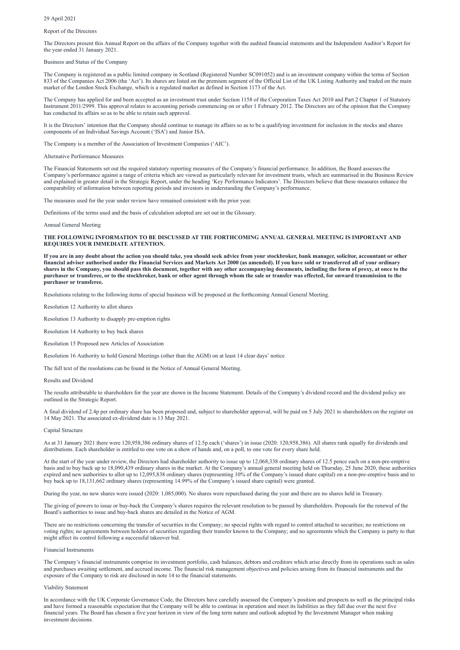29 April 2021

### Report of the Directors

The Directors present this Annual Report on the affairs of the Company together with the audited financial statements and the Independent Auditor's Report for the year ended 31 January 2021.

### Business and Status of the Company

The Company is registered as a public limited company in Scotland (Registered Number SC091052) and is an investment company within the terms of Section 833 of the Companies Act 2006 (the 'Act'). Its shares are listed on the premium segment of the Official List of the UK Listing Authority and traded on the main market of the London Stock Exchange, which is a regulated market as defined in Section 1173 of the Act.

The Company has applied for and been accepted as an investment trust under Section 1158 of the Corporation Taxes Act 2010 and Part 2 Chapter 1 of Statutory Instrument 2011/2999. This approval relates to accounting periods commencing on or after 1 February 2012. The Directors are of the opinion that the Company has conducted its affairs so as to be able to retain such approval.

It is the Directors' intention that the Company should continue to manage its affairs so as to be a qualifying investment for inclusion in the stocks and shares components of an Individual Savings Account ('ISA') and Junior ISA.

The Company is a member of the Association of Investment Companies ('AIC').

### Alternative Performance Measures

The Financial Statements set out the required statutory reporting measures of the Company's financial performance. In addition, the Board assesses the Company's performance against a range of criteria which are viewed as particularly relevant for investment trusts, which are summarised in the Business Review and explained in greater detail in the Strategic Report, under the heading 'Key Performance Indicators'. The Directors believe that these measures enhance the comparability of information between reporting periods and investors in understanding the Company's performance.

As at 31 January 2021 there were 120,958,386 ordinary shares of 12.5p each ('shares') in issue (2020: 120,958,386). All shares rank equally for dividends and distributions. Each shareholder is entitled to one vote on a show of hands and, on a poll, to one vote for every share held.

The measures used for the year under review have remained consistent with the prior year.

Definitions of the terms used and the basis of calculation adopted are set out in the Glossary.

Annual General Meeting

## **THE FOLLOWING INFORMATION TO BE DISCUSSED AT THE FORTHCOMING ANNUAL GENERAL MEETING IS IMPORTANT AND REQUIRES YOUR IMMEDIATE ATTENTION.**

**If you are in any doubt about the action you should take, you should seek advice from your stockbroker, bank manager, solicitor, accountant or other financial adviser authorised under the Financial Services and Markets Act 2000 (as amended). If you have sold or transferred all of your ordinary shares in the Company, you should pass this document, together with any other accompanying documents, including the form of proxy, at once to the purchaser or transferee, or to the stockbroker, bank or other agent through whom the sale or transfer was effected, for onward transmission to the purchaser or transferee.**

Resolutions relating to the following items of special business will be proposed at the forthcoming Annual General Meeting.

Resolution 12 Authority to allot shares

Resolution 13 Authority to disapply pre-emption rights

Resolution 14 Authority to buy back shares

Resolution 15 Proposed new Articles of Association

Resolution 16 Authority to hold General Meetings (other than the AGM) on at least 14 clear days' notice

The full text of the resolutions can be found in the Notice of Annual General Meeting.

Results and Dividend

The results attributable to shareholders for the year are shown in the Income Statement. Details of the Company's dividend record and the dividend policy are outlined in the Strategic Report.

A final dividend of 2.4p per ordinary share has been proposed and, subject to shareholder approval, will be paid on 5 July 2021 to shareholders on the register on 14 May 2021. The associated ex-dividend date is 13 May 2021.

#### Capital Structure

At the start of the year under review, the Directors had shareholder authority to issue up to 12,068,338 ordinary shares of 12.5 pence each on a non-pre-emptive basis and to buy back up to 18,090,439 ordinary shares in the market. At the Company's annual general meeting held on Thursday, 25 June 2020, these authorities expired and new authorities to allot up to 12,095,838 ordinary shares (representing 10% of the Company's issued share capital) on a non-pre-emptive basis and to buy back up to 18,131,662 ordinary shares (representing 14.99% of the Company's issued share capital) were granted.

During the year, no new shares were issued (2020: 1,085,000). No shares were repurchased during the year and there are no shares held in Treasury.

The giving of powers to issue or buy-back the Company's shares requires the relevant resolution to be passed by shareholders. Proposals for the renewal of the Board's authorities to issue and buy-back shares are detailed in the Notice of AGM.

There are no restrictions concerning the transfer of securities in the Company; no special rights with regard to control attached to securities; no restrictions on voting rights; no agreements between holders of securities regarding their transfer known to the Company; and no agreements which the Company is party to that might affect its control following a successful takeover bid.

#### Financial Instruments

The Company's financial instruments comprise its investment portfolio, cash balances, debtors and creditors which arise directly from its operations such as sales and purchases awaiting settlement, and accrued income. The financial risk management objectives and policies arising from its financial instruments and the exposure of the Company to risk are disclosed in note 14 to the financial statements.

#### Viability Statement

In accordance with the UK Corporate Governance Code, the Directors have carefully assessed the Company's position and prospects as well as the principal risks and have formed a reasonable expectation that the Company will be able to continue in operation and meet its liabilities as they fall due over the next five financial years. The Board has chosen a five year horizon in view of the long term nature and outlook adopted by the Investment Manager when making investment decisions.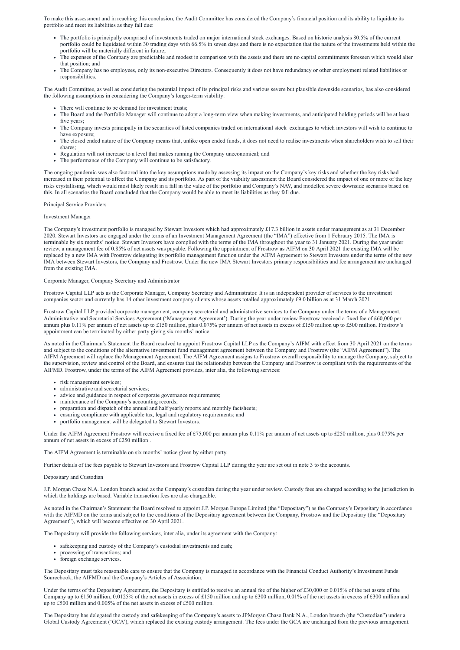To make this assessment and in reaching this conclusion, the Audit Committee has considered the Company's financial position and its ability to liquidate its portfolio and meet its liabilities as they fall due:

- The portfolio is principally comprised of investments traded on major international stock exchanges. Based on historic analysis 80.5% of the current portfolio could be liquidated within 30 trading days with 66.5% in seven days and there is no expectation that the nature of the investments held within the portfolio will be materially different in future;
- The expenses of the Company are predictable and modest in comparison with the assets and there are no capital commitments foreseen which would alter that position; and
- The Company has no employees, only its non-executive Directors. Consequently it does not have redundancy or other employment related liabilities or responsibilities.

- There will continue to be demand for investment trusts;
- The Board and the Portfolio Manager will continue to adopt a long-term view when making investments, and anticipated holding periods will be at least five years;
- The Company invests principally in the securities of listed companies traded on international stock exchanges to which investors will wish to continue to have exposure;
- The closed ended nature of the Company means that, unlike open ended funds, it does not need to realise investments when shareholders wish to sell their shares;
- Regulation will not increase to a level that makes running the Company uneconomical; and
- The performance of the Company will continue to be satisfactory.

The Audit Committee, as well as considering the potential impact of its principal risks and various severe but plausible downside scenarios, has also considered the following assumptions in considering the Company's longer-term viability:

The Company's investment portfolio is managed by Stewart Investors which had approximately £17.3 billion in assets under management as at 31 December 2020. Stewart Investors are engaged under the terms of an Investment Management Agreement (the "IMA") effective from 1 February 2015. The IMA is terminable by six months' notice. Stewart Investors have complied with the terms of the IMA throughout the year to 31 January 2021. During the year under review, a management fee of 0.85% of net assets was payable. Following the appointment of Frostrow as AIFM on 30 April 2021 the existing IMA will be replaced by a new IMA with Frostrow delegating its portfolio management function under the AIFM Agreement to Stewart Investors under the terms of the new IMA between Stewart Investors, the Company and Frostrow. Under the new IMA Stewart Investors primary responsibilities and fee arrangement are unchanged from the existing IMA.

The ongoing pandemic was also factored into the key assumptions made by assessing its impact on the Company's key risks and whether the key risks had increased in their potential to affect the Company and its portfolio. As part of the viability assessment the Board considered the impact of one or more of the key risks crystallising, which would most likely result in a fall in the value of the portfolio and Company's NAV, and modelled severe downside scenarios based on this. In all scenarios the Board concluded that the Company would be able to meet its liabilities as they fall due.

#### Principal Service Providers

#### Investment Manager

- risk management services;
- administrative and secretarial services;
- advice and guidance in respect of corporate governance requirements;
- maintenance of the Company's accounting records;
- preparation and dispatch of the annual and half yearly reports and monthly factsheets;
- ensuring compliance with applicable tax, legal and regulatory requirements; and
- portfolio management will be delegated to Stewart Investors.

#### Corporate Manager, Company Secretary and Administrator

Frostrow Capital LLP acts as the Corporate Manager, Company Secretary and Administrator. It is an independent provider of services to the investment companies sector and currently has 14 other investment company clients whose assets totalled approximately £9.0 billion as at 31 March 2021.

Frostrow Capital LLP provided corporate management, company secretarial and administrative services to the Company under the terms of a Management, Administrative and Secretarial Services Agreement ('Management Agreement'). During the year under review Frostrow received a fixed fee of £60,000 per annum plus 0.11% per annum of net assets up to £150 million, plus 0.075% per annum of net assets in excess of £150 million up to £500 million. Frostrow's appointment can be terminated by either party giving six months' notice.

As noted in the Chairman's Statement the Board resolved to appoint Frostrow Capital LLP as the Company's AIFM with effect from 30 April 2021 on the terms and subject to the conditions of the alternative investment fund management agreement between the Company and Frostrow (the "AIFM Agreement"). The AIFM Agreement will replace the Management Agreement. The AIFM Agreement assigns to Frostrow overall responsibility to manage the Company, subject to the supervision, review and control of the Board, and ensures that the relationship between the Company and Frostrow is compliant with the requirements of the AIFMD. Frostrow, under the terms of the AIFM Agreement provides, inter alia, the following services:

Under the AIFM Agreement Frostrow will receive a fixed fee of £75,000 per annum plus 0.11% per annum of net assets up to £250 million, plus 0.075% per annum of net assets in excess of £250 million .

The AIFM Agreement is terminable on six months' notice given by either party.

Further details of the fees payable to Stewart Investors and Frostrow Capital LLP during the year are set out in note 3 to the accounts.

#### Depositary and Custodian

J.P. Morgan Chase N.A. London branch acted as the Company's custodian during the year under review. Custody fees are charged according to the jurisdiction in

which the holdings are based. Variable transaction fees are also chargeable.

As noted in the Chairman's Statement the Board resolved to appoint J.P. Morgan Europe Limited (the "Depositary") as the Company's Depositary in accordance with the AIFMD on the terms and subject to the conditions of the Depositary agreement between the Company, Frostrow and the Depositary (the "Depositary Agreement"), which will become effective on 30 April 2021.

The Depositary will provide the following services, inter alia, under its agreement with the Company:

- safekeeping and custody of the Company's custodial investments and cash;
- processing of transactions; and
- foreign exchange services.

The Depositary must take reasonable care to ensure that the Company is managed in accordance with the Financial Conduct Authority's Investment Funds Sourcebook, the AIFMD and the Company's Articles of Association.

Under the terms of the Depositary Agreement, the Depositary is entitled to receive an annual fee of the higher of £30,000 or 0.015% of the net assets of the Company up to £150 million, 0.0125% of the net assets in excess of £150 million and up to £300 million, 0.01% of the net assets in excess of £300 million and up to £500 million and 0.005% of the net assets in excess of £500 million.

The Depositary has delegated the custody and safekeeping of the Company's assets to JPMorgan Chase Bank N.A., London branch (the "Custodian") under a Global Custody Agreement ('GCA'), which replaced the existing custody arrangement. The fees under the GCA are unchanged from the previous arrangement.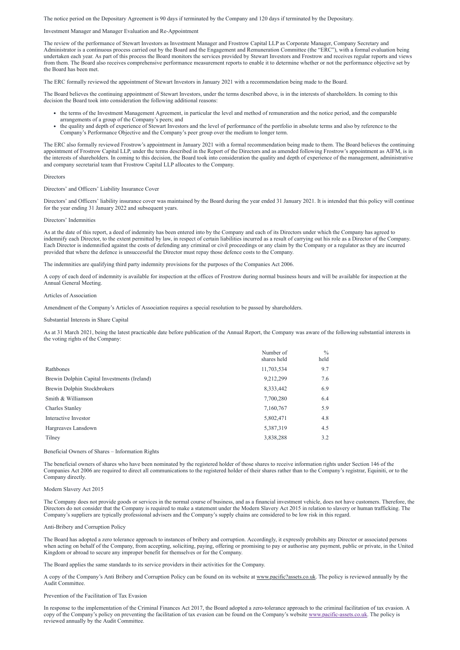The notice period on the Depositary Agreement is 90 days if terminated by the Company and 120 days if terminated by the Depositary.

### Investment Manager and Manager Evaluation and Re-Appointment

The review of the performance of Stewart Investors as Investment Manager and Frostrow Capital LLP as Corporate Manager, Company Secretary and Administrator is a continuous process carried out by the Board and the Engagement and Remuneration Committee (the "ERC"), with a formal evaluation being undertaken each year. As part of this process the Board monitors the services provided by Stewart Investors and Frostrow and receives regular reports and views from them. The Board also receives comprehensive performance measurement reports to enable it to determine whether or not the performance objective set by the Board has been met.

The ERC formally reviewed the appointment of Stewart Investors in January 2021 with a recommendation being made to the Board.

The Board believes the continuing appointment of Stewart Investors, under the terms described above, is in the interests of shareholders. In coming to this decision the Board took into consideration the following additional reasons:

Directors' and Officers' liability insurance cover was maintained by the Board during the year ended 31 January 2021. It is intended that this policy will continue for the year ending 31 January 2022 and subsequent years.

- the terms of the Investment Management Agreement, in particular the level and method of remuneration and the notice period, and the comparable arrangements of a group of the Company's peers; and
- the quality and depth of experience of Stewart Investors and the level of performance of the portfolio in absolute terms and also by reference to the Company's Performance Objective and the Company's peer group over the medium to longer term.

The ERC also formally reviewed Frostrow's appointment in January 2021 with a formal recommendation being made to them. The Board believes the continuing appointment of Frostrow Capital LLP, under the terms described in the Report of the Directors and as amended following Frostrow's appointment as AIFM, is in the interests of shareholders. In coming to this decision, the Board took into consideration the quality and depth of experience of the management, administrative and company secretarial team that Frostrow Capital LLP allocates to the Company.

#### Directors

Directors' and Officers' Liability Insurance Cover

### Directors' Indemnities

As at the date of this report, a deed of indemnity has been entered into by the Company and each of its Directors under which the Company has agreed to indemnify each Director, to the extent permitted by law, in respect of certain liabilities incurred as a result of carrying out his role as a Director of the Company. Each Director is indemnified against the costs of defending any criminal or civil proceedings or any claim by the Company or a regulator as they are incurred provided that where the defence is unsuccessful the Director must repay those defence costs to the Company.

A copy of the Company's Anti Bribery and Corruption Policy can be found on its website at www.pacific?assets.co.uk. The policy is reviewed annually by the Audit Committee.

The indemnities are qualifying third party indemnity provisions for the purposes of the Companies Act 2006.

A copy of each deed of indemnity is available for inspection at the offices of Frostrow during normal business hours and will be available for inspection at the Annual General Meeting.

#### Articles of Association

Amendment of the Company's Articles of Association requires a special resolution to be passed by shareholders.

#### Substantial Interests in Share Capital

As at 31 March 2021, being the latest practicable date before publication of the Annual Report, the Company was aware of the following substantial interests in the voting rights of the Company:

|                                              | Number of<br>shares held | $\frac{0}{0}$<br>held |
|----------------------------------------------|--------------------------|-----------------------|
| Rathbones                                    | 11,703,534               | 9.7                   |
| Brewin Dolphin Capital Investments (Ireland) | 9,212,299                | 7.6                   |
| Brewin Dolphin Stockbrokers                  | 8,333,442                | 6.9                   |
| Smith & Williamson                           | 7,700,280                | 6.4                   |
| <b>Charles Stanley</b>                       | 7,160,767                | 5.9                   |
| Interactive Investor                         | 5,802,471                | 4.8                   |
| Hargreaves Lansdown                          | 5,387,319                | 4.5                   |
| Tilney                                       | 3,838,288                | 3.2                   |

Beneficial Owners of Shares – Information Rights

The beneficial owners of shares who have been nominated by the registered holder of those shares to receive information rights under Section 146 of the Companies Act 2006 are required to direct all communications to the registered holder of their shares rather than to the Company's registrar, Equiniti, or to the Company directly.

Modern Slavery Act 2015

The Company does not provide goods or services in the normal course of business, and as a financial investment vehicle, does not have customers. Therefore, the Directors do not consider that the Company is required to make a statement under the Modern Slavery Act 2015 in relation to slavery or human trafficking. The Company's suppliers are typically professional advisers and the Company's supply chains are considered to be low risk in this regard.

Anti-Bribery and Corruption Policy

The Board has adopted a zero tolerance approach to instances of bribery and corruption. Accordingly, it expressly prohibits any Director or associated persons when acting on behalf of the Company, from accepting, soliciting, paying, offering or promising to pay or authorise any payment, public or private, in the United Kingdom or abroad to secure any improper benefit for themselves or for the Company.

The Board applies the same standards to its service providers in their activities for the Company.

Prevention of the Facilitation of Tax Evasion

In response to the implementation of the Criminal Finances Act 2017, the Board adopted a zero-tolerance approach to the criminal facilitation of tax evasion. A copy of the Company's policy on preventing the facilitation of tax evasion can be found on the Company's website [www.pacific-assets.co.uk](http://www.pacific-assets.co.uk/). The policy is reviewed annually by the Audit Committee.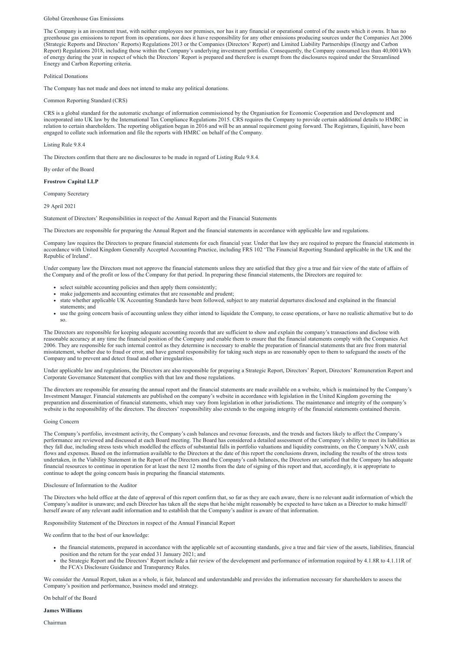#### Global Greenhouse Gas Emissions

The Company is an investment trust, with neither employees nor premises, nor has it any financial or operational control of the assets which it owns. It has no greenhouse gas emissions to report from its operations, nor does it have responsibility for any other emissions producing sources under the Companies Act 2006 (Strategic Reports and Directors' Reports) Regulations 2013 or the Companies (Directors' Report) and Limited Liability Partnerships (Energy and Carbon Report) Regulations 2018, including those within the Company's underlying investment portfolio. Consequently, the Company consumed less than 40,000 kWh of energy during the year in respect of which the Directors' Report is prepared and therefore is exempt from the disclosures required under the Streamlined Energy and Carbon Reporting criteria.

#### Political Donations

The Company has not made and does not intend to make any political donations.

#### Common Reporting Standard (CRS)

CRS is a global standard for the automatic exchange of information commissioned by the Organisation for Economic Cooperation and Development and incorporated into UK law by the International Tax Compliance Regulations 2015. CRS requires the Company to provide certain additional details to HMRC in relation to certain shareholders. The reporting obligation began in 2016 and will be an annual requirement going forward. The Registrars, Equiniti, have been engaged to collate such information and file the reports with HMRC on behalf of the Company.

Under company law the Directors must not approve the financial statements unless they are satisfied that they give a true and fair view of the state of affairs of the Company and of the profit or loss of the Company for that period. In preparing these financial statements, the Directors are required to:

Listing Rule 9.8.4

The Directors confirm that there are no disclosures to be made in regard of Listing Rule 9.8.4.

By order of the Board

#### **Frostrow Capital LLP**

Company Secretary

29 April 2021

Statement of Directors' Responsibilities in respect of the Annual Report and the Financial Statements

The Directors are responsible for preparing the Annual Report and the financial statements in accordance with applicable law and regulations.

The directors are responsible for ensuring the annual report and the financial statements are made available on a website, which is maintained by the Company's Investment Manager. Financial statements are published on the company's website in accordance with legislation in the United Kingdom governing the preparation and dissemination of financial statements, which may vary from legislation in other jurisdictions. The maintenance and integrity of the company's website is the responsibility of the directors. The directors' responsibility also extends to the ongoing integrity of the financial statements contained therein.

Company law requires the Directors to prepare financial statements for each financial year. Under that law they are required to prepare the financial statements in accordance with United Kingdom Generally Accepted Accounting Practice, including FRS 102 'The Financial Reporting Standard applicable in the UK and the Republic of Ireland'.

- select suitable accounting policies and then apply them consistently;
- make judgements and accounting estimates that are reasonable and prudent;
- state whether applicable UK Accounting Standards have been followed, subject to any material departures disclosed and explained in the financial statements; and
- use the going concern basis of accounting unless they either intend to liquidate the Company, to cease operations, or have no realistic alternative but to do so.

The Directors are responsible for keeping adequate accounting records that are sufficient to show and explain the company's transactions and disclose with reasonable accuracy at any time the financial position of the Company and enable them to ensure that the financial statements comply with the Companies Act 2006. They are responsible for such internal control as they determine is necessary to enable the preparation of financial statements that are free from material misstatement, whether due to fraud or error, and have general responsibility for taking such steps as are reasonably open to them to safeguard the assets of the Company and to prevent and detect fraud and other irregularities.

Under applicable law and regulations, the Directors are also responsible for preparing a Strategic Report, Directors' Report, Directors' Remuneration Report and Corporate Governance Statement that complies with that law and those regulations.

#### Going Concern

The Company's portfolio, investment activity, the Company's cash balances and revenue forecasts, and the trends and factors likely to affect the Company's performance are reviewed and discussed at each Board meeting. The Board has considered a detailed assessment of the Company's ability to meet its liabilities as they fall due, including stress tests which modelled the effects of substantial falls in portfolio valuations and liquidity constraints, on the Company's NAV, cash flows and expenses. Based on the information available to the Directors at the date of this report the conclusions drawn, including the results of the stress tests undertaken, in the Viability Statement in the Report of the Directors and the Company's cash balances, the Directors are satisfied that the Company has adequate financial resources to continue in operation for at least the next 12 months from the date of signing of this report and that, accordingly, it is appropriate to continue to adopt the going concern basis in preparing the financial statements.

#### Disclosure of Information to the Auditor

The Directors who held office at the date of approval of this report confirm that, so far as they are each aware, there is no relevant audit information of which the Company's auditor is unaware; and each Director has taken all the steps that he/she might reasonably be expected to have taken as a Director to make himself/ herself aware of any relevant audit information and to establish that the Company's auditor is aware of that information.

Responsibility Statement of the Directors in respect of the Annual Financial Report

We confirm that to the best of our knowledge:

- the financial statements, prepared in accordance with the applicable set of accounting standards, give a true and fair view of the assets, liabilities, financial position and the return for the year ended 31 January 2021; and
- the Strategic Report and the Directors' Report include a fair review of the development and performance of information required by 4.1.8R to 4.1.11R of the FCA's Disclosure Guidance and Transparency Rules.

We consider the Annual Report, taken as a whole, is fair, balanced and understandable and provides the information necessary for shareholders to assess the Company's position and performance, business model and strategy.

On behalf of the Board

**James Williams**

Chairman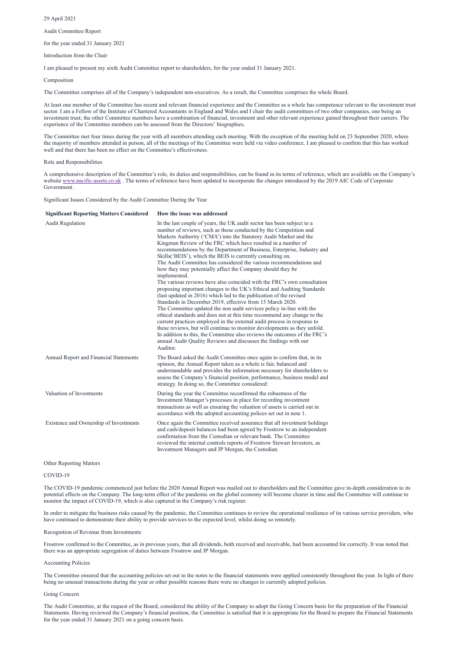29 April 2021

Audit Committee Report

for the year ended 31 January 2021

Introduction from the Chair

I am pleased to present my sixth Audit Committee report to shareholders, for the year ended 31 January 2021.

Composition

The Committee comprises all of the Company's independent non-executives. As a result, the Committee comprises the whole Board.

At least one member of the Committee has recent and relevant financial experience and the Committee as a whole has competence relevant to the investment trust sector. I am a Fellow of the Institute of Chartered Accountants in England and Wales and I chair the audit committees of two other companies, one being an investment trust; the other Committee members have a combination of financial, investment and other relevant experience gained throughout their careers. The experience of the Committee members can be assessed from the Directors' biographies.

The Committee met four times during the year with all members attending each meeting. With the exception of the meeting held on 23 September 2020, where the majority of members attended in person, all of the meetings of the Committee were held via video conference. I am pleased to confirm that this has worked well and that there has been no effect on the Committee's effectiveness.

Role and Responsibilities

A comprehensive description of the Committee's role, its duties and responsibilities, can be found in its terms of reference, which are available on the Company's website www.pacific-assets.co.uk. The terms of reference have been updated to incorporate the changes introduced by the 2019 AIC Code of Corporate Government .

Significant Issues Considered by the Audit Committee During the Year

| <b>Significant Reporting Matters Considered</b> | How the issue was addressed                                                                                                                                                                                                                                                                                                                                                                                                                                                                                                                                                                                                                                                                                                                                                                                                                                                                                                                                                                                                                                                                                                                                                                                                                                                                                                                   |
|-------------------------------------------------|-----------------------------------------------------------------------------------------------------------------------------------------------------------------------------------------------------------------------------------------------------------------------------------------------------------------------------------------------------------------------------------------------------------------------------------------------------------------------------------------------------------------------------------------------------------------------------------------------------------------------------------------------------------------------------------------------------------------------------------------------------------------------------------------------------------------------------------------------------------------------------------------------------------------------------------------------------------------------------------------------------------------------------------------------------------------------------------------------------------------------------------------------------------------------------------------------------------------------------------------------------------------------------------------------------------------------------------------------|
| <b>Audit Regulation</b>                         | In the last couple of years, the UK audit sector has been subject to a<br>number of reviews, such as those conducted by the Competition and<br>Markets Authority ('CMA') into the Statutory Audit Market and the<br>Kingman Review of the FRC which have resulted in a number of<br>recommendations by the Department of Business, Enterprise, Industry and<br>Skills ('BEIS'), which the BEIS is currently consulting on.<br>The Audit Committee has considered the various recommendations and<br>how they may potentially affect the Company should they be<br>implemented.<br>The various reviews have also coincided with the FRC's own consultation<br>proposing important changes to the UK's Ethical and Auditing Standards<br>(last updated in 2016) which led to the publication of the revised<br>Standards in December 2019, effective from 15 March 2020.<br>The Committee updated the non audit services policy in-line with the<br>ethical standards and does not at this time recommend any change to the<br>current practices employed in the external audit process in response to<br>these reviews, but will continue to monitor developments as they unfold.<br>In addition to this, the Committee also reviews the outcomes of the FRC's<br>annual Audit Quality Reviews and discusses the findings with our<br>Auditor. |
| Annual Report and Financial Statements          | The Board asked the Audit Committee once again to confirm that, in its<br>opinion, the Annual Report taken as a whole is fair, balanced and<br>understandable and provides the information necessary for shareholders to<br>assess the Company's financial position, performance, business model and<br>strategy. In doing so, the Committee considered:                                                                                                                                                                                                                                                                                                                                                                                                                                                                                                                                                                                                                                                                                                                                                                                                                                                                                                                                                                                      |
| Valuation of Investments                        | During the year the Committee reconfirmed the robustness of the<br>Investment Manager's processes in place for recording investment<br>transactions as well as ensuring the valuation of assets is carried out in<br>accordance with the adopted accounting polices set out in note 1.                                                                                                                                                                                                                                                                                                                                                                                                                                                                                                                                                                                                                                                                                                                                                                                                                                                                                                                                                                                                                                                        |
| Existence and Ownership of Investments          | Once again the Committee received assurance that all investment holdings<br>and cash/deposit balances had been agreed by Frostrow to an independent<br>confirmation from the Custodian or relevant bank. The Committee<br>reviewed the internal controls reports of Frostrow Stewart Investors, as<br>Investment Managers and JP Morgan, the Custodian.                                                                                                                                                                                                                                                                                                                                                                                                                                                                                                                                                                                                                                                                                                                                                                                                                                                                                                                                                                                       |
| <b>Other Reporting Matters</b>                  |                                                                                                                                                                                                                                                                                                                                                                                                                                                                                                                                                                                                                                                                                                                                                                                                                                                                                                                                                                                                                                                                                                                                                                                                                                                                                                                                               |

COVID-19

The COVID-19 pandemic commenced just before the 2020 Annual Report was mailed out to shareholders and the Committee gave in-depth consideration to its

potential effects on the Company. The long-term effect of the pandemic on the global economy will become clearer in time and the Committee will continue to monitor the impact of COVID-19, which is also captured in the Company's risk register.

In order to mitigate the business risks caused by the pandemic, the Committee continues to review the operational resilience of its various service providers, who have continued to demonstrate their ability to provide services to the expected level, whilst doing so remotely.

#### Recognition of Revenue from Investments

Frostrow confirmed to the Committee, as in previous years, that all dividends, both received and receivable, had been accounted for correctly. It was noted that there was an appropriate segregation of duties between Frostrow and JP Morgan.

#### Accounting Policies

The Committee ensured that the accounting policies set out in the notes to the financial statements were applied consistently throughout the year. In light of there being no unusual transactions during the year or other possible reasons there were no changes to currently adopted policies.

#### Going Concern

The Audit Committee, at the request of the Board, considered the ability of the Company to adopt the Going Concern basis for the preparation of the Financial Statements. Having reviewed the Company's financial position, the Committee is satisfied that it is appropriate for the Board to prepare the Financial Statements for the year ended 31 January 2021 on a going concern basis.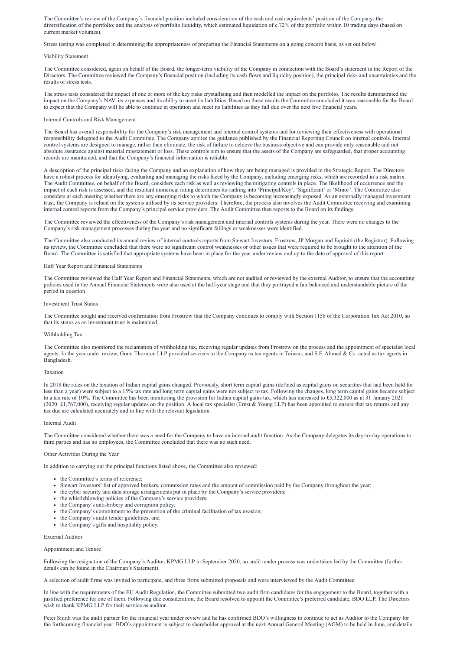The Committee's review of the Company's financial position included consideration of the cash and cash equivalents' position of the Company; the diversification of the portfolio; and the analysis of portfolio liquidity, which estimated liquidation of c.72% of the portfolio within 10 trading days (based on current market volumes).

Stress testing was completed in determining the appropriateness of preparing the Financial Statements on a going concern basis, as set out below.

#### Viability Statement

The Committee considered, again on behalf of the Board, the longer-term viability of the Company in connection with the Board's statement in the Report of the Directors. The Committee reviewed the Company's financial position (including its cash flows and liquidity position), the principal risks and uncertainties and the results of stress tests.

The stress tests considered the impact of one or more of the key risks crystallising and then modelled the impact on the portfolio. The results demonstrated the impact on the Company's NAV, its expenses and its ability to meet its liabilities. Based on these results the Committee concluded it was reasonable for the Board to expect that the Company will be able to continue in operation and meet its liabilities as they fall due over the next five financial years.

### Internal Controls and Risk Management

The Board has overall responsibility for the Company's risk management and internal control systems and for reviewing their effectiveness with operational responsibility delegated to the Audit Committee. The Company applies the guidance published by the Financial Reporting Council on internal controls. Internal control systems are designed to manage, rather than eliminate, the risk of failure to achieve the business objective and can provide only reasonable and not absolute assurance against material misstatement or loss. These controls aim to ensure that the assets of the Company are safeguarded, that proper accounting records are maintained, and that the Company's financial information is reliable.

A description of the principal risks facing the Company and an explanation of how they are being managed is provided in the Strategic Report. The Directors have a robust process for identifying, evaluating and managing the risks faced by the Company, including emerging risks, which are recorded in a risk matrix. The Audit Committee, on behalf of the Board, considers each risk as well as reviewing the mitigating controls in place. The likelihood of occurrence and the impact of each risk is assessed, and the resultant numerical rating determines its ranking into 'Principal/Key', 'Significant' or 'Minor'. The Committee also considers at each meeting whether there are any emerging risks to which the Company is becoming increasingly exposed. As an externally managed investment trust, the Company is reliant on the systems utilised by its service providers. Therefore, the process also involves the Audit Committee receiving and examining internal control reports from the Company's principal service providers. The Audit Committee then reports to the Board on its findings.

The Committee reviewed the effectiveness of the Company's risk management and internal controls systems during the year. There were no changes to the Company's risk management processes during the year and no significant failings or weaknesses were identified.

The Committee also conducted its annual review of internal controls reports from Stewart Investors, Frostrow, JP Morgan and Equiniti (the Registrar). Following its review, the Committee concluded that there were no significant control weaknesses or other issues that were required to be brought to the attention of the Board. The Committee is satisfied that appropriate systems have been in place for the year under review and up to the date of approval of this report.

### Half Year Report and Financial Statements

The Committee reviewed the Half Year Report and Financial Statements, which are not audited or reviewed by the external Auditor, to ensure that the accounting policies used in the Annual Financial Statements were also used at the half-year stage and that they portrayed a fair balanced and understandable picture of the period in question.

#### Investment Trust Status

The Committee sought and received confirmation from Frostrow that the Company continues to comply with Section 1158 of the Corporation Tax Act 2010, so that its status as an investment trust is maintained.

# Withholding Tax

The Committee also monitored the reclamation of withholding tax, receiving regular updates from Frostrow on the process and the appointment of specialist local agents. In the year under review, Grant Thornton LLP provided services to the Company as tax agents in Taiwan, and S.F. Ahmed & Co. acted as tax agents in Bangladesh.

#### Taxation

In 2018 the rules on the taxation of Indian capital gains changed. Previously, short term capital gains (defined as capital gains on securities that had been held for less than a year) were subject to a 15% tax rate and long term capital gains were not subject to tax. Following the changes, long term capital gains became subject to a tax rate of 10%. The Committee has been monitoring the provision for Indian capital gains tax, which has increased to £5,322,000 as at 31 January 2021  $(2020: \text{\textsterling}1,767,000)$ , receiving regular updates on the position. A local tax specialist (Ernst & Young LLP) has been appointed to ensure that tax returns and any tax due are calculated accurately and in line with the relevant legislation.

# Internal Audit

The Committee considered whether there was a need for the Company to have an internal audit function. As the Company delegates its day-to-day operations to third parties and has no employees, the Committee concluded that there was no such need.

#### Other Activities During the Year

In addition to carrying out the principal functions listed above, the Committee also reviewed:

- the Committee's terms of reference;
- Stewart Investors' list of approved brokers, commission rates and the amount of commission paid by the Company throughout the year;
- 
- the cyber security and data storage arrangements put in place by the Company's service providers;
- the whistleblowing policies of the Company's service providers;
- the Company's anti-bribery and corruption policy;
- the Company's commitment to the prevention of the criminal facilitation of tax evasion;
- the Company's audit tender guidelines; and
- the Company's gifts and hospitality policy.

External Auditor

Appointment and Tenure

Following the resignation of the Company's Auditor, KPMG LLP in September 2020, an audit tender process was undertaken led by the Committee (further details can be found in the Chairman's Statement).

A selection of audit firms was invited to participate, and three firms submitted proposals and were interviewed by the Audit Committee.

In line with the requirements of the EU Audit Regulation, the Committee submitted two audit firm candidates for the engagement to the Board, together with a justified preference for one of them. Following due consideration, the Board resolved to appoint the Committee's preferred candidate, BDO LLP. The Directors wish to thank KPMG LLP for their service as auditor.

Peter Smith was the audit partner for the financial year under review and he has confirmed BDO's willingness to continue to act as Auditor to the Company for the forthcoming financial year. BDO's appointment is subject to shareholder approval at the next Annual General Meeting (AGM) to be held in June, and details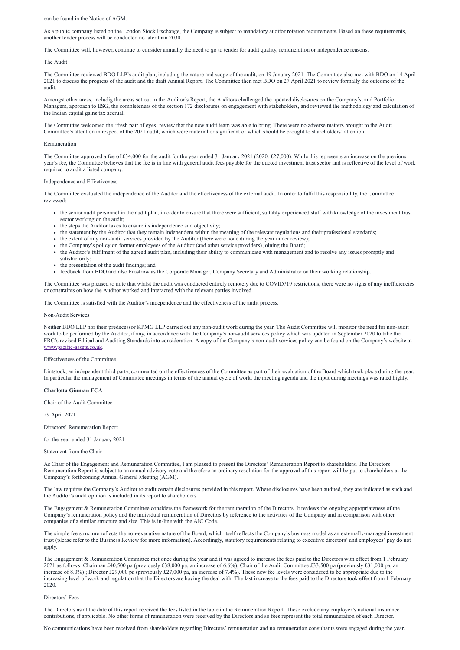can be found in the Notice of AGM.

As a public company listed on the London Stock Exchange, the Company is subject to mandatory auditor rotation requirements. Based on these requirements, another tender process will be conducted no later than 2030.

The Committee will, however, continue to consider annually the need to go to tender for audit quality, remuneration or independence reasons.

#### The Audit

The Committee reviewed BDO LLP's audit plan, including the nature and scope of the audit, on 19 January 2021. The Committee also met with BDO on 14 April 2021 to discuss the progress of the audit and the draft Annual Report. The Committee then met BDO on 27 April 2021 to review formally the outcome of the audit.

The Committee approved a fee of £34,000 for the audit for the year ended 31 January 2021 (2020: £27,000). While this represents an increase on the previous year's fee, the Committee believes that the fee is in line with general audit fees payable for the quoted investment trust sector and is reflective of the level of work required to audit a listed company.

Amongst other areas, includig the areas set out in the Auditor's Report, the Auditors challenged the updated disclosures on the Company's, and Portfolio Managers, approach to ESG, the completeness of the section 172 disclosures on engagement with stakeholders, and reviewed the methodology and calculation of the Indian capital gains tax accrual.

The Committee welcomed the 'fresh pair of eyes' review that the new audit team was able to bring. There were no adverse matters brought to the Audit Committee's attention in respect of the 2021 audit, which were material or significant or which should be brought to shareholders' attention.

#### Remuneration

#### Independence and Effectiveness

The Committee evaluated the independence of the Auditor and the effectiveness of the external audit. In order to fulfil this responsibility, the Committee reviewed:

- the senior audit personnel in the audit plan, in order to ensure that there were sufficient, suitably experienced staff with knowledge of the investment trust sector working on the audit;
- the steps the Auditor takes to ensure its independence and objectivity;
- the statement by the Auditor that they remain independent within the meaning of the relevant regulations and their professional standards;
- the extent of any non-audit services provided by the Auditor (there were none during the year under review);
- the Company's policy on former employees of the Auditor (and other service providers) joining the Board;
- the Auditor's fulfilment of the agreed audit plan, including their ability to communicate with management and to resolve any issues promptly and satisfactorily;
- the presentation of the audit findings; and
- feedback from BDO and also Frostrow as the Corporate Manager, Company Secretary and Administrator on their working relationship.

The Committee was pleased to note that whilst the audit was conducted entirely remotely due to COVID?19 restrictions, there were no signs of any inefficiencies or constraints on how the Auditor worked and interacted with the relevant parties involved.

The Committee is satisfied with the Auditor's independence and the effectiveness of the audit process.

#### Non-Audit Services

Neither BDO LLP nor their predecessor KPMG LLP carried out any non-audit work during the year. The Audit Committee will monitor the need for non-audit work to be performed by the Auditor, if any, in accordance with the Company's non-audit services policy which was updated in September 2020 to take the FRC's revised Ethical and Auditing Standards into consideration. A copy of the Company's non-audit services policy can be found on the Company's website at [www.pacific-assets.co.uk](http://www.pacific-assets.co.uk/).

#### Effectiveness of the Committee

Lintstock, an independent third party, commented on the effectiveness of the Committee as part of their evaluation of the Board which took place during the year. In particular the management of Committee meetings in terms of the annual cycle of work, the meeting agenda and the input during meetings was rated highly.

**Charlotta Ginman FCA**

Chair of the Audit Committee

29 April 2021

Directors' Remuneration Report

for the year ended 31 January 2021

Statement from the Chair

As Chair of the Engagement and Remuneration Committee, I am pleased to present the Directors' Remuneration Report to shareholders. The Directors' Remuneration Report is subject to an annual advisory vote and therefore an ordinary resolution for the approval of this report will be put to shareholders at the Company's forthcoming Annual General Meeting (AGM).

The law requires the Company's Auditor to audit certain disclosures provided in this report. Where disclosures have been audited, they are indicated as such and

the Auditor's audit opinion is included in its report to shareholders.

The Engagement & Remuneration Committee considers the framework for the remuneration of the Directors. It reviews the ongoing appropriateness of the Company's remuneration policy and the individual remuneration of Directors by reference to the activities of the Company and in comparison with other companies of a similar structure and size. This is in-line with the AIC Code.

The simple fee structure reflects the non-executive nature of the Board, which itself reflects the Company's business model as an externally-managed investment trust (please refer to the Business Review for more information). Accordingly, statutory requirements relating to executive directors' and employees' pay do not apply.

The Engagement & Remuneration Committee met once during the year and it was agreed to increase the fees paid to the Directors with effect from 1 February 2021 as follows: Chairman £40,500 pa (previously £38,000 pa, an increase of 6.6%); Chair of the Audit Committee £33,500 pa (previously £31,000 pa, an increase of 8.0%); Director £29,000 pa (previously £27,000 pa, an increase of 7.4%). These new fee levels were considered to be appropriate due to the increasing level of work and regulation that the Directors are having the deal with. The last increase to the fees paid to the Directors took effect from 1 February 2020.

Directors' Fees

The Directors as at the date of this report received the fees listed in the table in the Remuneration Report. These exclude any employer's national insurance contributions, if applicable. No other forms of remuneration were received by the Directors and so fees represent the total remuneration of each Director.

No communications have been received from shareholders regarding Directors' remuneration and no remuneration consultants were engaged during the year.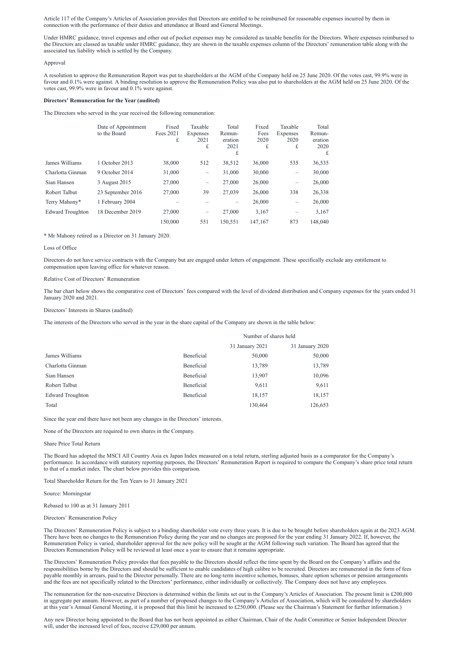Article 117 of the Company's Articles of Association provides that Directors are entitled to be reimbursed for reasonable expenses incurred by them in connection with the performance of their duties and attendance at Board and General Meetings.

Under HMRC guidance, travel expenses and other out of pocket expenses may be considered as taxable benefits for the Directors. Where expenses reimbursed to the Directors are classed as taxable under HMRC guidance, they are shown in the taxable expenses column of the Directors' remuneration table along with the associated tax liability which is settled by the Company.

#### Approval

A resolution to approve the Remuneration Report was put to shareholders at the AGM of the Company held on 25 June 2020. Of the votes cast, 99.9% were in favour and 0.1% were against. A binding resolution to approve the Remuneration Policy was also put to shareholders at the AGM held on 25 June 2020. Of the votes cast, 99.9% were in favour and 0.1% were against.

#### **Directors' Remuneration for the Year (audited)**

The Directors who served in the year received the following remuneration:

|                         | Date of Appointment<br>to the Board | Fixed<br>Fees 2021<br>£ | Taxable<br><b>Expenses</b><br>2021<br>£ | Total<br>Remun-<br>eration<br>2021<br>£ | Fixed<br>Fees<br>2020<br>£ | Taxable<br>Expenses<br>2020<br>£ | Total<br>Remun-<br>eration<br>2020<br>£ |
|-------------------------|-------------------------------------|-------------------------|-----------------------------------------|-----------------------------------------|----------------------------|----------------------------------|-----------------------------------------|
| James Williams          | 1 October 2013                      | 38,000                  | 512                                     | 38,512                                  | 36,000                     | 535                              | 36,535                                  |
| Charlotta Ginman        | 9 October 2014                      | 31,000                  | —                                       | 31,000                                  | 30,000                     | $\qquad \qquad -$                | 30,000                                  |
| Sian Hansen             | 3 August 2015                       | 27,000                  | —                                       | 27,000                                  | 26,000                     | $\overline{\phantom{0}}$         | 26,000                                  |
| Robert Talbut           | 23 September 2016                   | 27,000                  | 39                                      | 27,039                                  | 26,000                     | 338                              | 26,338                                  |
| Terry Mahony*           | 1 February 2004                     |                         |                                         |                                         | 26,000                     | $\overline{\phantom{0}}$         | 26,000                                  |
| <b>Edward Troughton</b> | 18 December 2019                    | 27,000                  | $\qquad \qquad -$                       | 27,000                                  | 3,167                      | —                                | 3,167                                   |
|                         |                                     | 150,000                 | 551                                     | 150,551                                 | 147,167                    | 873                              | 148,040                                 |

\* Mr Mahony retired as a Director on 31 January 2020.

#### Loss of Office

Directors do not have service contracts with the Company but are engaged under letters of engagement. These specifically exclude any entitlement to compensation upon leaving office for whatever reason.

#### Relative Cost of Directors' Remuneration

The bar chart below shows the comparative cost of Directors' fees compared with the level of dividend distribution and Company expenses for the years ended 31 January 2020 and 2021.

#### Directors' Interests in Shares (audited)

The interests of the Directors who served in the year in the share capital of the Company are shown in the table below:

The remuneration for the non-executive Directors is determined within the limits set out in the Company's Articles of Association. The present limit is £200,000 in aggregate per annum. However, as part of a number of proposed changes to the Company's Articles of Association, which will be considered by shareholders at this year's Annual General Meeting, it is proposed that this limit be increased to £250,000. (Please see the Chairman's Statement for further information.)

Any new Director being appointed to the Board that has not been appointed as either Chairman, Chair of the Audit Committee or Senior Independent Director will, under the increased level of fees, receive £29,000 per annum.

|                         |            | Number of shares held |                 |  |  |
|-------------------------|------------|-----------------------|-----------------|--|--|
|                         |            | 31 January 2021       | 31 January 2020 |  |  |
| James Williams          | Beneficial | 50,000                | 50,000          |  |  |
| Charlotta Ginman        | Beneficial | 13,789                | 13,789          |  |  |
| Sian Hansen             | Beneficial | 13,907                | 10,096          |  |  |
| Robert Talbut           | Beneficial | 9,611                 | 9,611           |  |  |
| <b>Edward Troughton</b> | Beneficial | 18,157                | 18,157          |  |  |
| Total                   |            | 130,464               | 126,653         |  |  |

Since the year end there have not been any changes in the Directors' interests.

None of the Directors are required to own shares in the Company.

#### Share Price Total Return

The Board has adopted the MSCI All Country Asia ex Japan Index measured on a total return, sterling adjusted basis as a comparator for the Company's performance. In accordance with statutory reporting purposes, the Directors' Remuneration Report is required to compare the Company's share price total return to that of a market index. The chart below provides this comparison.

#### Total Shareholder Return for the Ten Years to 31 January 2021

Source: Morningstar

Rebased to 100 as at 31 January 2011

Directors' Remuneration Policy

The Directors' Remuneration Policy is subject to a binding shareholder vote every three years. It is due to be brought before shareholders again at the 2023 AGM. There have been no changes to the Remuneration Policy during the year and no changes are proposed for the year ending 31 January 2022. If, however, the Remuneration Policy is varied, shareholder approval for the new policy will be sought at the AGM following such variation. The Board has agreed that the Directors Remuneration Policy will be reviewed at least once a year to ensure that it remains appropriate.

The Directors' Remuneration Policy provides that fees payable to the Directors should reflect the time spent by the Board on the Company's affairs and the responsibilities borne by the Directors and should be sufficient to enable candidates of high calibre to be recruited. Directors are remunerated in the form of fees payable monthly in arrears, paid to the Director personally. There are no long-term incentive schemes, bonuses, share option schemes or pension arrangements and the fees are not specifically related to the Directors' performance, either individually or collectively. The Company does not have any employees.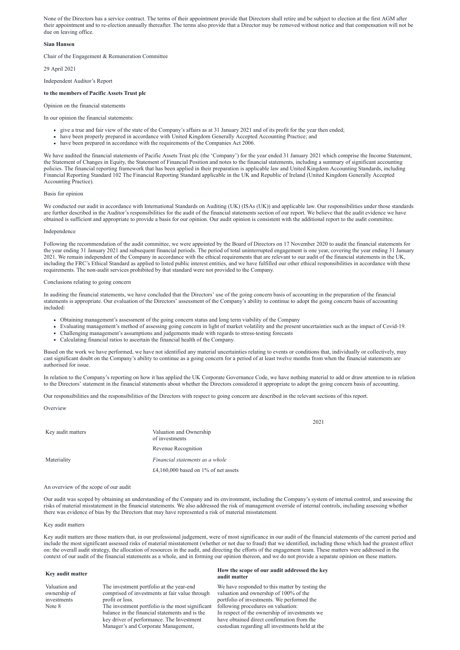None of the Directors has a service contract. The terms of their appointment provide that Directors shall retire and be subject to election at the first AGM after their appointment and to re-election annually thereafter. The terms also provide that a Director may be removed without notice and that compensation will not be due on leaving office.

# **Sian Hansen**

Chair of the Engagement & Remuneration Committee

29 April 2021

Independent Auditor's Report

# **to the members of Pacific Assets Trust plc**

Opinion on the financial statements

In our opinion the financial statements:

- give a true and fair view of the state of the Company's affairs as at 31 January 2021 and of its profit for the year then ended;
- have been properly prepared in accordance with United Kingdom Generally Accepted Accounting Practice; and
- have been prepared in accordance with the requirements of the Companies Act 2006.

We have audited the financial statements of Pacific Assets Trust plc (the 'Company') for the year ended 31 January 2021 which comprise the Income Statement, the Statement of Changes in Equity, the Statement of Financial Position and notes to the financial statements, including a summary of significant accounting policies. The financial reporting framework that has been applied in their preparation is applicable law and United Kingdom Accounting Standards, including Financial Reporting Standard 102 The Financial Reporting Standard applicable in the UK and Republic of Ireland (United Kingdom Generally Accepted Accounting Practice).

We conducted our audit in accordance with International Standards on Auditing (UK) (ISAs (UK)) and applicable law. Our responsibilities under those standards are further described in the Auditor's responsibilities for the audit of the financial statements section of our report. We believe that the audit evidence we have obtained is sufficient and appropriate to provide a basis for our opinion. Our audit opinion is consistent with the additional report to the audit committee.

#### Basis for opinion

### Independence

Key audit matters Valuation and Ownership of investments Revenue Recognition Materiality *Financial statements as a whole* £4,160,000 based on 1% of net assets

Following the recommendation of the audit committee, we were appointed by the Board of Directors on 17 November 2020 to audit the financial statements for the year ending 31 January 2021 and subsequent financial periods. The period of total uninterrupted engagement is one year, covering the year ending 31 January 2021. We remain independent of the Company in accordance with the ethical requirements that are relevant to our audit of the financial statements in the UK, including the FRC's Ethical Standard as applied to listed public interest entities, and we have fulfilled our other ethical responsibilities in accordance with these requirements. The non-audit services prohibited by that standard were not provided to the Company.

# Conclusions relating to going concern

### **Key audit matter How the scope of our audit addressed the key audit matter**

In auditing the financial statements, we have concluded that the Directors' use of the going concern basis of accounting in the preparation of the financial statements is appropriate. Our evaluation of the Directors' assessment of the Company's ability to continue to adopt the going concern basis of accounting included:

- Obtaining management's assessment of the going concern status and long term viability of the Company
- Evaluating management's method of assessing going concern in light of market volatility and the present uncertainties such as the impact of Covid-19.
- Challenging management's assumptions and judgements made with regards to stress-testing forecasts
- Calculating financial ratios to ascertain the financial health of the Company.

Based on the work we have performed, we have not identified any material uncertainties relating to events or conditions that, individually or collectively, may cast significant doubt on the Company's ability to continue as a going concern for a period of at least twelve months from when the financial statements are authorised for issue.

In relation to the Company's reporting on how it has applied the UK Corporate Governance Code, we have nothing material to add or draw attention to in relation to the Directors' statement in the financial statements about whether the Directors considered it appropriate to adopt the going concern basis of accounting.

Our responsibilities and the responsibilities of the Directors with respect to going concern are described in the relevant sections of this report.

**Overview** 

2021

An overview of the scope of our audit

Our audit was scoped by obtaining an understanding of the Company and its environment, including the Company's system of internal control, and assessing the risks of material misstatement in the financial statements. We also addressed the risk of management override of internal controls, including assessing whether there was evidence of bias by the Directors that may have represented a risk of material misstatement.

#### Key audit matters

Key audit matters are those matters that, in our professional judgement, were of most significance in our audit of the financial statements of the current period and include the most significant assessed risks of material misstatement (whether or not due to fraud) that we identified, including those which had the greatest effect on: the overall audit strategy, the allocation of resources in the audit, and directing the efforts of the engagement team. These matters were addressed in the context of our audit of the financial statements as a whole, and in forming our opinion thereon, and we do not provide a separate opinion on these matters.

Valuation and ownership of investments Note 8

The investment portfolio at the year-end comprised of investments at fair value through profit or loss.

The investment portfolio is the most significant balance in the financial statements and is the key driver of performance. The Investment Manager's and Corporate Management,

We have responded to this matter by testing the valuation and ownership of 100% of the portfolio of investments. We performed the following procedures on valuation: In respect of the ownership of investments we have obtained direct confirmation from the custodian regarding all investments held at the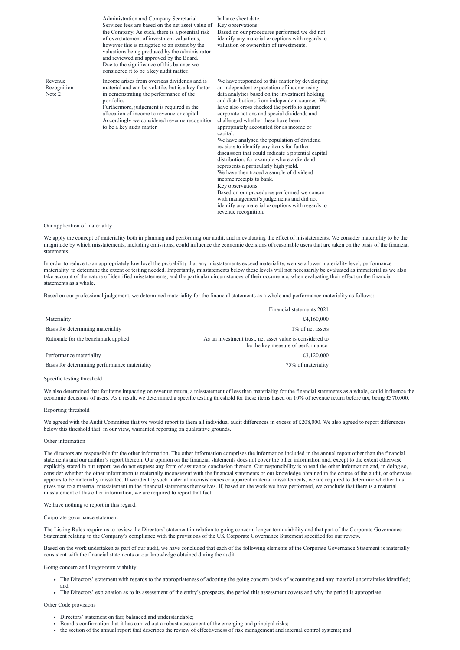|                                  | Administration and Company Secretarial<br>Services fees are based on the net asset value of<br>the Company. As such, there is a potential risk<br>of overstatement of investment valuations,<br>however this is mitigated to an extent by the<br>valuations being produced by the administrator<br>and reviewed and approved by the Board.<br>Due to the significance of this balance we<br>considered it to be a key audit matter. | balance sheet date.<br>Key observations:<br>Based on our procedures performed we did not<br>identify any material exceptions with regards to<br>valuation or ownership of investments.                                                                                                                                                                                                                                                                                                                                                                                                                                                                                                                                                                                                                                                                                                                       |
|----------------------------------|-------------------------------------------------------------------------------------------------------------------------------------------------------------------------------------------------------------------------------------------------------------------------------------------------------------------------------------------------------------------------------------------------------------------------------------|--------------------------------------------------------------------------------------------------------------------------------------------------------------------------------------------------------------------------------------------------------------------------------------------------------------------------------------------------------------------------------------------------------------------------------------------------------------------------------------------------------------------------------------------------------------------------------------------------------------------------------------------------------------------------------------------------------------------------------------------------------------------------------------------------------------------------------------------------------------------------------------------------------------|
| Revenue<br>Recognition<br>Note 2 | Income arises from overseas dividends and is<br>material and can be volatile, but is a key factor<br>in demonstrating the performance of the<br>portfolio.<br>Furthermore, judgement is required in the<br>allocation of income to revenue or capital.<br>Accordingly we considered revenue recognition<br>to be a key audit matter.                                                                                                | We have responded to this matter by developing<br>an independent expectation of income using<br>data analytics based on the investment holding<br>and distributions from independent sources. We<br>have also cross checked the portfolio against<br>corporate actions and special dividends and<br>challenged whether these have been<br>appropriately accounted for as income or<br>capital.<br>We have analysed the population of dividend<br>receipts to identify any items for further<br>discussion that could indicate a potential capital<br>distribution, for example where a dividend<br>represents a particularly high yield.<br>We have then traced a sample of dividend<br>income receipts to bank.<br>Key observations:<br>Based on our procedures performed we concur<br>with management's judgements and did not<br>identify any material exceptions with regards to<br>revenue recognition. |

Our application of materiality

We agreed with the Audit Committee that we would report to them all individual audit differences in excess of £208,000. We also agreed to report differences below this threshold that, in our view, warranted reporting on qualitative grounds.

We apply the concept of materiality both in planning and performing our audit, and in evaluating the effect of misstatements. We consider materiality to be the magnitude by which misstatements, including omissions, could influence the economic decisions of reasonable users that are taken on the basis of the financial statements.

In order to reduce to an appropriately low level the probability that any misstatements exceed materiality, we use a lower materiality level, performance materiality, to determine the extent of testing needed. Importantly, misstatements below these levels will not necessarily be evaluated as immaterial as we also take account of the nature of identified misstatements, and the particular circumstances of their occurrence, when evaluating their effect on the financial statements as a whole.

Based on our professional judgement, we determined materiality for the financial statements as a whole and performance materiality as follows:

|                                               | Financial statements 2021                                                                      |
|-----------------------------------------------|------------------------------------------------------------------------------------------------|
| Materiality                                   | £4,160,000                                                                                     |
| Basis for determining materiality             | 1\% of net assets                                                                              |
| Rationale for the benchmark applied           | As an investment trust, net asset value is considered to<br>be the key measure of performance. |
| Performance materiality                       | £3,120,000                                                                                     |
| Basis for determining performance materiality | 75% of materiality                                                                             |

Specific testing threshold

We also determined that for items impacting on revenue return, a misstatement of less than materiality for the financial statements as a whole, could influence the economic decisions of users. As a result, we determined a specific testing threshold for these items based on 10% of revenue return before tax, being £370,000.

#### Reporting threshold

#### Other information

The directors are responsible for the other information. The other information comprises the information included in the annual report other than the financial statements and our auditor's report thereon. Our opinion on the financial statements does not cover the other information and, except to the extent otherwise explicitly stated in our report, we do not express any form of assurance conclusion thereon. Our responsibility is to read the other information and, in doing so, consider whether the other information is materially inconsistent with the financial statements or our knowledge obtained in the course of the audit, or otherwise appears to be materially misstated. If we identify such material inconsistencies or apparent material misstatements, we are required to determine whether this gives rise to a material misstatement in the financial statements themselves. If, based on the work we have performed, we conclude that there is a material

misstatement of this other information, we are required to report that fact.

We have nothing to report in this regard.

Corporate governance statement

The Listing Rules require us to review the Directors' statement in relation to going concern, longer-term viability and that part of the Corporate Governance Statement relating to the Company's compliance with the provisions of the UK Corporate Governance Statement specified for our review.

Based on the work undertaken as part of our audit, we have concluded that each of the following elements of the Corporate Governance Statement is materially consistent with the financial statements or our knowledge obtained during the audit.

Going concern and longer-term viability

- The Directors' statement with regards to the appropriateness of adopting the going concern basis of accounting and any material uncertainties identified; and
- The Directors' explanation as to its assessment of the entity's prospects, the period this assessment covers and why the period is appropriate.

Other Code provisions

- Directors' statement on fair, balanced and understandable;
- Board's confirmation that it has carried out a robust assessment of the emerging and principal risks;
- the section of the annual report that describes the review of effectiveness of risk management and internal control systems; and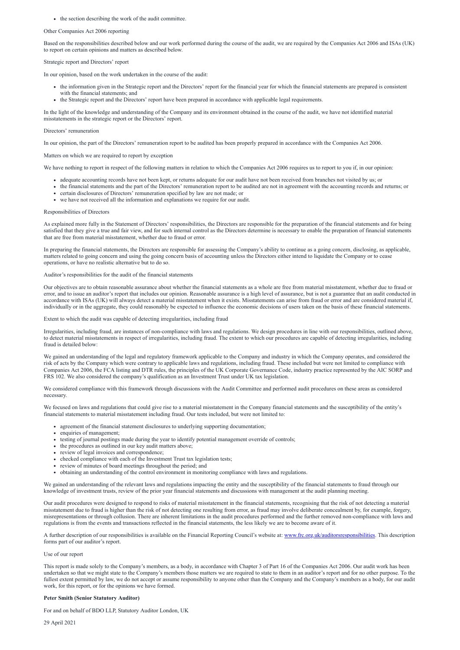• the section describing the work of the audit committee.

#### Other Companies Act 2006 reporting

Based on the responsibilities described below and our work performed during the course of the audit, we are required by the Companies Act 2006 and ISAs (UK) to report on certain opinions and matters as described below.

### Strategic report and Directors' report

In our opinion, based on the work undertaken in the course of the audit:

- the information given in the Strategic report and the Directors' report for the financial year for which the financial statements are prepared is consistent with the financial statements; and
- the Strategic report and the Directors' report have been prepared in accordance with applicable legal requirements.

In the light of the knowledge and understanding of the Company and its environment obtained in the course of the audit, we have not identified material misstatements in the strategic report or the Directors' report.

- adequate accounting records have not been kept, or returns adequate for our audit have not been received from branches not visited by us; or
- the financial statements and the part of the Directors' remuneration report to be audited are not in agreement with the accounting records and returns; or
- certain disclosures of Directors' remuneration specified by law are not made; or
- we have not received all the information and explanations we require for our audit.

### Directors' remuneration

In our opinion, the part of the Directors' remuneration report to be audited has been properly prepared in accordance with the Companies Act 2006.

Matters on which we are required to report by exception

We have nothing to report in respect of the following matters in relation to which the Companies Act 2006 requires us to report to you if, in our opinion:

### Responsibilities of Directors

As explained more fully in the Statement of Directors' responsibilities, the Directors are responsible for the preparation of the financial statements and for being satisfied that they give a true and fair view, and for such internal control as the Directors determine is necessary to enable the preparation of financial statements that are free from material misstatement, whether due to fraud or error.

We focused on laws and regulations that could give rise to a material misstatement in the Company financial statements and the susceptibility of the entity's financial statements to material misstatement including fraud. Our tests included, but were not limited to:

In preparing the financial statements, the Directors are responsible for assessing the Company's ability to continue as a going concern, disclosing, as applicable, matters related to going concern and using the going concern basis of accounting unless the Directors either intend to liquidate the Company or to cease operations, or have no realistic alternative but to do so.

#### Auditor's responsibilities for the audit of the financial statements

Our objectives are to obtain reasonable assurance about whether the financial statements as a whole are free from material misstatement, whether due to fraud or error, and to issue an auditor's report that includes our opinion. Reasonable assurance is a high level of assurance, but is not a guarantee that an audit conducted in accordance with ISAs (UK) will always detect a material misstatement when it exists. Misstatements can arise from fraud or error and are considered material if, individually or in the aggregate, they could reasonably be expected to influence the economic decisions of users taken on the basis of these financial statements.

Extent to which the audit was capable of detecting irregularities, including fraud

Irregularities, including fraud, are instances of non-compliance with laws and regulations. We design procedures in line with our responsibilities, outlined above, to detect material misstatements in respect of irregularities, including fraud. The extent to which our procedures are capable of detecting irregularities, including fraud is detailed below:

We gained an understanding of the legal and regulatory framework applicable to the Company and industry in which the Company operates, and considered the risk of acts by the Company which were contrary to applicable laws and regulations, including fraud. These included but were not limited to compliance with Companies Act 2006, the FCA listing and DTR rules, the principles of the UK Corporate Governance Code, industry practice represented by the AIC SORP and FRS 102. We also considered the company's qualification as an Investment Trust under UK tax legislation.

We considered compliance with this framework through discussions with the Audit Committee and performed audit procedures on these areas as considered necessary.

- agreement of the financial statement disclosures to underlying supporting documentation;
- enquiries of management;
- testing of journal postings made during the year to identify potential management override of controls;
- the procedures as outlined in our key audit matters above;
- review of legal invoices and correspondence;
- checked compliance with each of the Investment Trust tax legislation tests;
- review of minutes of board meetings throughout the period; and
- obtaining an understanding of the control environment in monitoring compliance with laws and regulations.

We gained an understanding of the relevant laws and regulations impacting the entity and the susceptibility of the financial statements to fraud through our

knowledge of investment trusts, review of the prior year financial statements and discussions with management at the audit planning meeting.

Our audit procedures were designed to respond to risks of material misstatement in the financial statements, recognising that the risk of not detecting a material misstatement due to fraud is higher than the risk of not detecting one resulting from error, as fraud may involve deliberate concealment by, for example, forgery, misrepresentations or through collusion. There are inherent limitations in the audit procedures performed and the further removed non-compliance with laws and regulations is from the events and transactions reflected in the financial statements, the less likely we are to become aware of it.

A further description of our responsibilities is available on the Financial Reporting Council's website at: [www.frc.org.uk/auditorsresponsibilities](http://www.frc.org.uk/auditorsresponsibilities). This description forms part of our auditor's report.

Use of our report

This report is made solely to the Company's members, as a body, in accordance with Chapter 3 of Part 16 of the Companies Act 2006. Our audit work has been undertaken so that we might state to the Company's members those matters we are required to state to them in an auditor's report and for no other purpose. To the fullest extent permitted by law, we do not accept or assume responsibility to anyone other than the Company and the Company's members as a body, for our audit work, for this report, or for the opinions we have formed.

#### **Peter Smith (Senior Statutory Auditor)**

For and on behalf of BDO LLP, Statutory Auditor London, UK

29 April 2021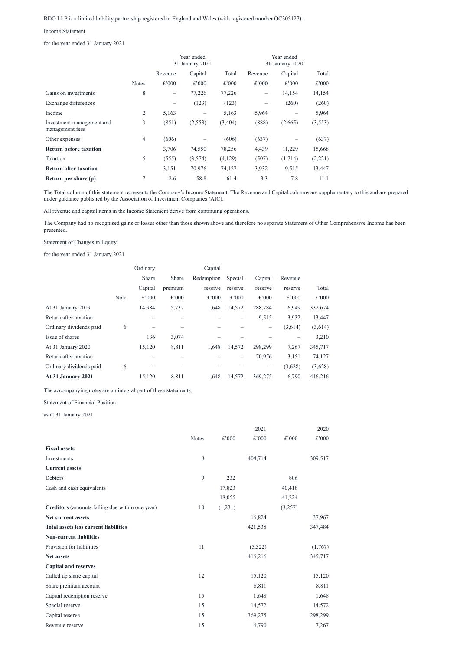# BDO LLP is a limited liability partnership registered in England and Wales (with registered number OC305127).

#### Income Statement

for the year ended 31 January 2021

|                                              |                | Year ended<br>31 January 2021 |         |         | Year ended<br>31 January 2020 |         |         |
|----------------------------------------------|----------------|-------------------------------|---------|---------|-------------------------------|---------|---------|
|                                              |                | Revenue                       | Capital | Total   | Revenue                       | Capital | Total   |
|                                              | <b>Notes</b>   | £'000                         | £'000   | £'000   | £'000                         | £'000   | £'000   |
| Gains on investments                         | 8              |                               | 77,226  | 77,226  | $\qquad \qquad$               | 14,154  | 14,154  |
| Exchange differences                         |                |                               | (123)   | (123)   |                               | (260)   | (260)   |
| Income                                       | $\overline{2}$ | 5,163                         |         | 5,163   | 5,964                         |         | 5,964   |
| Investment management and<br>management fees | 3              | (851)                         | (2,553) | (3,404) | (888)                         | (2,665) | (3,553) |
| Other expenses                               | $\overline{4}$ | (606)                         |         | (606)   | (637)                         |         | (637)   |
| <b>Return before taxation</b>                |                | 3,706                         | 74,550  | 78,256  | 4,439                         | 11,229  | 15,668  |
| Taxation                                     | 5              | (555)                         | (3,574) | (4,129) | (507)                         | (1,714) | (2,221) |
| <b>Return after taxation</b>                 |                | 3,151                         | 70,976  | 74,127  | 3,932                         | 9,515   | 13,447  |
| Return per share (p)                         | $\tau$         | 2.6                           | 58.8    | 61.4    | 3.3                           | 7.8     | 11.1    |

The Total column of this statement represents the Company's Income Statement. The Revenue and Capital columns are supplementary to this and are prepared under guidance published by the Association of Investment Companies (AIC).

All revenue and capital items in the Income Statement derive from continuing operations.

The Company had no recognised gains or losses other than those shown above and therefore no separate Statement of Other Comprehensive Income has been presented.

Statement of Changes in Equity

for the year ended 31 January 2021

|                         |      | Ordinary |         | Capital    |                   |         |         |         |
|-------------------------|------|----------|---------|------------|-------------------|---------|---------|---------|
|                         |      | Share    | Share   | Redemption | Special           | Capital | Revenue |         |
|                         |      | Capital  | premium | reserve    | reserve           | reserve | reserve | Total   |
|                         | Note | £'000    | £'000   | £'000      | £'000             | £'000   | £'000   | £'000   |
| At 31 January 2019      |      | 14,984   | 5,737   | 1,648      | 14,572            | 288,784 | 6,949   | 332,674 |
| Return after taxation   |      |          |         |            |                   | 9,515   | 3,932   | 13,447  |
| Ordinary dividends paid | 6    |          |         |            |                   |         | (3,614) | (3,614) |
| Issue of shares         |      | 136      | 3,074   |            |                   |         |         | 3,210   |
| At 31 January 2020      |      | 15,120   | 8,811   | 1,648      | 14,572            | 298,299 | 7,267   | 345,717 |
| Return after taxation   |      |          |         |            | $\qquad \qquad -$ | 70,976  | 3,151   | 74,127  |
| Ordinary dividends paid | 6    |          |         |            |                   |         | (3,628) | (3,628) |
| At 31 January 2021      |      | 15,120   | 8,811   | 1,648      | 14,572            | 369,275 | 6,790   | 416,216 |

The accompanying notes are an integral part of these statements.

Statement of Financial Position

as at 31 January 2021

|                           |              |        | 2021    |        | 2020    |  |
|---------------------------|--------------|--------|---------|--------|---------|--|
|                           | <b>Notes</b> | £'000  | £'000   | £'000  | £'000   |  |
| <b>Fixed assets</b>       |              |        |         |        |         |  |
| Investments               | 8            |        | 404,714 |        | 309,517 |  |
| <b>Current assets</b>     |              |        |         |        |         |  |
| Debtors                   | 9            | 232    |         | 806    |         |  |
| Cash and cash equivalents |              | 17,823 |         | 40,418 |         |  |

|                                                 |    | 18,055  | 41,224  |
|-------------------------------------------------|----|---------|---------|
| Creditors (amounts falling due within one year) | 10 | (1,231) | (3,257) |
| Net current assets                              |    | 16,824  | 37,967  |
| <b>Total assets less current liabilities</b>    |    | 421,538 | 347,484 |
| <b>Non-current liabilities</b>                  |    |         |         |
| Provision for liabilities                       | 11 | (5,322) | (1,767) |
| <b>Net assets</b>                               |    | 416,216 | 345,717 |
| <b>Capital and reserves</b>                     |    |         |         |
| Called up share capital                         | 12 | 15,120  | 15,120  |
| Share premium account                           |    | 8,811   | 8,811   |
| Capital redemption reserve                      | 15 | 1,648   | 1,648   |
| Special reserve                                 | 15 | 14,572  | 14,572  |
| Capital reserve                                 | 15 | 369,275 | 298,299 |
| Revenue reserve                                 | 15 | 6,790   | 7,267   |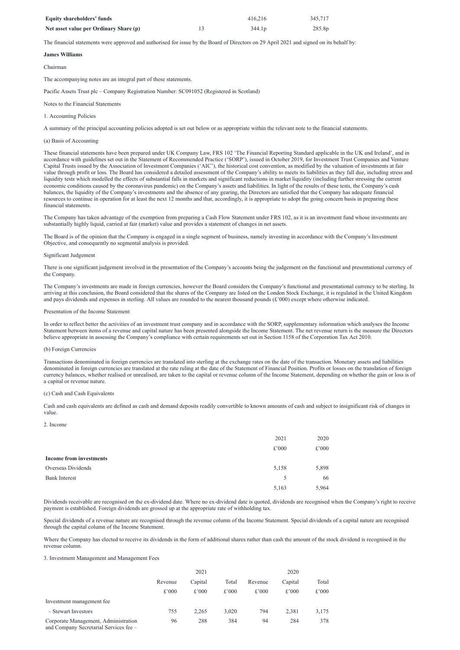| <b>Equity shareholders' funds</b>      | 416.216            | 345,717 |
|----------------------------------------|--------------------|---------|
| Net asset value per Ordinary Share (p) | 344.1 <sub>p</sub> | 285.8p  |

The financial statements were approved and authorised for issue by the Board of Directors on 29 April 2021 and signed on its behalf by:

# **James Williams**

## Chairman

The accompanying notes are an integral part of these statements.

Pacific Assets Trust plc – Company Registration Number: SC091052 (Registered in Scotland)

### Notes to the Financial Statements

# 1. Accounting Policies

A summary of the principal accounting policies adopted is set out below or as appropriate within the relevant note to the financial statements.

# (a) Basis of Accounting

These financial statements have been prepared under UK Company Law, FRS 102 'The Financial Reporting Standard applicable in the UK and Ireland', and in accordance with guidelines set out in the Statement of Recommended Practice ('SORP'), issued in October 2019, for Investment Trust Companies and Venture Capital Trusts issued by the Association of Investment Companies ('AIC'), the historical cost convention, as modified by the valuation of investments at fair value through profit or loss. The Board has considered a detailed assessment of the Company's ability to meets its liabilities as they fall due, including stress and liquidity tests which modelled the effects of substantial falls in markets and significant reductions in market liquidity (including further stressing the current economic conditions caused by the coronavirus pandemic) on the Company's assets and liabilities. In light of the results of these tests, the Company's cash balances, the liquidity of the Company's investments and the absence of any gearing, the Directors are satisfied that the Company has adequate financial resources to continue in operation for at least the next 12 months and that, accordingly, it is appropriate to adopt the going concern basis in preparing these financial statements.

The Company has taken advantage of the exemption from preparing a Cash Flow Statement under FRS 102, as it is an investment fund whose investments are substantially highly liquid, carried at fair (market) value and provides a statement of changes in net assets.

The Board is of the opinion that the Company is engaged in a single segment of business, namely investing in accordance with the Company's Investment Objective, and consequently no segmental analysis is provided.

#### Significant Judgement

There is one significant judgement involved in the presentation of the Company's accounts being the judgement on the functional and presentational currency of the Company.

The Company's investments are made in foreign currencies, however the Board considers the Company's functional and presentational currency to be sterling. In arriving at this conclusion, the Board considered that the shares of the Company are listed on the London Stock Exchange, it is regulated in the United Kingdom and pays dividends and expenses in sterling. All values are rounded to the nearest thousand pounds (£'000) except where otherwise indicated.

#### Presentation of the Income Statement

In order to reflect better the activities of an investment trust company and in accordance with the SORP, supplementary information which analyses the Income Statement between items of a revenue and capital nature has been presented alongside the Income Statement. The net revenue return is the measure the Directors believe appropriate in assessing the Company's compliance with certain requirements set out in Section 1158 of the Corporation Tax Act 2010.

# (b) Foreign Currencies

Transactions denominated in foreign currencies are translated into sterling at the exchange rates on the date of the transaction. Monetary assets and liabilities denominated in foreign currencies are translated at the rate ruling at the date of the Statement of Financial Position. Profits or losses on the translation of foreign currency balances, whether realised or unrealised, are taken to the capital or revenue column of the Income Statement, depending on whether the gain or loss is of a capital or revenue nature.

#### (c) Cash and Cash Equivalents

Cash and cash equivalents are defined as cash and demand deposits readily convertible to known amounts of cash and subject to insignificant risk of changes in value.

#### 2. Income

|                                | 2021  | 2020  |
|--------------------------------|-------|-------|
|                                | £'000 | £'000 |
| <b>Income from investments</b> |       |       |
| Overseas Dividends             | 5,158 | 5,898 |
| <b>Bank Interest</b>           | 5     | 66    |
|                                | 5,163 | 5,964 |

Dividends receivable are recognised on the ex-dividend date. Where no ex-dividend date is quoted, dividends are recognised when the Company's right to receive payment is established. Foreign dividends are grossed up at the appropriate rate of withholding tax.

Special dividends of a revenue nature are recognised through the revenue column of the Income Statement. Special dividends of a capital nature are recognised through the capital column of the Income Statement.

Where the Company has elected to receive its dividends in the form of additional shares rather than cash the amount of the stock dividend is recognised in the revenue column.

#### 3. Investment Management and Management Fees

|                                                                                | 2021    |          |          | 2020     |         |       |
|--------------------------------------------------------------------------------|---------|----------|----------|----------|---------|-------|
|                                                                                | Revenue | Capital  | Total    | Revenue  | Capital | Total |
|                                                                                | £'000   | $£$ '000 | $£$ '000 | $£$ '000 | £'000   | £'000 |
| Investment management fee                                                      |         |          |          |          |         |       |
| - Stewart Investors                                                            | 755     | 2.265    | 3,020    | 794      | 2,381   | 3,175 |
| Corporate Management, Administration<br>and Company Secretarial Services fee - | 96      | 288      | 384      | 94       | 284     | 378   |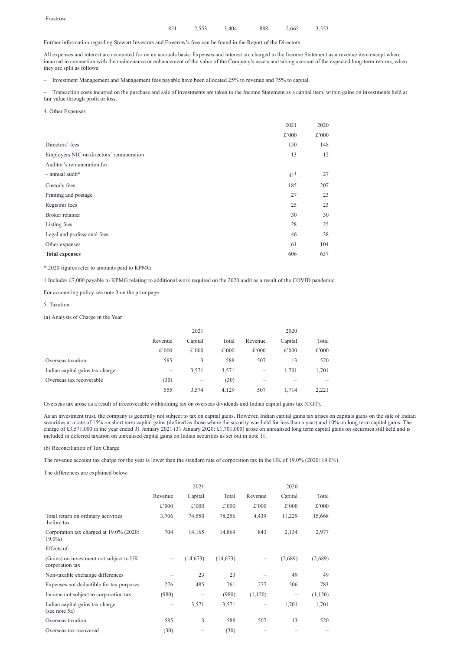## 851 2,553 3,404 888 2,665 3,553

Further information regarding Stewart Investors and Frostrow's fees can be found in the Report of the Directors.

All expenses and interest are accounted for on an accruals basis. Expenses and interest are charged to the Income Statement as a revenue item except where incurred in connection with the maintenance or enhancement of the value of the Company's assets and taking account of the expected long-term returns, when they are split as follows:

– Investment Management and Management fees payable have been allocated 25% to revenue and 75% to capital.

– Transaction costs incurred on the purchase and sale of investments are taken to the Income Statement as a capital item, within gains on investments held at fair value through profit or loss.

4. Other Expenses

|                                          | 2021            | 2020  |
|------------------------------------------|-----------------|-------|
|                                          | £'000           | £'000 |
| Directors' fees                          | 150             | 148   |
| Employers NIC on directors' remuneration | 13              | 12    |
| Auditor's remuneration for:              |                 |       |
| $-$ annual audit*                        | 41 <sup>1</sup> | 27    |
| Custody fees                             | 185             | 207   |
| Printing and postage                     | 27              | 23    |
| Registrar fees                           | 25              | 23    |
| Broker retainer                          | 30              | 30    |
| Listing fees                             | 28              | 25    |
| Legal and professional fees              | 46              | 38    |
| Other expenses                           | 61              | 104   |
| <b>Total expenses</b>                    | 606             | 637   |

\* 2020 figures refer to amounts paid to KPMG

1 Includes £7,000 payable to KPMG relating to additional work required on the 2020 audit as a result of the COVID pandemic

For accounting policy see note 3 on the prior page.

5. Taxation

(a) Analysis of Charge in the Year

|                                 | 2021    |                          |       | 2020              |         |       |
|---------------------------------|---------|--------------------------|-------|-------------------|---------|-------|
|                                 | Revenue | Capital                  | Total | Revenue           | Capital | Total |
|                                 | £'000   | £'000                    | £'000 | £'000             | £'000   | £'000 |
| Overseas taxation               | 585     | 3                        | 588   | 507               | 13      | 520   |
| Indian capital gains tax charge |         | 3,571                    | 3,571 | $\qquad \qquad -$ | 1,701   | 1,701 |
| Overseas tax recoverable        | (30)    | $\overline{\phantom{0}}$ | (30)  |                   |         |       |
|                                 | 555     | 3,574                    | 4,129 | 507               | 1,714   | 2,221 |

Overseas tax arose as a result of irrecoverable withholding tax on overseas dividends and Indian capital gains tax (CGT).

As an investment trust, the company is generally not subject to tax on capital gains. However, Indian capital gains tax arises on capitals gains on the sale of Indian securities at a rate of 15% on short term capital gains (defined as those where the security was held for less than a year) and 10% on long term capital gains. The charge of £3,571,000 in the year ended 31 January 2021 (31 January 2020: £1,701,000) arose on unrealised long term capital gains on securities still held and is included in deferred taxation on unrealised capital gains on Indian securities as set out in note 11.

(b) Reconciliation of Tax Charge

The revenue account tax charge for the year is lower than the standard rate of corporation tax in the UK of 19.0% (2020: 19.0%).

The differences are explained below:

|                                                            | Revenue | Capital  | Total     | Revenue | Capital         | Total   |
|------------------------------------------------------------|---------|----------|-----------|---------|-----------------|---------|
|                                                            | £'000   | £'000    | £'000     | £'000   | £'000           | £'000   |
| Total return on ordinary activities<br>before tax          | 3,706   | 74,550   | 78,256    | 4,439   | 11,229          | 15,668  |
| Corporation tax charged at 19.0% (2020:<br>$19.0\%$        | 704     | 14,165   | 14,869    | 843     | 2,134           | 2,977   |
| Effects of:                                                |         |          |           |         |                 |         |
| (Gains) on investment not subject to UK<br>corporation tax |         | (14,673) | (14, 673) |         | (2,689)         | (2,689) |
| Non-taxable exchange differences                           |         | 23       | 23        |         | 49              | 49      |
| Expenses not deductible for tax purposes                   | 276     | 485      | 761       | 277     | 506             | 783     |
| Income not subject to corporation tax                      | (980)   |          | (980)     | (1,120) | $\qquad \qquad$ | (1,120) |
| Indian capital gains tax charge<br>(see note 5a)           |         | 3,571    | 3,571     |         | 1,701           | 1,701   |
| Overseas taxation                                          | 585     | 3        | 588       | 507     | 13              | 520     |
| Overseas tax recovered                                     | (30)    |          | (30)      |         |                 |         |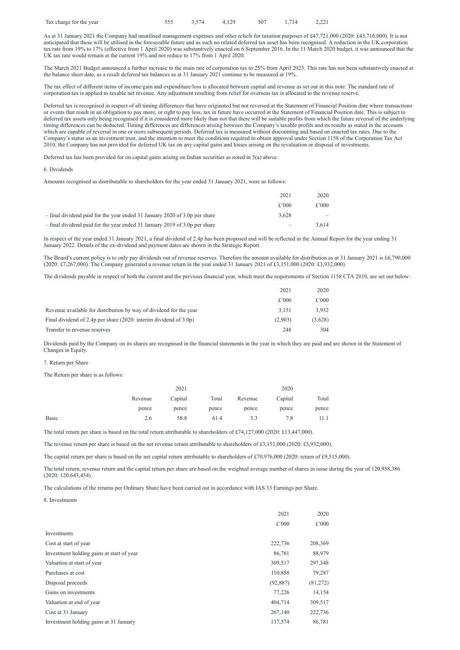| Tax charge for the year |  | 555 3,574 4,129 |  |  | 507 1,714 2,221 |  |
|-------------------------|--|-----------------|--|--|-----------------|--|
|-------------------------|--|-----------------|--|--|-----------------|--|

As at 31 January 2021 the Company had unutilised management expenses and other reliefs for taxation purposes of £47,721,000 (2020: £43,716,000). It is not anticipated that these will be utilised in the foreseeable future and as such no related deferred tax asset has been recognised. A reduction in the UK corporation tax rate from 19% to 17% (effective from 1 April 2020) was substantively enacted on 6 September 2016. In the 11 March 2020 budget, it was announced that the UK tax rate would remain at the current 19% and not reduce to 17% from 1 April 2020.

The March 2021 Budget announced a further increase to the main rate of corporation tax to 25% from April 2023. This rate has not been substantively enacted at the balance sheet date, as a result deferred tax balances as at 31 January 2021 continue to be measured at 19%.

The tax effect of different items of income/gain and expenditure/loss is allocated between capital and revenue as set out in this note. The standard rate of corporation tax is applied to taxable net revenue. Any adjustment resulting from relief for overseas tax is allocated to the revenue reserve.

The Board's current policy is to only pay dividends out of revenue reserves. Therefore the amount available for distribution as at 31 January 2021 is £6,790,000 (2020: £7,267,000). The Company generated a revenue return in the year ended 31 January 2021 of £3,151,000 (2020: £3,932,000).

Deferred tax is recognised in respect of all timing differences that have originated but not reversed at the Statement of Financial Position date where transactions or events that result in an obligation to pay more, or right to pay less, tax in future have occurred at the Statement of Financial Position date. This is subject to deferred tax assets only being recognised if it is considered more likely than not that there will be suitable profits from which the future reversal of the underlying timing differences can be deducted. Timing differences are differences arising between the Company's taxable profits and its results as stated in the accounts which are capable of reversal in one or more subsequent periods. Deferred tax is measured without discounting and based on enacted tax rates. Due to the Company's status as an investment trust, and the intention to meet the conditions required to obtain approval under Section 1158 of the Corporation Tax Act 2010, the Company has not provided for deferred UK tax on any capital gains and losses arising on the revaluation or disposal of investments.

Deferred tax has been provided for on capital gains arising on Indian securities as noted in 5(a) above.

6. Dividends

Amounts recognised as distributable to shareholders for the year ended 31 January 2021, were as follows:

|                                                                            | 2021     | 2020                     |
|----------------------------------------------------------------------------|----------|--------------------------|
|                                                                            | $£$ '000 | £'000                    |
| - final dividend paid for the year ended 31 January 2020 of 3.0p per share | 3.628    | $\overline{\phantom{a}}$ |
| - final dividend paid for the year ended 31 January 2019 of 3.0p per share |          | 3.614                    |

In respect of the year ended 31 January 2021, a final dividend of 2.4p has been proposed and will be reflected in the Annual Report for the year ending 31 January 2022. Details of the ex-dividend and payment dates are shown in the Strategic Report.

The dividends payable in respect of both the current and the previous financial year, which meet the requirements of Section 1158 CTA 2010, are set out below:

|                                                                       | 2021     | 2020    |
|-----------------------------------------------------------------------|----------|---------|
|                                                                       | $£$ '000 | £'000   |
| Revenue available for distribution by way of dividend for the year    | 3.151    | 3,932   |
| Final dividend of 2.4p per share $(2020)$ : interim dividend of 3.0p) | (2,903)  | (3,628) |
| Transfer to revenue reserves                                          | 248      | 304     |

Dividends paid by the Company on its shares are recognised in the financial statements in the year in which they are paid and are shown in the Statement of Changes in Equity.

#### 7. Return per Share

The Return per share is as follows:

|              |         | 2021    |       |         | 2020    |       |  |
|--------------|---------|---------|-------|---------|---------|-------|--|
|              | Revenue | Capital | Total | Revenue | Capital | Total |  |
|              | pence   | pence   | pence | pence   | pence   | pence |  |
| <b>Basic</b> | 2.6     | 58.8    | 61.4  | 3.3     | 7.8     | 11.1  |  |

The total return per share is based on the total return attributable to shareholders of £74,127,000 (2020: £13,447,000).

The revenue return per share is based on the net revenue return attributable to shareholders of £3,151,000 (2020: £3,932,000).

The capital return per share is based on the net capital return attributable to shareholders of £70,976,000 (2020: return of £9,515,000).

The total return, revenue return and the capital return per share are based on the weighted average number of shares in issue during the year of 120,958,386 (2020: 120,643,454).

The calculations of the returns per Ordinary Share have been carried out in accordance with IAS 33 Earnings per Share.

#### 8. Investments

|                                           | 2021      | 2020     |
|-------------------------------------------|-----------|----------|
|                                           | £'000     | £'000    |
| Investments                               |           |          |
| Cost at start of year                     | 222,736   | 208,369  |
| Investment holding gains at start of year | 86,781    | 88,979   |
| Valuation at start of year                | 309,517   | 297,348  |
| Purchases at cost                         | 110,858   | 79,287   |
| Disposal proceeds                         | (92, 887) | (81,272) |
| Gains on investments                      | 77,226    | 14,154   |
| Valuation at end of year                  | 404,714   | 309,517  |
| Cost at 31 January                        | 267,140   | 222,736  |
| Investment holding gains at 31 January    | 137,574   | 86,781   |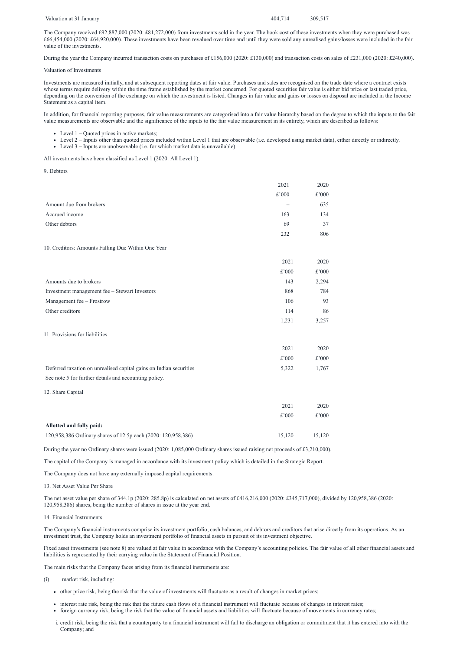Valuation at 31 January **404,714** 309,517

The Company received £92,887,000 (2020: £81,272,000) from investments sold in the year. The book cost of these investments when they were purchased was £66,454,000 (2020: £64,920,000). These investments have been revalued over time and until they were sold any unrealised gains/losses were included in the fair value of the investments.

During the year the Company incurred transaction costs on purchases of £156,000 (2020: £130,000) and transaction costs on sales of £231,000 (2020: £240,000).

Valuation of Investments

Investments are measured initially, and at subsequent reporting dates at fair value. Purchases and sales are recognised on the trade date where a contract exists whose terms require delivery within the time frame established by the market concerned. For quoted securities fair value is either bid price or last traded price, depending on the convention of the exchange on which the investment is listed. Changes in fair value and gains or losses on disposal are included in the Income Statement as a capital item.

- Level  $1 -$ Quoted prices in active markets;
- Level 2 Inputs other than quoted prices included within Level 1 that are observable (i.e. developed using market data), either directly or indirectly.
- Level 3 Inputs are unobservable (i.e. for which market data is unavailable).

In addition, for financial reporting purposes, fair value measurements are categorised into a fair value hierarchy based on the degree to which the inputs to the fair value measurements are observable and the significance of the inputs to the fair value measurement in its entirety, which are described as follows:

All investments have been classified as Level 1 (2020: All Level 1).

9. Debtors

Fixed asset investments (see note 8) are valued at fair value in accordance with the Company's accounting policies. The fair value of all other financial assets and liabilities is represented by their carrying value in the Statement of Financial Position.

|                                                                                                                             | 2021           | 2020           |
|-----------------------------------------------------------------------------------------------------------------------------|----------------|----------------|
|                                                                                                                             | $\pounds$ '000 | $\pounds$ '000 |
| Amount due from brokers                                                                                                     |                | 635            |
|                                                                                                                             |                |                |
| Accrued income                                                                                                              | 163            | 134            |
| Other debtors                                                                                                               | 69             | 37             |
|                                                                                                                             | 232            | 806            |
| 10. Creditors: Amounts Falling Due Within One Year                                                                          |                |                |
|                                                                                                                             | 2021           | 2020           |
|                                                                                                                             | $\pounds$ '000 | $\pounds$ '000 |
| Amounts due to brokers                                                                                                      | 143            | 2,294          |
| Investment management fee - Stewart Investors                                                                               | 868            | 784            |
| Management fee - Frostrow                                                                                                   | 106            | 93             |
| Other creditors                                                                                                             | 114            | 86             |
|                                                                                                                             | 1,231          | 3,257          |
| 11. Provisions for liabilities                                                                                              |                |                |
|                                                                                                                             | 2021           | 2020           |
|                                                                                                                             | £'000          | £'000          |
| Deferred taxation on unrealised capital gains on Indian securities                                                          | 5,322          | 1,767          |
| See note 5 for further details and accounting policy.                                                                       |                |                |
| 12. Share Capital                                                                                                           |                |                |
|                                                                                                                             | 2021           | 2020           |
|                                                                                                                             | $\pounds$ '000 | $\pounds$ '000 |
| Allotted and fully paid:                                                                                                    |                |                |
| 120,958,386 Ordinary shares of 12.5p each (2020: 120,958,386)                                                               | 15,120         | 15,120         |
| During the year no Ordinary shares were issued (2020: 1,085,000 Ordinary shares issued raising net proceeds of £3,210,000). |                |                |

The capital of the Company is managed in accordance with its investment policy which is detailed in the Strategic Report.

The Company does not have any externally imposed capital requirements.

13. Net Asset Value Per Share

The net asset value per share of 344.1p (2020: 285.8p) is calculated on net assets of £416,216,000 (2020: £345,717,000), divided by 120,958,386 (2020: 120,958,386) shares, being the number of shares in issue at the year end.

# 14. Financial Instruments

The Company's financial instruments comprise its investment portfolio, cash balances, and debtors and creditors that arise directly from its operations. As an investment trust, the Company holds an investment portfolio of financial assets in pursuit of its investment objective.

The main risks that the Company faces arising from its financial instruments are:

- (i) market risk, including:
	- other price risk, being the risk that the value of investments will fluctuate as a result of changes in market prices;
	- interest rate risk, being the risk that the future cash flows of a financial instrument will fluctuate because of changes in interest rates;
	- foreign currency risk, being the risk that the value of financial assets and liabilities will fluctuate because of movements in currency rates;
	- i. credit risk, being the risk that a counterparty to a financial instrument will fail to discharge an obligation or commitment that it has entered into with the Company; and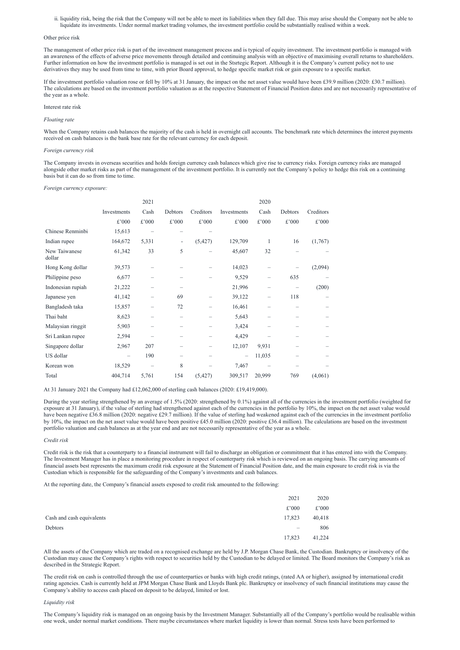ii. liquidity risk, being the risk that the Company will not be able to meet its liabilities when they fall due. This may arise should the Company not be able to liquidate its investments. Under normal market trading volumes, the investment portfolio could be substantially realised within a week.

#### Other price risk

The management of other price risk is part of the investment management process and is typical of equity investment. The investment portfolio is managed with an awareness of the effects of adverse price movements through detailed and continuing analysis with an objective of maximising overall returns to shareholders. Further information on how the investment portfolio is managed is set out in the Stsrtegic Report. Although it is the Company's current policy not to use derivatives they may be used from time to time, with prior Board approval, to hedge specific market risk or gain exposure to a specific market.

When the Company retains cash balances the majority of the cash is held in overnight call accounts. The benchmark rate which determines the interest payments received on cash balances is the bank base rate for the relevant currency for each deposit.

If the investment portfolio valuation rose or fell by 10% at 31 January, the impact on the net asset value would have been £39.9 million (2020: £30.7 million). The calculations are based on the investment portfolio valuation as at the respective Statement of Financial Position dates and are not necessarily representative of the year as a whole.

#### Interest rate risk

#### *Floating rate*

#### *Foreign currency risk*

The Company invests in overseas securities and holds foreign currency cash balances which give rise to currency risks. Foreign currency risks are managed alongside other market risks as part of the management of the investment portfolio. It is currently not the Company's policy to hedge this risk on a continuing basis but it can do so from time to time.

During the year sterling strengthened by an average of 1.5% (2020: strengthened by 0.1%) against all of the currencies in the investment portfolio (weighted for exposure at 31 January), if the value of sterling had strengthened against each of the currencies in the portfolio by 10%, the impact on the net asset value would have been negative £36.8 million (2020: negative £29.7 million). If the value of sterling had weakened against each of the currencies in the investment portfolio by 10%, the impact on the net asset value would have been positive £45.0 million (2020: positive £36.4 million). The calculations are based on the investment portfolio valuation and cash balances as at the year end and are not necessarily representative of the year as a whole.

#### *Foreign currency exposure:*

|                         |             | 2021                     |                              |                |                 | 2020                     |                          |           |
|-------------------------|-------------|--------------------------|------------------------------|----------------|-----------------|--------------------------|--------------------------|-----------|
|                         | Investments | Cash                     | Debtors                      | Creditors      | Investments     | Cash                     | Debtors                  | Creditors |
|                         | £'000       | $\pounds$ '000           | £'000                        | $\pounds$ '000 | £'000           | £'000                    | £'000                    | £'000     |
| Chinese Renminbi        | 15,613      |                          |                              |                |                 |                          |                          |           |
| Indian rupee            | 164,672     | 5,331                    | $\qquad \qquad \blacksquare$ | (5, 427)       | 129,709         | $\mathbf{1}$             | 16                       | (1,767)   |
| New Taiwanese<br>dollar | 61,342      | 33                       | 5                            |                | 45,607          | 32                       |                          |           |
| Hong Kong dollar        | 39,573      |                          |                              |                | 14,023          |                          |                          | (2,094)   |
| Philippine peso         | 6,677       |                          | $\overline{\phantom{0}}$     |                | 9,529           | $\equiv$                 | 635                      |           |
| Indonesian rupiah       | 21,222      |                          | $\overline{\phantom{m}}$     |                | 21,996          | $\equiv$                 |                          | (200)     |
| Japanese yen            | 41,142      | $\overline{\phantom{0}}$ | 69                           |                | 39,122          | $\overline{\phantom{0}}$ | 118                      |           |
| Bangladesh taka         | 15,857      |                          | 72                           |                | 16,461          |                          | $\qquad \qquad -$        |           |
| Thai baht               | 8,623       |                          | $\overline{\phantom{0}}$     |                | 5,643           | $\equiv$                 | $\overline{\phantom{0}}$ |           |
| Malaysian ringgit       | 5,903       |                          | $\overline{\phantom{0}}$     |                | 3,424           |                          | $\overline{\phantom{0}}$ |           |
| Sri Lankan rupee        | 2,594       |                          | $\overline{\phantom{0}}$     |                | 4,429           |                          | $\overline{\phantom{0}}$ |           |
| Singapore dollar        | 2,967       | 207                      | $\overline{\phantom{0}}$     |                | 12,107          | 9,931                    | $\equiv$                 |           |
| US dollar               |             | 190                      | $\overline{\phantom{0}}$     |                | $\qquad \qquad$ | 11,035                   |                          |           |
| Korean won              | 18,529      |                          | 8                            |                | 7,467           |                          |                          |           |
| Total                   | 404,714     | 5,761                    | 154                          | (5, 427)       | 309,517         | 20,999                   | 769                      | (4,061)   |

At 31 January 2021 the Company had £12,062,000 of sterling cash balances (2020: £19,419,000).

#### *Credit risk*

Credit risk is the risk that a counterparty to a financial instrument will fail to discharge an obligation or commitment that it has entered into with the Company. The Investment Manager has in place a monitoring procedure in respect of counterparty risk which is reviewed on an ongoing basis. The carrying amounts of financial assets best represents the maximum credit risk exposure at the Statement of Financial Position date, and the main exposure to credit risk is via the Custodian which is responsible for the safeguarding of the Company's investments and cash balances.

At the reporting date, the Company's financial assets exposed to credit risk amounted to the following:

|                           | 2021                     | 2020   |
|---------------------------|--------------------------|--------|
|                           | £'000                    | £'000  |
| Cash and cash equivalents | 17,823                   | 40,418 |
| Debtors                   | $\overline{\phantom{m}}$ | 806    |
|                           | 17,823                   | 41,224 |

All the assets of the Company which are traded on a recognised exchange are held by J.P. Morgan Chase Bank, the Custodian. Bankruptcy or insolvency of the Custodian may cause the Company's rights with respect to securities held by the Custodian to be delayed or limited. The Board monitors the Company's risk as described in the Strategic Report.

The credit risk on cash is controlled through the use of counterparties or banks with high credit ratings, (rated AA or higher), assigned by international credit rating agencies. Cash is currently held at JPM Morgan Chase Bank and Lloyds Bank plc. Bankruptcy or insolvency of such financial institutions may cause the Company's ability to access cash placed on deposit to be delayed, limited or lost.

#### *Liquidity risk*

The Company's liquidity risk is managed on an ongoing basis by the Investment Manager. Substantially all of the Company's portfolio would be realisable within one week, under normal market conditions. There maybe circumstances where market liquidity is lower than normal. Stress tests have been performed to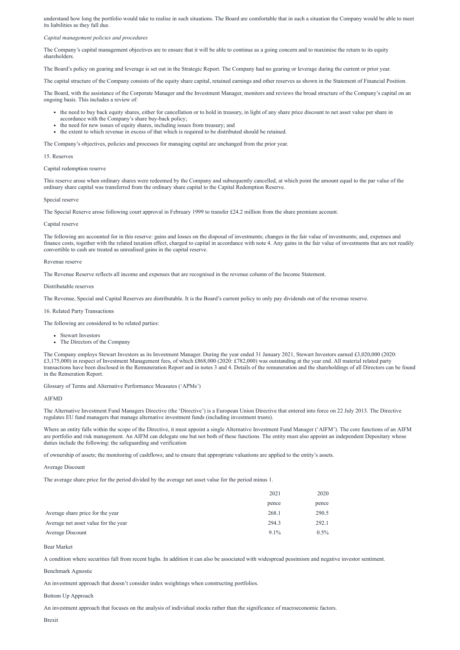understand how long the portfolio would take to realise in such situations. The Board are comfortable that in such a situation the Company would be able to meet its liabilities as they fall due.

#### *Capital management policies and procedures*

The Company's capital management objectives are to ensure that it will be able to continue as a going concern and to maximise the return to its equity shareholders.

The Board's policy on gearing and leverage is set out in the Strategic Report. The Company had no gearing or leverage during the current or prior year.

The capital structure of the Company consists of the equity share capital, retained earnings and other reserves as shown in the Statement of Financial Position.

The Board, with the assistance of the Corporate Manager and the Investment Manager, monitors and reviews the broad structure of the Company's capital on an ongoing basis. This includes a review of:

- the need to buy back equity shares, either for cancellation or to hold in treasury, in light of any share price discount to net asset value per share in accordance with the Company's share buy-back policy;
- the need for new issues of equity shares, including issues from treasury; and
- the extent to which revenue in excess of that which is required to be distributed should be retained.

The Company's objectives, policies and processes for managing capital are unchanged from the prior year.

### 15. Reserves

#### Capital redemption reserve

This reserve arose when ordinary shares were redeemed by the Company and subsequently cancelled, at which point the amount equal to the par value of the ordinary share capital was transferred from the ordinary share capital to the Capital Redemption Reserve.

#### Special reserve

The Special Reserve arose following court approval in February 1999 to transfer £24.2 million from the share premium account.

#### Capital reserve

The following are accounted for in this reserve: gains and losses on the disposal of investments; changes in the fair value of investments; and, expenses and finance costs, together with the related taxation effect, charged to capital in accordance with note 4. Any gains in the fair value of investments that are not readily convertible to cash are treated as unrealised gains in the capital reserve.

#### Revenue reserve

The Revenue Reserve reflects all income and expenses that are recognised in the revenue column of the Income Statement.

#### Distributable reserves

The Revenue, Special and Capital Reserves are distributable. It is the Board's current policy to only pay dividends out of the revenue reserve.

#### 16. Related Party Transactions

The following are considered to be related parties:

- Stewart Investors
- The Directors of the Company

The Company employs Stewart Investors as its Investment Manager. During the year ended 31 January 2021, Stewart Investors earned £3,020,000 (2020: £3,175,000) in respect of Investment Management fees, of which £868,000 (2020: £782,000) was outstanding at the year end. All material related party transactions have been disclosed in the Remuneration Report and in notes 3 and 4. Details of the remuneration and the shareholdings of all Directors can be found in the Remeration Report.

Glossary of Terms and Alternative Performance Measures ('APMs')

#### AIFMD

The Alternative Investment Fund Managers Directive (the 'Directive') is a European Union Directive that entered into force on 22 July 2013. The Directive regulates EU fund managers that manage alternative investment funds (including investment trusts).

Where an entity falls within the scope of the Directive, it must appoint a single Alternative Investment Fund Manager ('AIFM'). The core functions of an AIFM are portfolio and risk management. An AIFM can delegate one but not both of these functions. The entity must also appoint an independent Depositary whose duties include the following: the safeguarding and verification

of ownership of assets; the monitoring of cashflows; and to ensure that appropriate valuations are applied to the entity's assets.

#### Average Discount

The average share price for the period divided by the average net asset value for the period minus 1.

|                                      | 2021    | 2020    |
|--------------------------------------|---------|---------|
|                                      | pence   | pence   |
| Average share price for the year     | 268.1   | 290.5   |
| Average net asset value for the year | 294.3   | 292.1   |
| Average Discount                     | $9.1\%$ | $0.5\%$ |

Bear Market

A condition where securities fall from recent highs. In addition it can also be associated with widespread pessimism and negative investor sentiment. Benchmark Agnostic

An investment approach that doesn't consider index weightings when constructing portfolios.

Bottom Up Approach

An investment approach that focuses on the analysis of individual stocks rather than the significance of macroeconomic factors.

Brexit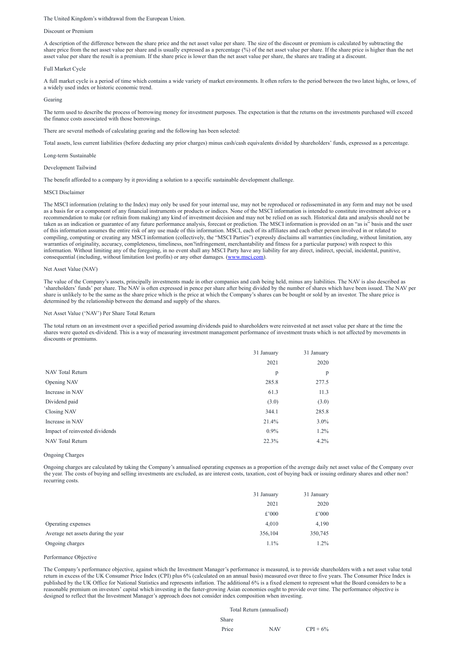#### The United Kingdom's withdrawal from the European Union.

#### Discount or Premium

A description of the difference between the share price and the net asset value per share. The size of the discount or premium is calculated by subtracting the share price from the net asset value per share and is usually expressed as a percentage (%) of the net asset value per share. If the share price is higher than the net asset value per share the result is a premium. If the share price is lower than the net asset value per share, the shares are trading at a discount.

#### Full Market Cycle

A full market cycle is a period of time which contains a wide variety of market environments. It often refers to the period between the two latest highs, or lows, of a widely used index or historic economic trend.

#### Gearing

The term used to describe the process of borrowing money for investment purposes. The expectation is that the returns on the investments purchased will exceed the finance costs associated with those borrowings.

There are several methods of calculating gearing and the following has been selected:

Total assets, less current liabilities (before deducting any prior charges) minus cash/cash equivalents divided by shareholders' funds, expressed as a percentage.

Long-term Sustainable

#### Development Tailwind

The benefit afforded to a company by it providing a solution to a specific sustainable development challenge.

#### MSCI Disclaimer

The MSCI information (relating to the Index) may only be used for your internal use, may not be reproduced or redisseminated in any form and may not be used as a basis for or a component of any financial instruments or products or indices. None of the MSCI information is intended to constitute investment advice or a recommendation to make (or refrain from making) any kind of investment decision and may not be relied on as such. Historical data and analysis should not be taken as an indication or guarantee of any future performance analysis, forecast or prediction. The MSCI information is provided on an "as is" basis and the user of this information assumes the entire risk of any use made of this information. MSCI, each of its affiliates and each other person involved in or related to compiling, computing or creating any MSCI information (collectively, the "MSCI Parties") expressly disclaims all warranties (including, without limitation, any warranties of originality, accuracy, completeness, timeliness, non?infringement, merchantability and fitness for a particular purpose) with respect to this information. Without limiting any of the foregoing, in no event shall any MSCI Party have any liability for any direct, indirect, special, incidental, punitive, consequential (including, without limitation lost profits) or any other damages. ([www.msci.com\)](http://www.msci.com/).

#### Net Asset Value (NAV)

The value of the Company's assets, principally investments made in other companies and cash being held, minus any liabilities. The NAV is also described as 'shareholders' funds' per share. The NAV is often expressed in pence per share after being divided by the number of shares which have been issued. The NAV per share is unlikely to be the same as the share price which is the price at which the Company's shares can be bought or sold by an investor. The share price is determined by the relationship between the demand and supply of the shares.

#### Net Asset Value ('NAV') Per Share Total Return

The total return on an investment over a specified period assuming dividends paid to shareholders were reinvested at net asset value per share at the time the shares were quoted ex-dividend. This is a way of measuring investment management performance of investment trusts which is not affected by movements in discounts or premiums.

| 2021<br>2020                                      |  |
|---------------------------------------------------|--|
|                                                   |  |
| NAV Total Return<br>p<br>p                        |  |
| 277.5<br>Opening NAV<br>285.8                     |  |
| Increase in NAV<br>11.3<br>61.3                   |  |
| Dividend paid<br>(3.0)<br>(3.0)                   |  |
| 285.8<br>Closing NAV<br>344.1                     |  |
| $3.0\%$<br>Increase in NAV<br>21.4%               |  |
| $0.9\%$<br>Impact of reinvested dividends<br>1.2% |  |
| NAV Total Return<br>22.3%<br>4.2%                 |  |

Ongoing Charges

Ongoing charges are calculated by taking the Company's annualised operating expenses as a proportion of the average daily net asset value of the Company over the year. The costs of buying and selling investments are excluded, as are interest costs, taxation, cost of buying back or issuing ordinary shares and other non? recurring costs.

|                                    | 31 January | 31 January |
|------------------------------------|------------|------------|
|                                    | 2021       | 2020       |
|                                    | £'000      | £'000      |
| Operating expenses                 | 4,010      | 4,190      |
| Average net assets during the year | 356,104    | 350,745    |
| Ongoing charges                    | 1.1%       | 1.2%       |

Performance Objective

The Company's performance objective, against which the Investment Manager's performance is measured, is to provide shareholders with a net asset value total return in excess of the UK Consumer Price Index (CPI) plus 6% (calculated on an annual basis) measured over three to five years. The Consumer Price Index is published by the UK Office for National Statistics and represents inflation. The additional 6% is a fixed element to represent what the Board considers to be a reasonable premium on investors' capital which investing in the faster-growing Asian economies ought to provide over time. The performance objective is designed to reflect that the Investment Manager's approach does not consider index composition when investing.

Total Return (annualised)

Share

Price  $NAV$  CPI + 6%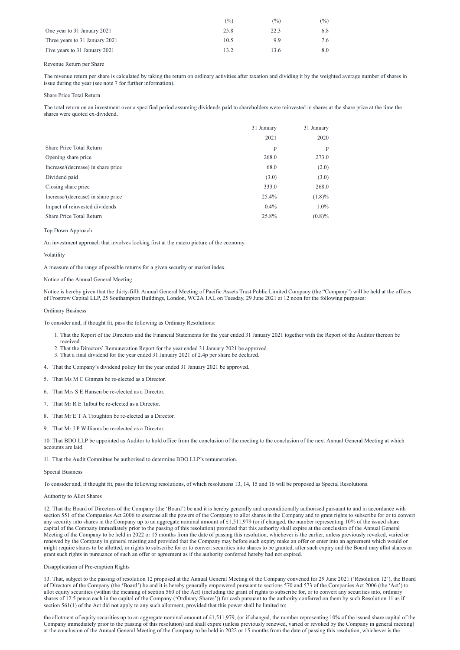|                                | $(\%)$ | $\frac{(0)}{0}$ | $\frac{1}{2}$ |
|--------------------------------|--------|-----------------|---------------|
| One year to 31 January 2021    | 25.8   | 22.3            | 6.8           |
| Three years to 31 January 2021 | 10.5   | 9.9             |               |
| Five years to 31 January 2021  | 13.2   | 3.6             | 8.0           |

### Revenue Return per Share

The revenue return per share is calculated by taking the return on ordinary activities after taxation and dividing it by the weighted average number of shares in issue during the year (see note 7 for further information).

### Share Price Total Return

The total return on an investment over a specified period assuming dividends paid to shareholders were reinvested in shares at the share price at the time the shares were quoted ex-dividend.

|                                    | 31 January | 31 January |
|------------------------------------|------------|------------|
|                                    | 2021       | 2020       |
| Share Price Total Return           | p          | p          |
| Opening share price                | 268.0      | 273.0      |
| Increase/(decrease) in share price | 68.0       | (2.0)      |
| Dividend paid                      | (3.0)      | (3.0)      |
| Closing share price                | 333.0      | 268.0      |
| Increase/(decrease) in share price | 25.4%      | $(1.8)\%$  |
| Impact of reinvested dividends     | $0.4\%$    | $1.0\%$    |
| <b>Share Price Total Return</b>    | 25.8%      | (0.8)%     |

# Top Down Approach

An investment approach that involves looking first at the macro picture of the economy.

#### Volatility

A measure of the range of possible returns for a given security or market index.

#### Notice of the Annual General Meeting

Notice is hereby given that the thirty-fifth Annual General Meeting of Pacific Assets Trust Public Limited Company (the "Company") will be held at the offices of Frostrow Capital LLP, 25 Southampton Buildings, London, WC2A 1AL on Tuesday, 29 June 2021 at 12 noon for the following purposes:

#### Ordinary Business

To consider and, if thought fit, pass the following as Ordinary Resolutions:

- 1. That the Report of the Directors and the Financial Statements for the year ended 31 January 2021 together with the Report of the Auditor thereon be received.
- 2. That the Directors' Remuneration Report for the year ended 31 January 2021 be approved.
- 3. That a final dividend for the year ended 31 January 2021 of 2.4p per share be declared.
- 4. That the Company's dividend policy for the year ended 31 January 2021 be approved.
- 5. That Ms M C Ginman be re-elected as a Director.
- 6. That Mrs S E Hansen be re-elected as a Director.
- 7. That Mr R E Talbut be re-elected as a Director.
- 8. That Mr E T A Troughton be re-elected as a Director.
- 9. That Mr J P Williams be re-elected as a Director.

10. That BDO LLP be appointed as Auditor to hold office from the conclusion of the meeting to the conclusion of the next Annual General Meeting at which accounts are laid.

11. That the Audit Committee be authorised to determine BDO LLP's remuneration.

#### Special Business

the allotment of equity securities up to an aggregate nominal amount of £1,511,979, (or if changed, the number representing 10% of the issued share capital of the Company immediately prior to the passing of this resolution) and shall expire (unless previously renewed, varied or revoked by the Company in general meeting) at the conclusion of the Annual General Meeting of the Company to be held in 2022 or 15 months from the date of passing this resolution, whichever is the

To consider and, if thought fit, pass the following resolutions, of which resolutions 13, 14, 15 and 16 will be proposed as Special Resolutions.

#### Authority to Allot Shares

12. That the Board of Directors of the Company (the 'Board') be and it is hereby generally and unconditionally authorised pursuant to and in accordance with section 551 of the Companies Act 2006 to exercise all the powers of the Company to allot shares in the Company and to grant rights to subscribe for or to convert any security into shares in the Company up to an aggregate nominal amount of  $£1,511,979$  (or if changed, the number representing 10% of the issued share capital of the Company immediately prior to the passing of this resolution) provided that this authority shall expire at the conclusion of the Annual General Meeting of the Company to be held in 2022 or 15 months from the date of passing this resolution, whichever is the earlier, unless previously revoked, varied or renewed by the Company in general meeting and provided that the Company may before such expiry make an offer or enter into an agreement which would or might require shares to be allotted, or rights to subscribe for or to convert securities into shares to be granted, after such expiry and the Board may allot shares or grant such rights in pursuance of such an offer or agreement as if the authority conferred hereby had not expired.

Disapplication of Pre-emption Rights

13. That, subject to the passing of resolution 12 proposed at the Annual General Meeting of the Company convened for 29 June 2021 ('Resolution 12'), the Board of Directors of the Company (the 'Board') be and it is hereby generally empowered pursuant to sections 570 and 573 of the Companies Act 2006 (the 'Act') to allot equity securities (within the meaning of section 560 of the Act) (including the grant of rights to subscribe for, or to convert any securities into, ordinary shares of 12.5 pence each in the capital of the Company ('Ordinary Shares')) for cash pursuant to the authority conferred on them by such Resolution 11 as if section 561(1) of the Act did not apply to any such allotment, provided that this power shall be limited to: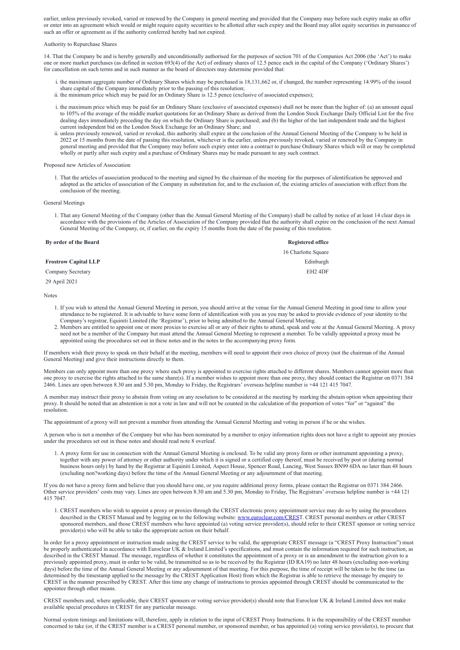earlier, unless previously revoked, varied or renewed by the Company in general meeting and provided that the Company may before such expiry make an offer or enter into an agreement which would or might require equity securities to be allotted after such expiry and the Board may allot equity securities in pursuance of such an offer or agreement as if the authority conferred hereby had not expired.

#### Authority to Repurchase Shares

14. That the Company be and is hereby generally and unconditionally authorised for the purposes of section 701 of the Companies Act 2006 (the 'Act') to make one or more market purchases (as defined in section 693(4) of the Act) of ordinary shares of 12.5 pence each in the capital of the Company ('Ordinary Shares') for cancellation on such terms and in such manner as the board of directors may determine provided that:

- i. the maximum aggregate number of Ordinary Shares which may be purchased is 18,131,662 or, if changed, the number representing 14.99% of the issued share capital of the Company immediately prior to the passing of this resolution;
- ii. the minimum price which may be paid for an Ordinary Share is 12.5 pence (exclusive of associated expenses);
- i. the maximum price which may be paid for an Ordinary Share (exclusive of associated expenses) shall not be more than the higher of: (a) an amount equal to 105% of the average of the middle market quotations for an Ordinary Share as derived from the London Stock Exchange Daily Official List for the five dealing days immediately preceding the day on which the Ordinary Share is purchased; and (b) the higher of the last independent trade and the highest current independent bid on the London Stock Exchange for an Ordinary Share; and
- ii. unless previously renewed, varied or revoked, this authority shall expire at the conclusion of the Annual General Meeting of the Company to be held in 2022 or 15 months from the date of passing this resolution, whichever is the earlier, unless previously revoked, varied or renewed by the Company in general meeting and provided that the Company may before such expiry enter into a contract to purchase Ordinary Shares which will or may be completed wholly or partly after such expiry and a purchase of Ordinary Shares may be made pursuant to any such contract.

#### Proposed new Articles of Association

1. That the articles of association produced to the meeting and signed by the chairman of the meeting for the purposes of identification be approved and adopted as the articles of association of the Company in substitution for, and to the exclusion of, the existing articles of association with effect from the conclusion of the meeting.

#### General Meetings

1. That any General Meeting of the Company (other than the Annual General Meeting of the Company) shall be called by notice of at least 14 clear days in accordance with the provisions of the Articles of Association of the Company provided that the authority shall expire on the conclusion of the next Annual General Meeting of the Company, or, if earlier, on the expiry 15 months from the date of the passing of this resolution.

| By order of the Board       | <b>Registered office</b> |
|-----------------------------|--------------------------|
|                             | 16 Charlotte Square      |
| <b>Frostrow Capital LLP</b> | Edinburgh                |
| <b>Company Secretary</b>    | EH <sub>2</sub> 4DF      |
| 29 April 2021               |                          |

Notes

- 1. If you wish to attend the Annual General Meeting in person, you should arrive at the venue for the Annual General Meeting in good time to allow your attendance to be registered. It is advisable to have some form of identification with you as you may be asked to provide evidence of your identity to the Company's registrar, Equiniti Limited (the 'Registrar'), prior to being admitted to the Annual General Meeting.
- 2. Members are entitled to appoint one or more proxies to exercise all or any of their rights to attend, speak and vote at the Annual General Meeting. A proxy need not be a member of the Company but must attend the Annual General Meeting to represent a member. To be validly appointed a proxy must be appointed using the procedures set out in these notes and in the notes to the accompanying proxy form.

If members wish their proxy to speak on their behalf at the meeting, members will need to appoint their own choice of proxy (not the chairman of the Annual General Meeting) and give their instructions directly to them.

Members can only appoint more than one proxy where each proxy is appointed to exercise rights attached to different shares. Members cannot appoint more than one proxy to exercise the rights attached to the same share(s). If a member wishes to appoint more than one proxy, they should contact the Registrar on 0371 384 2466. Lines are open between 8.30 am and 5.30 pm, Monday to Friday, the Registrars' overseas helpline number is +44 121 415 7047.

A member may instruct their proxy to abstain from voting on any resolution to be considered at the meeting by marking the abstain option when appointing their proxy. It should be noted that an abstention is not a vote in law and will not be counted in the calculation of the proportion of votes "for" or "against" the resolution.

The appointment of a proxy will not prevent a member from attending the Annual General Meeting and voting in person if he or she wishes.

A person who is not a member of the Company but who has been nominated by a member to enjoy information rights does not have a right to appoint any proxies under the procedures set out in these notes and should read note 8 overleaf.

1. A proxy form for use in connection with the Annual General Meeting is enclosed. To be valid any proxy form or other instrument appointing a proxy, together with any power of attorney or other authority under which it is signed or a certified copy thereof, must be received by post or (during normal business hours only) by hand by the Registrar at Equiniti Limited, Aspect House, Spencer Road, Lancing, West Sussex BN99 6DA no later than 48 hours (excluding non?working days) before the time of the Annual General Meeting or any adjournment of that meeting.

If you do not have a proxy form and believe that you should have one, or you require additional proxy forms, please contact the Registrar on 0371 384 2466.

Other service providers' costs may vary. Lines are open between 8.30 am and 5.30 pm, Monday to Friday, The Registrars' overseas helpline number is +44 121 415 7047.

1. CREST members who wish to appoint a proxy or proxies through the CREST electronic proxy appointment service may do so by using the procedures described in the CREST Manual and by logging on to the following website: [www.euroclear.com/CREST](http://www.euroclear.com/CRES). CREST personal members or other CREST sponsored members, and those CREST members who have appointed (a) voting service provider(s), should refer to their CREST sponsor or voting service provider(s) who will be able to take the appropriate action on their behalf.

In order for a proxy appointment or instruction made using the CREST service to be valid, the appropriate CREST message (a "CREST Proxy Instruction") must be properly authenticated in accordance with Euroclear UK & Ireland Limited's specifications, and must contain the information required for such instruction, as described in the CREST Manual. The message, regardless of whether it constitutes the appointment of a proxy or is an amendment to the instruction given to a previously appointed proxy, must in order to be valid, be transmitted so as to be received by the Registrar (ID RA19) no later 48 hours (excluding non-working days) before the time of the Annual General Meeting or any adjournment of that meeting. For this purpose, the time of receipt will be taken to be the time (as determined by the timestamp applied to the message by the CREST Application Host) from which the Registrar is able to retrieve the message by enquiry to CREST in the manner prescribed by CREST. After this time any change of instructions to proxies appointed through CREST should be communicated to the appointee through other means.

CREST members and, where applicable, their CREST sponsors or voting service provider(s) should note that Euroclear UK & Ireland Limited does not make available special procedures in CREST for any particular message.

Normal system timings and limitations will, therefore, apply in relation to the input of CREST Proxy Instructions. It is the responsibility of the CREST member concerned to take (or, if the CREST member is a CREST personal member, or sponsored member, or has appointed (a) voting service provider(s), to procure that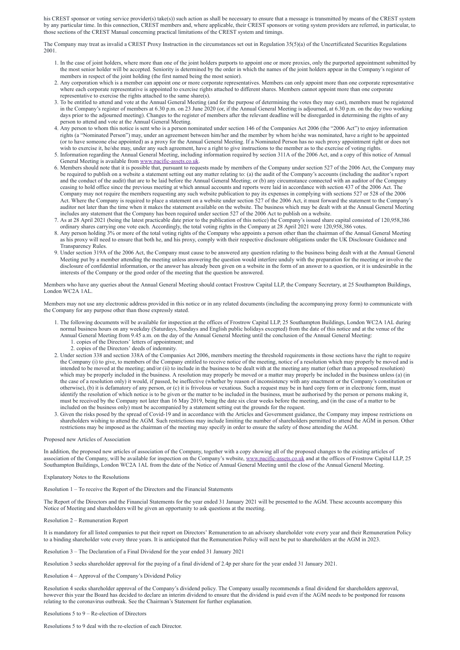his CREST sponsor or voting service provider(s) take(s)) such action as shall be necessary to ensure that a message is transmitted by means of the CREST system by any particular time. In this connection, CREST members and, where applicable, their CREST sponsors or voting system providers are referred, in particular, to those sections of the CREST Manual concerning practical limitations of the CREST system and timings.

The Company may treat as invalid a CREST Proxy Instruction in the circumstances set out in Regulation 35(5)(a) of the Uncertificated Securities Regulations 2001.

- 1. In the case of joint holders, where more than one of the joint holders purports to appoint one or more proxies, only the purported appointment submitted by the most senior holder will be accepted. Seniority is determined by the order in which the names of the joint holders appear in the Company's register of members in respect of the joint holding (the first named being the most senior).
- 2. Any corporation which is a member can appoint one or more corporate representatives. Members can only appoint more than one corporate representative where each corporate representative is appointed to exercise rights attached to different shares. Members cannot appoint more than one corporate representative to exercise the rights attached to the same share(s).
- 3. To be entitled to attend and vote at the Annual General Meeting (and for the purpose of determining the votes they may cast), members must be registered in the Company's register of members at 6.30 p.m. on 23 June 2020 (or, if the Annual General Meeting is adjourned, at 6.30 p.m. on the day two working days prior to the adjourned meeting). Changes to the register of members after the relevant deadline will be disregarded in determining the rights of any person to attend and vote at the Annual General Meeting.
- 4. Any person to whom this notice is sent who is a person nominated under section 146 of the Companies Act 2006 (the "2006 Act") to enjoy information rights (a "Nominated Person") may, under an agreement between him/her and the member by whom he/she was nominated, have a right to be appointed (or to have someone else appointed) as a proxy for the Annual General Meeting. If a Nominated Person has no such proxy appointment right or does not wish to exercise it, he/she may, under any such agreement, have a right to give instructions to the member as to the exercise of voting rights.
- 5. Information regarding the Annual General Meeting, including information required by section 311A of the 2006 Act, and a copy of this notice of Annual General Meeting is available from [www.pacific-assets.co.uk.](http://www.pacific-assets.co.uk/)
- 6. Members should note that it is possible that, pursuant to requests made by members of the Company under section 527 of the 2006 Act, the Company may be required to publish on a website a statement setting out any matter relating to: (a) the audit of the Company's accounts (including the auditor's report and the conduct of the audit) that are to be laid before the Annual General Meeting; or (b) any circumstance connected with an auditor of the Company ceasing to hold office since the previous meeting at which annual accounts and reports were laid in accordance with section 437 of the 2006 Act. The Company may not require the members requesting any such website publication to pay its expenses in complying with sections 527 or 528 of the 2006 Act. Where the Company is required to place a statement on a website under section 527 of the 2006 Act, it must forward the statement to the Company's auditor not later than the time when it makes the statement available on the website. The business which may be dealt with at the Annual General Meeting includes any statement that the Company has been required under section 527 of the 2006 Act to publish on a website.
- 7. As at 28 April 2021 (being the latest practicable date prior to the publication of this notice) the Company's issued share capital consisted of 120,958,386 ordinary shares carrying one vote each. Accordingly, the total voting rights in the Company at 28 April 2021 were 120,958,386 votes.
- 8. Any person holding 3% or more of the total voting rights of the Company who appoints a person other than the chairman of the Annual General Meeting as his proxy will need to ensure that both he, and his proxy, comply with their respective disclosure obligations under the UK Disclosure Guidance and Transparency Rules.
- 9. Under section 319A of the 2006 Act, the Company must cause to be answered any question relating to the business being dealt with at the Annual General Meeting put by a member attending the meeting unless answering the question would interfere unduly with the preparation for the meeting or involve the disclosure of confidential information, or the answer has already been given on a website in the form of an answer to a question, or it is undesirable in the interests of the Company or the good order of the meeting that the question be answered.

Members who have any queries about the Annual General Meeting should contact Frostrow Capital LLP, the Company Secretary, at 25 Southampton Buildings, London WC2A 1AL.

Members may not use any electronic address provided in this notice or in any related documents (including the accompanying proxy form) to communicate with the Company for any purpose other than those expressly stated.

- 1. The following documents will be available for inspection at the offices of Frostrow Capital LLP, 25 Southampton Buildings, London WC2A 1AL during normal business hours on any weekday (Saturdays, Sundays and English public holidays excepted) from the date of this notice and at the venue of the Annual General Meeting from 9.45 a.m. on the day of the Annual General Meeting until the conclusion of the Annual General Meeting:
	- 1. copies of the Directors' letters of appointment; and
	- 2. copies of the Directors' deeds of indemnity.
- 2. Under section 338 and section 338A of the Companies Act 2006, members meeting the threshold requirements in those sections have the right to require the Company (i) to give, to members of the Company entitled to receive notice of the meeting, notice of a resolution which may properly be moved and is intended to be moved at the meeting; and/or (ii) to include in the business to be dealt with at the meeting any matter (other than a proposed resolution) which may be properly included in the business. A resolution may properly be moved or a matter may properly be included in the business unless (a) (in the case of a resolution only) it would, if passed, be ineffective (whether by reason of inconsistency with any enactment or the Company's constitution or otherwise), (b) it is defamatory of any person, or (c) it is frivolous or vexatious. Such a request may be in hard copy form or in electronic form, must identify the resolution of which notice is to be given or the matter to be included in the business, must be authorised by the person or persons making it, must be received by the Company not later than 16 May 2019, being the date six clear weeks before the meeting, and (in the case of a matter to be included on the business only) must be accompanied by a statement setting out the grounds for the request.
- 3. Given the risks posed by the spread of Covid-19 and in accordance with the Articles and Government guidance, the Company may impose restrictions on shareholders wishing to attend the AGM. Such restrictions may include limiting the number of shareholders permitted to attend the AGM in person. Other restrictions may be imposed as the chairman of the meeting may specify in order to ensure the safety of those attending the AGM.

#### Proposed new Articles of Association

In addition, the proposed new articles of association of the Company, together with a copy showing all of the proposed changes to the existing articles of association of the Company, will be available for inspection on the Company's website, [www.pacific-assets.co.uk](http://www.pacific-assets.co.uk/) and at the offices of Frostrow Capital LLP, 25 Southampton Buildings, London WC2A 1AL from the date of the Notice of Annual General Meeting until the close of the Annual General Meeting.

# Explanatory Notes to the Resolutions

Resolution 1 – To receive the Report of the Directors and the Financial Statements

The Report of the Directors and the Financial Statements for the year ended 31 January 2021 will be presented to the AGM. These accounts accompany this Notice of Meeting and shareholders will be given an opportunity to ask questions at the meeting.

Resolution 2 – Remuneration Report

It is mandatory for all listed companies to put their report on Directors' Remuneration to an advisory shareholder vote every year and their Remuneration Policy to a binding shareholder vote every three years. It is anticipated that the Remuneration Policy will next be put to shareholders at the AGM in 2023.

Resolution 3 – The Declaration of a Final Dividend for the year ended 31 January 2021

Resolution 3 seeks shareholder approval for the paying of a final dividend of 2.4p per share for the year ended 31 January 2021.

Resolution 4 – Approval of the Company's Dividend Policy

Resolution 4 seeks shareholder approval of the Company's dividend policy. The Company usually recommends a final dividend for shareholders approval, however this year the Board has decided to declare an interim dividend to ensure that the dividend is paid even if the AGM needs to be postponed for reasons relating to the coronavirus outbreak. See the Chairman's Statement for further explanation.

Resolutions 5 to 9 – Re-election of Directors

Resolutions 5 to 9 deal with the re-election of each Director.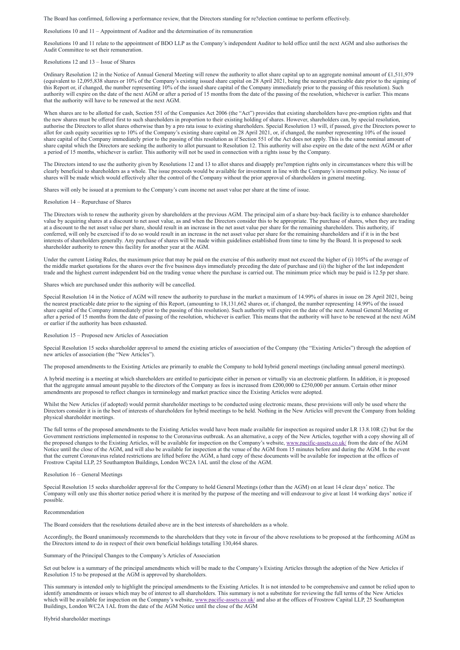The Board has confirmed, following a performance review, that the Directors standing for re?election continue to perform effectively.

Resolutions 10 and 11 – Appointment of Auditor and the determination of its remuneration

Resolutions 10 and 11 relate to the appointment of BDO LLP as the Company's independent Auditor to hold office until the next AGM and also authorises the Audit Committee to set their remuneration.

Resolutions 12 and 13 – Issue of Shares

Ordinary Resolution 12 in the Notice of Annual General Meeting will renew the authority to allot share capital up to an aggregate nominal amount of £1,511,979 (equivalent to 12,095,838 shares or 10% of the Company's existing issued share capital on 28 April 2021, being the nearest practicable date prior to the signing of this Report or, if changed, the number representing 10% of the issued share capital of the Company immediately prior to the passing of this resolution). Such authority will expire on the date of the next AGM or after a period of 15 months from the date of the passing of the resolution, whichever is earlier. This means that the authority will have to be renewed at the next AGM.

When shares are to be allotted for cash, Section 551 of the Companies Act 2006 (the "Act") provides that existing shareholders have pre-emption rights and that the new shares must be offered first to such shareholders in proportion to their existing holding of shares. However, shareholders can, by special resolution, authorise the Directors to allot shares otherwise than by a pro rata issue to existing shareholders. Special Resolution 13 will, if passed, give the Directors power to allot for cash equity securities up to 10% of the Company's existing share capital on 28 April 2021, or, if changed, the number representing 10% of the issued share capital of the Company immediately prior to the passing of this resolution as if Section 551 of the Act does not apply. This is the same nominal amount of share capital which the Directors are seeking the authority to allot pursuant to Resolution 12. This authority will also expire on the date of the next AGM or after a period of 15 months, whichever is earlier. This authority will not be used in connection with a rights issue by the Company.

The Directors intend to use the authority given by Resolutions 12 and 13 to allot shares and disapply pre?emption rights only in circumstances where this will be clearly beneficial to shareholders as a whole. The issue proceeds would be available for investment in line with the Company's investment policy. No issue of shares will be made which would effectively alter the control of the Company without the prior approval of shareholders in general meeting.

Shares will only be issued at a premium to the Company's cum income net asset value per share at the time of issue.

Resolution 14 – Repurchase of Shares

The Directors wish to renew the authority given by shareholders at the previous AGM. The principal aim of a share buy-back facility is to enhance shareholder value by acquiring shares at a discount to net asset value, as and when the Directors consider this to be appropriate. The purchase of shares, when they are trading at a discount to the net asset value per share, should result in an increase in the net asset value per share for the remaining shareholders. This authority, if conferred, will only be exercised if to do so would result in an increase in the net asset value per share for the remaining shareholders and if it is in the best interests of shareholders generally. Any purchase of shares will be made within guidelines established from time to time by the Board. It is proposed to seek shareholder authority to renew this facility for another year at the AGM.

Under the current Listing Rules, the maximum price that may be paid on the exercise of this authority must not exceed the higher of (i) 105% of the average of the middle market quotations for the shares over the five business days immediately preceding the date of purchase and (ii) the higher of the last independent trade and the highest current independent bid on the trading venue where the purchase is carried out. The minimum price which may be paid is 12.5p per share.

Shares which are purchased under this authority will be cancelled.

Special Resolution 14 in the Notice of AGM will renew the authority to purchase in the market a maximum of 14.99% of shares in issue on 28 April 2021, being the nearest practicable date prior to the signing of this Report, (amounting to 18,131,662 shares or, if changed, the number representing 14.99% of the issued share capital of the Company immediately prior to the passing of this resolution). Such authority will expire on the date of the next Annual General Meeting or after a period of 15 months from the date of passing of the resolution, whichever is earlier. This means that the authority will have to be renewed at the next AGM or earlier if the authority has been exhausted.

Resolution 15 – Proposed new Articles of Association

Special Resolution 15 seeks shareholder approval to amend the existing articles of association of the Company (the "Existing Articles") through the adoption of new articles of association (the "New Articles").

The proposed amendments to the Existing Articles are primarily to enable the Company to hold hybrid general meetings (including annual general meetings).

A hybrid meeting is a meeting at which shareholders are entitled to participate either in person or virtually via an electronic platform. In addition, it is proposed that the aggregate annual amount payable to the directors of the Company as fees is increased from £200,000 to £250,000 per annum. Certain other minor amendments are proposed to reflect changes in terminology and market practice since the Existing Articles were adopted.

Whilst the New Articles (if adopted) would permit shareholder meetings to be conducted using electronic means, these provisions will only be used where the Directors consider it is in the best of interests of shareholders for hybrid meetings to be held. Nothing in the New Articles will prevent the Company from holding physical shareholder meetings.

The full terms of the proposed amendments to the Existing Articles would have been made available for inspection as required under LR 13.8.10R (2) but for the Government restrictions implemented in response to the Coronavirus outbreak. As an alternative, a copy of the New Articles, together with a copy showing all of the proposed changes to the Existing Articles, will be available for inspection on the Company's website, [www.pacific-assets.co.uk/](http://www.pacific-assets.co.uk/) from the date of the AGM Notice until the close of the AGM, and will also be available for inspection at the venue of the AGM from 15 minutes before and during the AGM. In the event that the current Coronavirus related restrictions are lifted before the AGM, a hard copy of these documents will be available for inspection at the offices of Frostrow Capital LLP, 25 Southampton Buildings, London WC2A 1AL until the close of the AGM.

#### Resolution 16 – General Meetings

Special Resolution 15 seeks shareholder approval for the Company to hold General Meetings (other than the AGM) on at least 14 clear days' notice. The

Company will only use this shorter notice period where it is merited by the purpose of the meeting and will endeavour to give at least 14 working days' notice if possible.

Recommendation

The Board considers that the resolutions detailed above are in the best interests of shareholders as a whole.

Accordingly, the Board unanimously recommends to the shareholders that they vote in favour of the above resolutions to be proposed at the forthcoming AGM as the Directors intend to do in respect of their own beneficial holdings totalling 130,464 shares.

Summary of the Principal Changes to the Company's Articles of Association

Set out below is a summary of the principal amendments which will be made to the Company's Existing Articles through the adoption of the New Articles if Resolution 15 to be proposed at the AGM is approved by shareholders.

This summary is intended only to highlight the principal amendments to the Existing Articles. It is not intended to be comprehensive and cannot be relied upon to identify amendments or issues which may be of interest to all shareholders. This summary is not a substitute for reviewing the full terms of the New Articles which will be available for inspection on the Company's website, [www.pacific-assets.co.uk/](http://www.pacific-assets.co.uk/) and also at the offices of Frostrow Capital LLP, 25 Southampton Buildings, London WC2A 1AL from the date of the AGM Notice until the close of the AGM

Hybrid shareholder meetings